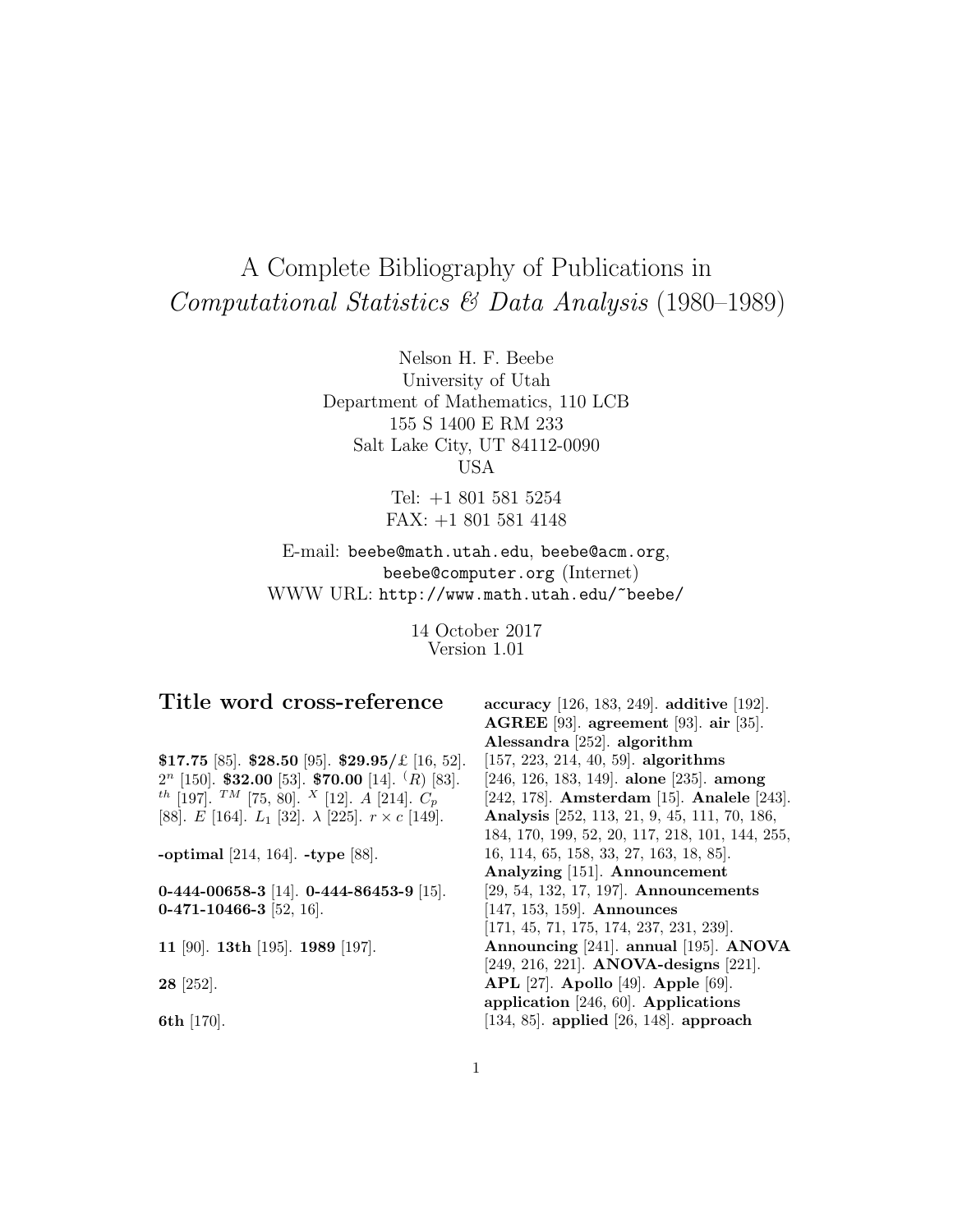# A Complete Bibliography of Publications in Computational Statistics & Data Analysis (1980–1989)

Nelson H. F. Beebe University of Utah Department of Mathematics, 110 LCB 155 S 1400 E RM 233 Salt Lake City, UT 84112-0090 USA

> Tel: +1 801 581 5254 FAX: +1 801 581 4148

E-mail: beebe@math.utah.edu, beebe@acm.org, beebe@computer.org (Internet) WWW URL: http://www.math.utah.edu/~beebe/

> 14 October 2017 Version 1.01

# **Title word cross-reference**

**\$17.75** [85]. **\$28.50** [95]. **\$29.95/**£ [16, 52]. 2<sup>n</sup> [150]. **\$32.00** [53]. **\$70.00** [14]. (R) [83].  $^{th}$  [197].  $^{TM}$  [75, 80].  $^{X}$  [12].  $A$  [214].  $C_{p}$ [88].  $E$  [164].  $L_1$  [32].  $\lambda$  [225].  $r \times c$  [149].

**-optimal** [214, 164]. **-type** [88].

**0-444-00658-3** [14]. **0-444-86453-9** [15]. **0-471-10466-3** [52, 16].

**11** [90]. **13th** [195]. **1989** [197].

**28** [252].

**6th** [170].

**accuracy** [126, 183, 249]. **additive** [192]. **AGREE** [93]. **agreement** [93]. **air** [35]. **Alessandra** [252]. **algorithm** [157, 223, 214, 40, 59]. **algorithms** [246, 126, 183, 149]. **alone** [235]. **among** [242, 178]. **Amsterdam** [15]. **Analele** [243]. **Analysis** [252, 113, 21, 9, 45, 111, 70, 186, 184, 170, 199, 52, 20, 117, 218, 101, 144, 255, 16, 114, 65, 158, 33, 27, 163, 18, 85]. **Analyzing** [151]. **Announcement** [29, 54, 132, 17, 197]. **Announcements** [147, 153, 159]. **Announces** [171, 45, 71, 175, 174, 237, 231, 239]. **Announcing** [241]. **annual** [195]. **ANOVA** [249, 216, 221]. **ANOVA-designs** [221]. **APL** [27]. **Apollo** [49]. **Apple** [69]. **application** [246, 60]. **Applications** [134, 85]. **applied** [26, 148]. **approach**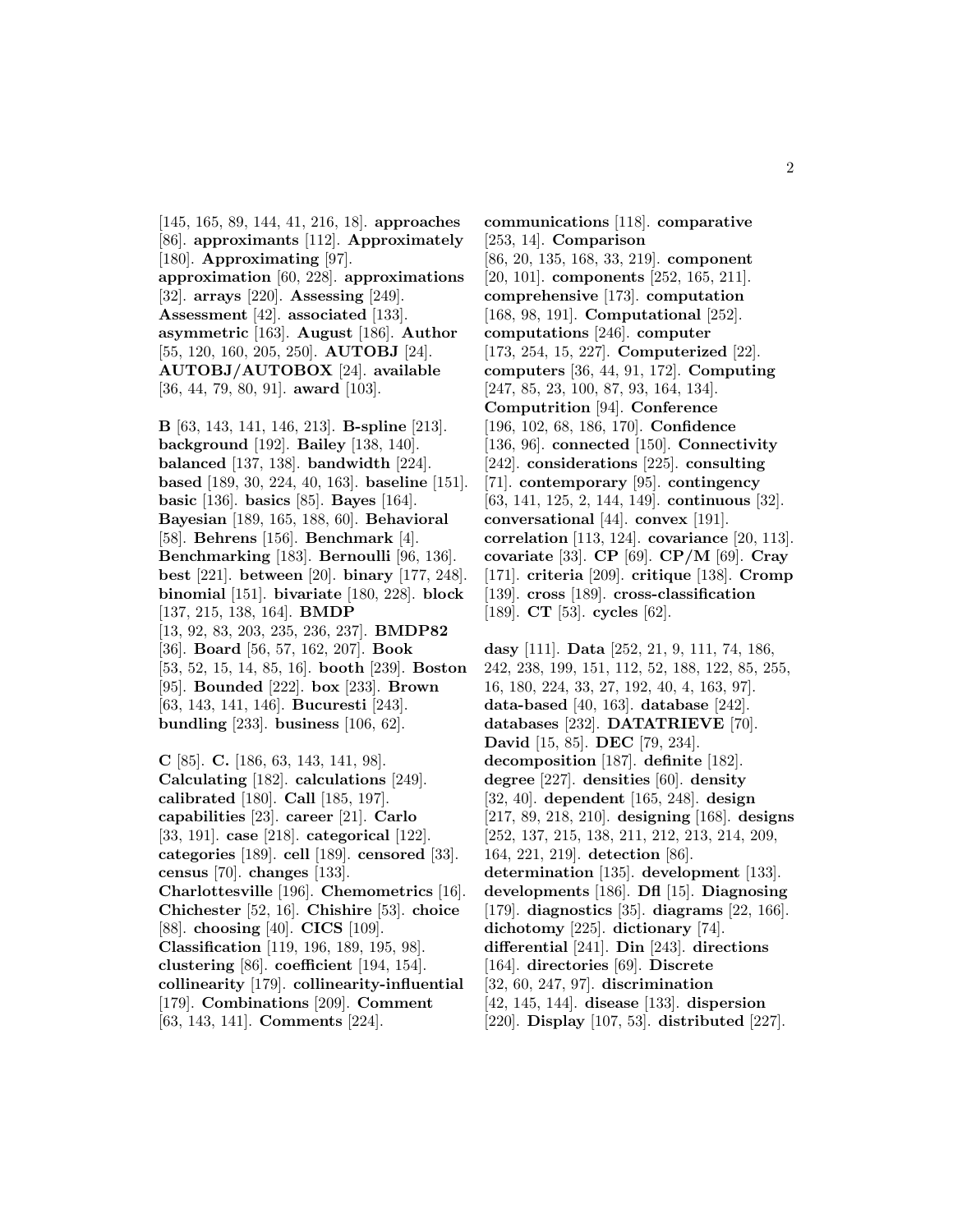[145, 165, 89, 144, 41, 216, 18]. **approaches** [86]. **approximants** [112]. **Approximately** [180]. **Approximating** [97]. **approximation** [60, 228]. **approximations** [32]. **arrays** [220]. **Assessing** [249]. **Assessment** [42]. **associated** [133]. **asymmetric** [163]. **August** [186]. **Author** [55, 120, 160, 205, 250]. **AUTOBJ** [24]. **AUTOBJ/AUTOBOX** [24]. **available** [36, 44, 79, 80, 91]. **award** [103].

**B** [63, 143, 141, 146, 213]. **B-spline** [213]. **background** [192]. **Bailey** [138, 140]. **balanced** [137, 138]. **bandwidth** [224]. **based** [189, 30, 224, 40, 163]. **baseline** [151]. **basic** [136]. **basics** [85]. **Bayes** [164]. **Bayesian** [189, 165, 188, 60]. **Behavioral** [58]. **Behrens** [156]. **Benchmark** [4]. **Benchmarking** [183]. **Bernoulli** [96, 136]. **best** [221]. **between** [20]. **binary** [177, 248]. **binomial** [151]. **bivariate** [180, 228]. **block** [137, 215, 138, 164]. **BMDP** [13, 92, 83, 203, 235, 236, 237]. **BMDP82** [36]. **Board** [56, 57, 162, 207]. **Book** [53, 52, 15, 14, 85, 16]. **booth** [239]. **Boston** [95]. **Bounded** [222]. **box** [233]. **Brown** [63, 143, 141, 146]. **Bucuresti** [243]. **bundling** [233]. **business** [106, 62].

**C** [85]. **C.** [186, 63, 143, 141, 98]. **Calculating** [182]. **calculations** [249]. **calibrated** [180]. **Call** [185, 197]. **capabilities** [23]. **career** [21]. **Carlo** [33, 191]. **case** [218]. **categorical** [122]. **categories** [189]. **cell** [189]. **censored** [33]. **census** [70]. **changes** [133]. **Charlottesville** [196]. **Chemometrics** [16]. **Chichester** [52, 16]. **Chishire** [53]. **choice** [88]. **choosing** [40]. **CICS** [109]. **Classification** [119, 196, 189, 195, 98]. **clustering** [86]. **coefficient** [194, 154]. **collinearity** [179]. **collinearity-influential** [179]. **Combinations** [209]. **Comment** [63, 143, 141]. **Comments** [224].

**communications** [118]. **comparative** [253, 14]. **Comparison** [86, 20, 135, 168, 33, 219]. **component** [20, 101]. **components** [252, 165, 211]. **comprehensive** [173]. **computation** [168, 98, 191]. **Computational** [252]. **computations** [246]. **computer** [173, 254, 15, 227]. **Computerized** [22]. **computers** [36, 44, 91, 172]. **Computing** [247, 85, 23, 100, 87, 93, 164, 134]. **Computrition** [94]. **Conference** [196, 102, 68, 186, 170]. **Confidence** [136, 96]. **connected** [150]. **Connectivity** [242]. **considerations** [225]. **consulting** [71]. **contemporary** [95]. **contingency** [63, 141, 125, 2, 144, 149]. **continuous** [32]. **conversational** [44]. **convex** [191]. **correlation** [113, 124]. **covariance** [20, 113]. **covariate** [33]. **CP** [69]. **CP/M** [69]. **Cray** [171]. **criteria** [209]. **critique** [138]. **Cromp** [139]. **cross** [189]. **cross-classification** [189]. **CT** [53]. **cycles** [62].

**dasy** [111]. **Data** [252, 21, 9, 111, 74, 186, 242, 238, 199, 151, 112, 52, 188, 122, 85, 255, 16, 180, 224, 33, 27, 192, 40, 4, 163, 97]. **data-based** [40, 163]. **database** [242]. **databases** [232]. **DATATRIEVE** [70]. **David** [15, 85]. **DEC** [79, 234]. **decomposition** [187]. **definite** [182]. **degree** [227]. **densities** [60]. **density** [32, 40]. **dependent** [165, 248]. **design** [217, 89, 218, 210]. **designing** [168]. **designs** [252, 137, 215, 138, 211, 212, 213, 214, 209, 164, 221, 219]. **detection** [86]. **determination** [135]. **development** [133]. **developments** [186]. **Dfl** [15]. **Diagnosing** [179]. **diagnostics** [35]. **diagrams** [22, 166]. **dichotomy** [225]. **dictionary** [74]. **differential** [241]. **Din** [243]. **directions** [164]. **directories** [69]. **Discrete** [32, 60, 247, 97]. **discrimination** [42, 145, 144]. **disease** [133]. **dispersion** [220]. **Display** [107, 53]. **distributed** [227].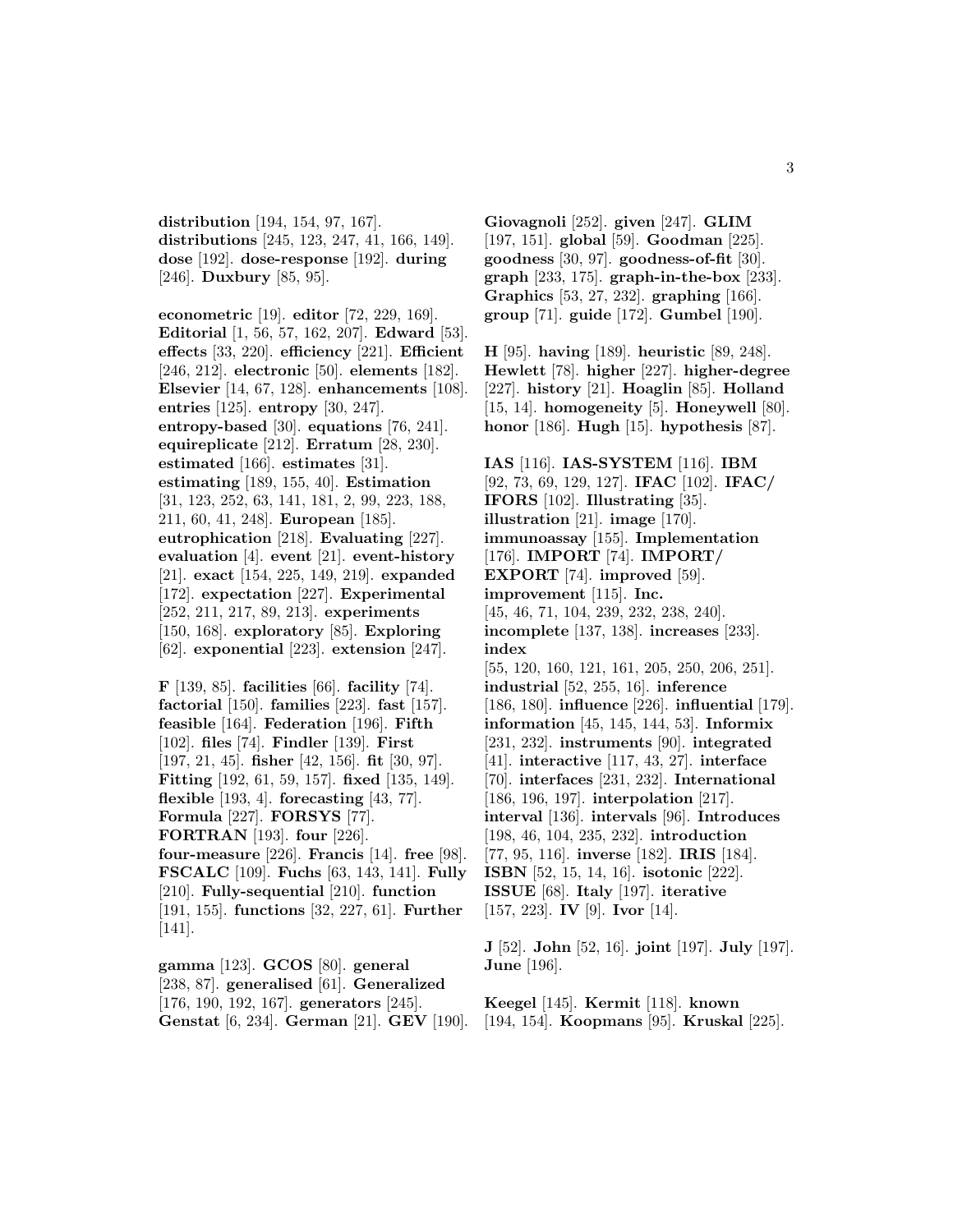**distribution** [194, 154, 97, 167]. **distributions** [245, 123, 247, 41, 166, 149]. **dose** [192]. **dose-response** [192]. **during** [246]. **Duxbury** [85, 95].

**econometric** [19]. **editor** [72, 229, 169]. **Editorial** [1, 56, 57, 162, 207]. **Edward** [53]. **effects** [33, 220]. **efficiency** [221]. **Efficient** [246, 212]. **electronic** [50]. **elements** [182]. **Elsevier** [14, 67, 128]. **enhancements** [108]. **entries** [125]. **entropy** [30, 247]. **entropy-based** [30]. **equations** [76, 241]. **equireplicate** [212]. **Erratum** [28, 230]. **estimated** [166]. **estimates** [31]. **estimating** [189, 155, 40]. **Estimation** [31, 123, 252, 63, 141, 181, 2, 99, 223, 188, 211, 60, 41, 248]. **European** [185]. **eutrophication** [218]. **Evaluating** [227]. **evaluation** [4]. **event** [21]. **event-history** [21]. **exact** [154, 225, 149, 219]. **expanded** [172]. **expectation** [227]. **Experimental** [252, 211, 217, 89, 213]. **experiments** [150, 168]. **exploratory** [85]. **Exploring** [62]. **exponential** [223]. **extension** [247].

**F** [139, 85]. **facilities** [66]. **facility** [74]. **factorial** [150]. **families** [223]. **fast** [157]. **feasible** [164]. **Federation** [196]. **Fifth** [102]. **files** [74]. **Findler** [139]. **First** [197, 21, 45]. **fisher** [42, 156]. **fit** [30, 97]. **Fitting** [192, 61, 59, 157]. **fixed** [135, 149]. **flexible** [193, 4]. **forecasting** [43, 77]. **Formula** [227]. **FORSYS** [77]. **FORTRAN** [193]. **four** [226]. **four-measure** [226]. **Francis** [14]. **free** [98]. **FSCALC** [109]. **Fuchs** [63, 143, 141]. **Fully** [210]. **Fully-sequential** [210]. **function** [191, 155]. **functions** [32, 227, 61]. **Further** [141].

**gamma** [123]. **GCOS** [80]. **general** [238, 87]. **generalised** [61]. **Generalized** [176, 190, 192, 167]. **generators** [245]. **Genstat** [6, 234]. **German** [21]. **GEV** [190].

**Giovagnoli** [252]. **given** [247]. **GLIM** [197, 151]. **global** [59]. **Goodman** [225]. **goodness** [30, 97]. **goodness-of-fit** [30]. **graph** [233, 175]. **graph-in-the-box** [233]. **Graphics** [53, 27, 232]. **graphing** [166]. **group** [71]. **guide** [172]. **Gumbel** [190].

**H** [95]. **having** [189]. **heuristic** [89, 248]. **Hewlett** [78]. **higher** [227]. **higher-degree** [227]. **history** [21]. **Hoaglin** [85]. **Holland** [15, 14]. **homogeneity** [5]. **Honeywell** [80]. **honor** [186]. **Hugh** [15]. **hypothesis** [87].

**IAS** [116]. **IAS-SYSTEM** [116]. **IBM** [92, 73, 69, 129, 127]. **IFAC** [102]. **IFAC/ IFORS** [102]. **Illustrating** [35]. **illustration** [21]. **image** [170]. **immunoassay** [155]. **Implementation** [176]. **IMPORT** [74]. **IMPORT/ EXPORT** [74]. **improved** [59]. **improvement** [115]. **Inc.** [45, 46, 71, 104, 239, 232, 238, 240]. **incomplete** [137, 138]. **increases** [233]. **index** [55, 120, 160, 121, 161, 205, 250, 206, 251]. **industrial** [52, 255, 16]. **inference** [186, 180]. **influence** [226]. **influential** [179]. **information** [45, 145, 144, 53]. **Informix** [231, 232]. **instruments** [90]. **integrated** [41]. **interactive** [117, 43, 27]. **interface** [70]. **interfaces** [231, 232]. **International** [186, 196, 197]. **interpolation** [217]. **interval** [136]. **intervals** [96]. **Introduces** [198, 46, 104, 235, 232]. **introduction** [77, 95, 116]. **inverse** [182]. **IRIS** [184]. **ISBN** [52, 15, 14, 16]. **isotonic** [222]. **ISSUE** [68]. **Italy** [197]. **iterative** [157, 223]. **IV** [9]. **Ivor** [14].

**J** [52]. **John** [52, 16]. **joint** [197]. **July** [197]. **June** [196].

**Keegel** [145]. **Kermit** [118]. **known** [194, 154]. **Koopmans** [95]. **Kruskal** [225].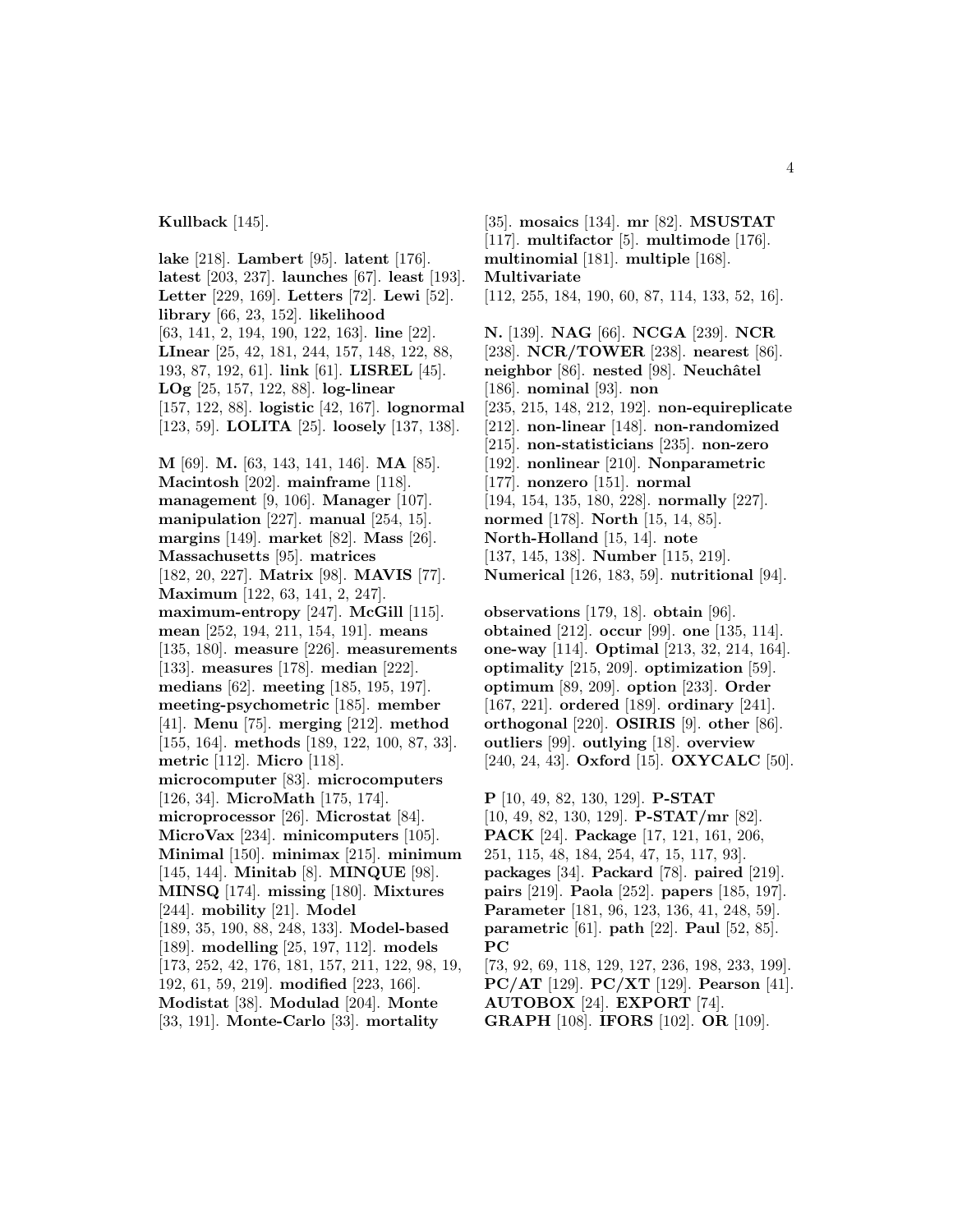**Kullback** [145].

**lake** [218]. **Lambert** [95]. **latent** [176]. **latest** [203, 237]. **launches** [67]. **least** [193]. **Letter** [229, 169]. **Letters** [72]. **Lewi** [52]. **library** [66, 23, 152]. **likelihood** [63, 141, 2, 194, 190, 122, 163]. **line** [22]. **LInear** [25, 42, 181, 244, 157, 148, 122, 88, 193, 87, 192, 61]. **link** [61]. **LISREL** [45]. **LOg** [25, 157, 122, 88]. **log-linear** [157, 122, 88]. **logistic** [42, 167]. **lognormal** [123, 59]. **LOLITA** [25]. **loosely** [137, 138].

**M** [69]. **M.** [63, 143, 141, 146]. **MA** [85]. **Macintosh** [202]. **mainframe** [118]. **management** [9, 106]. **Manager** [107]. **manipulation** [227]. **manual** [254, 15]. **margins** [149]. **market** [82]. **Mass** [26]. **Massachusetts** [95]. **matrices** [182, 20, 227]. **Matrix** [98]. **MAVIS** [77]. **Maximum** [122, 63, 141, 2, 247]. **maximum-entropy** [247]. **McGill** [115]. **mean** [252, 194, 211, 154, 191]. **means** [135, 180]. **measure** [226]. **measurements** [133]. **measures** [178]. **median** [222]. **medians** [62]. **meeting** [185, 195, 197]. **meeting-psychometric** [185]. **member** [41]. **Menu** [75]. **merging** [212]. **method** [155, 164]. **methods** [189, 122, 100, 87, 33]. **metric** [112]. **Micro** [118]. **microcomputer** [83]. **microcomputers** [126, 34]. **MicroMath** [175, 174]. **microprocessor** [26]. **Microstat** [84]. **MicroVax** [234]. **minicomputers** [105]. **Minimal** [150]. **minimax** [215]. **minimum** [145, 144]. **Minitab** [8]. **MINQUE** [98]. **MINSQ** [174]. **missing** [180]. **Mixtures** [244]. **mobility** [21]. **Model** [189, 35, 190, 88, 248, 133]. **Model-based** [189]. **modelling** [25, 197, 112]. **models** [173, 252, 42, 176, 181, 157, 211, 122, 98, 19, 192, 61, 59, 219]. **modified** [223, 166]. **Modistat** [38]. **Modulad** [204]. **Monte** [33, 191]. **Monte-Carlo** [33]. **mortality**

[35]. **mosaics** [134]. **mr** [82]. **MSUSTAT** [117]. **multifactor** [5]. **multimode** [176]. **multinomial** [181]. **multiple** [168]. **Multivariate** [112, 255, 184, 190, 60, 87, 114, 133, 52, 16].

**N.** [139]. **NAG** [66]. **NCGA** [239]. **NCR** [238]. **NCR/TOWER** [238]. **nearest** [86]. **neighbor** [86]. **nested** [98]. **Neuchatel** [186]. **nominal** [93]. **non** [235, 215, 148, 212, 192]. **non-equireplicate** [212]. **non-linear** [148]. **non-randomized** [215]. **non-statisticians** [235]. **non-zero** [192]. **nonlinear** [210]. **Nonparametric** [177]. **nonzero** [151]. **normal** [194, 154, 135, 180, 228]. **normally** [227]. **normed** [178]. **North** [15, 14, 85]. **North-Holland** [15, 14]. **note** [137, 145, 138]. **Number** [115, 219]. **Numerical** [126, 183, 59]. **nutritional** [94].

**observations** [179, 18]. **obtain** [96]. **obtained** [212]. **occur** [99]. **one** [135, 114]. **one-way** [114]. **Optimal** [213, 32, 214, 164]. **optimality** [215, 209]. **optimization** [59]. **optimum** [89, 209]. **option** [233]. **Order** [167, 221]. **ordered** [189]. **ordinary** [241]. **orthogonal** [220]. **OSIRIS** [9]. **other** [86]. **outliers** [99]. **outlying** [18]. **overview** [240, 24, 43]. **Oxford** [15]. **OXYCALC** [50].

**P** [10, 49, 82, 130, 129]. **P-STAT** [10, 49, 82, 130, 129]. **P-STAT/mr** [82]. **PACK** [24]. **Package** [17, 121, 161, 206, 251, 115, 48, 184, 254, 47, 15, 117, 93]. **packages** [34]. **Packard** [78]. **paired** [219]. **pairs** [219]. **Paola** [252]. **papers** [185, 197]. **Parameter** [181, 96, 123, 136, 41, 248, 59]. **parametric** [61]. **path** [22]. **Paul** [52, 85]. **PC**

[73, 92, 69, 118, 129, 127, 236, 198, 233, 199]. **PC/AT** [129]. **PC/XT** [129]. **Pearson** [41]. **AUTOBOX** [24]. **EXPORT** [74]. **GRAPH** [108]. **IFORS** [102]. **OR** [109].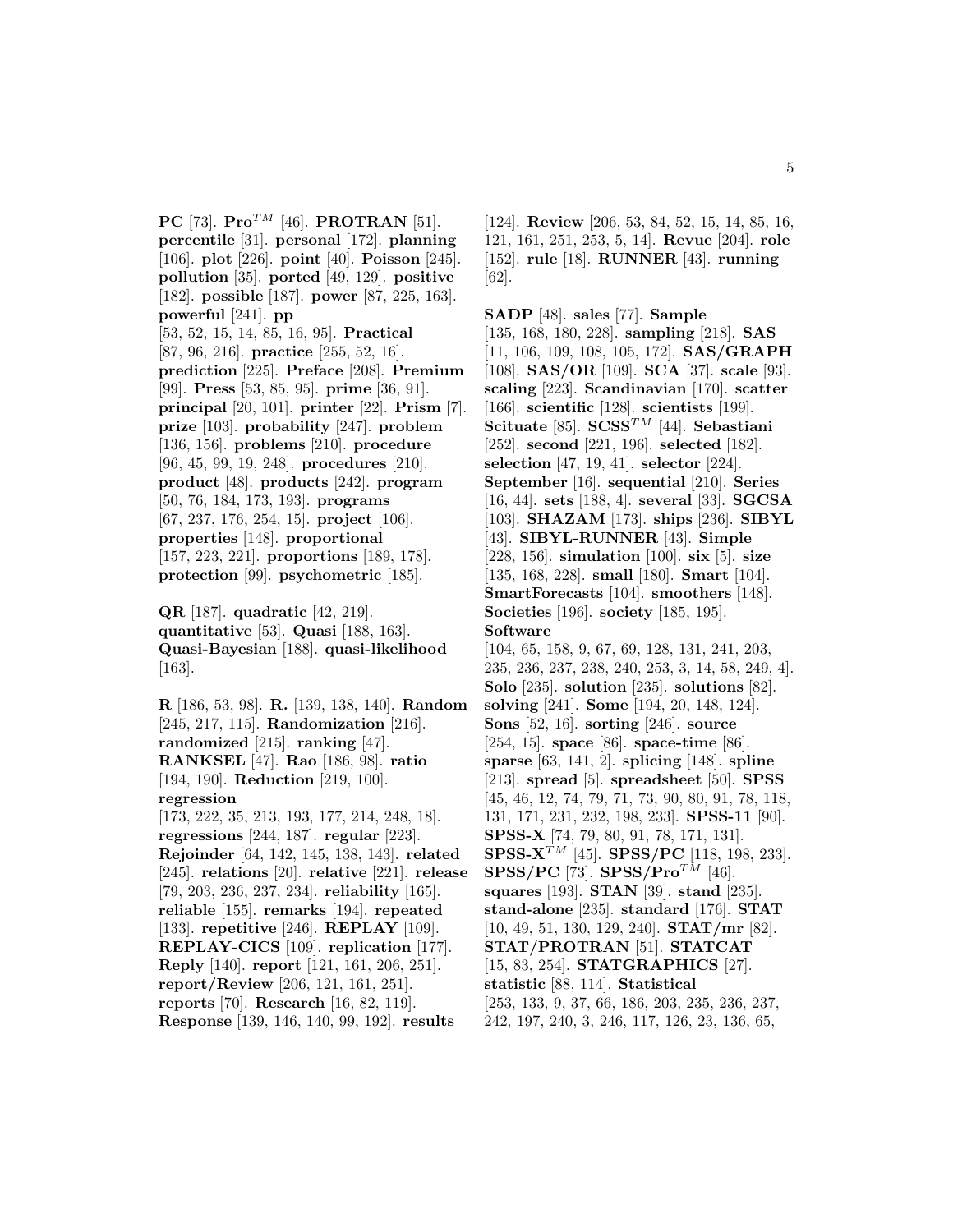**PC** [73]. **Pro**<sup>TM</sup> [46]. **PROTRAN** [51]. **percentile** [31]. **personal** [172]. **planning** [106]. **plot** [226]. **point** [40]. **Poisson** [245]. **pollution** [35]. **ported** [49, 129]. **positive** [182]. **possible** [187]. **power** [87, 225, 163]. **powerful** [241]. **pp** [53, 52, 15, 14, 85, 16, 95]. **Practical** [87, 96, 216]. **practice** [255, 52, 16]. **prediction** [225]. **Preface** [208]. **Premium** [99]. **Press** [53, 85, 95]. **prime** [36, 91]. **principal** [20, 101]. **printer** [22]. **Prism** [7]. **prize** [103]. **probability** [247]. **problem** [136, 156]. **problems** [210]. **procedure** [96, 45, 99, 19, 248]. **procedures** [210]. **product** [48]. **products** [242]. **program** [50, 76, 184, 173, 193]. **programs** [67, 237, 176, 254, 15]. **project** [106]. **properties** [148]. **proportional** [157, 223, 221]. **proportions** [189, 178]. **protection** [99]. **psychometric** [185].

**QR** [187]. **quadratic** [42, 219]. **quantitative** [53]. **Quasi** [188, 163]. **Quasi-Bayesian** [188]. **quasi-likelihood** [163].

**R** [186, 53, 98]. **R.** [139, 138, 140]. **Random** [245, 217, 115]. **Randomization** [216]. **randomized** [215]. **ranking** [47]. **RANKSEL** [47]. **Rao** [186, 98]. **ratio** [194, 190]. **Reduction** [219, 100]. **regression** [173, 222, 35, 213, 193, 177, 214, 248, 18]. **regressions** [244, 187]. **regular** [223]. **Rejoinder** [64, 142, 145, 138, 143]. **related** [245]. **relations** [20]. **relative** [221]. **release** [79, 203, 236, 237, 234]. **reliability** [165]. **reliable** [155]. **remarks** [194]. **repeated** [133]. **repetitive** [246]. **REPLAY** [109]. **REPLAY-CICS** [109]. **replication** [177]. **Reply** [140]. **report** [121, 161, 206, 251]. **report/Review** [206, 121, 161, 251]. **reports** [70]. **Research** [16, 82, 119]. **Response** [139, 146, 140, 99, 192]. **results**

[124]. **Review** [206, 53, 84, 52, 15, 14, 85, 16, 121, 161, 251, 253, 5, 14]. **Revue** [204]. **role** [152]. **rule** [18]. **RUNNER** [43]. **running** [62].

**SADP** [48]. **sales** [77]. **Sample** [135, 168, 180, 228]. **sampling** [218]. **SAS** [11, 106, 109, 108, 105, 172]. **SAS/GRAPH** [108]. **SAS/OR** [109]. **SCA** [37]. **scale** [93]. **scaling** [223]. **Scandinavian** [170]. **scatter** [166]. **scientific** [128]. **scientists** [199]. **Scituate** [85]. **SCSS**TM [44]. **Sebastiani** [252]. **second** [221, 196]. **selected** [182]. **selection** [47, 19, 41]. **selector** [224]. **September** [16]. **sequential** [210]. **Series** [16, 44]. **sets** [188, 4]. **several** [33]. **SGCSA** [103]. **SHAZAM** [173]. **ships** [236]. **SIBYL** [43]. **SIBYL-RUNNER** [43]. **Simple** [228, 156]. **simulation** [100]. **six** [5]. **size** [135, 168, 228]. **small** [180]. **Smart** [104]. **SmartForecasts** [104]. **smoothers** [148]. **Societies** [196]. **society** [185, 195]. **Software** [104, 65, 158, 9, 67, 69, 128, 131, 241, 203, 235, 236, 237, 238, 240, 253, 3, 14, 58, 249, 4]. **Solo** [235]. **solution** [235]. **solutions** [82]. **solving** [241]. **Some** [194, 20, 148, 124]. **Sons** [52, 16]. **sorting** [246]. **source** [254, 15]. **space** [86]. **space-time** [86]. **sparse** [63, 141, 2]. **splicing** [148]. **spline** [213]. **spread** [5]. **spreadsheet** [50]. **SPSS** [45, 46, 12, 74, 79, 71, 73, 90, 80, 91, 78, 118, 131, 171, 231, 232, 198, 233]. **SPSS-11** [90]. **SPSS-X** [74, 79, 80, 91, 78, 171, 131]. **SPSS-X**TM [45]. **SPSS/PC** [118, 198, 233]. **SPSS/PC** [73]. **SPSS/Pro**<sup>TM</sup> [46]. **squares** [193]. **STAN** [39]. **stand** [235]. **stand-alone** [235]. **standard** [176]. **STAT** [10, 49, 51, 130, 129, 240]. **STAT/mr** [82]. **STAT/PROTRAN** [51]. **STATCAT** [15, 83, 254]. **STATGRAPHICS** [27]. **statistic** [88, 114]. **Statistical** [253, 133, 9, 37, 66, 186, 203, 235, 236, 237,

242, 197, 240, 3, 246, 117, 126, 23, 136, 65,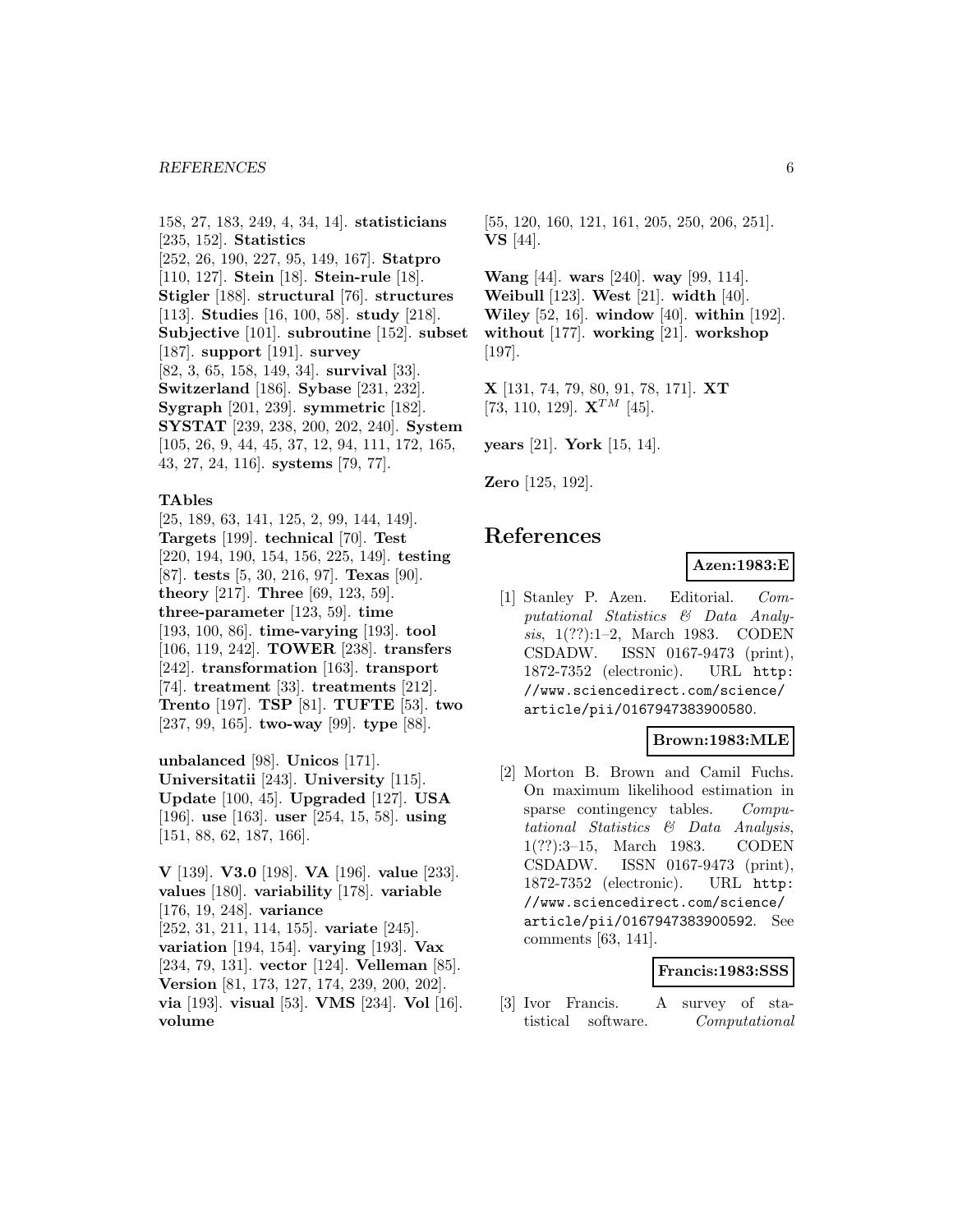158, 27, 183, 249, 4, 34, 14]. **statisticians** [235, 152]. **Statistics** [252, 26, 190, 227, 95, 149, 167]. **Statpro** [110, 127]. **Stein** [18]. **Stein-rule** [18]. **Stigler** [188]. **structural** [76]. **structures** [113]. **Studies** [16, 100, 58]. **study** [218]. **Subjective** [101]. **subroutine** [152]. **subset** [187]. **support** [191]. **survey** [82, 3, 65, 158, 149, 34]. **survival** [33]. **Switzerland** [186]. **Sybase** [231, 232]. **Sygraph** [201, 239]. **symmetric** [182]. **SYSTAT** [239, 238, 200, 202, 240]. **System** [105, 26, 9, 44, 45, 37, 12, 94, 111, 172, 165, 43, 27, 24, 116]. **systems** [79, 77].

#### **TAbles**

[25, 189, 63, 141, 125, 2, 99, 144, 149]. **Targets** [199]. **technical** [70]. **Test** [220, 194, 190, 154, 156, 225, 149]. **testing** [87]. **tests** [5, 30, 216, 97]. **Texas** [90]. **theory** [217]. **Three** [69, 123, 59]. **three-parameter** [123, 59]. **time** [193, 100, 86]. **time-varying** [193]. **tool** [106, 119, 242]. **TOWER** [238]. **transfers** [242]. **transformation** [163]. **transport** [74]. **treatment** [33]. **treatments** [212]. **Trento** [197]. **TSP** [81]. **TUFTE** [53]. **two** [237, 99, 165]. **two-way** [99]. **type** [88].

**unbalanced** [98]. **Unicos** [171]. **Universitatii** [243]. **University** [115]. **Update** [100, 45]. **Upgraded** [127]. **USA** [196]. **use** [163]. **user** [254, 15, 58]. **using** [151, 88, 62, 187, 166].

**V** [139]. **V3.0** [198]. **VA** [196]. **value** [233]. **values** [180]. **variability** [178]. **variable** [176, 19, 248]. **variance** [252, 31, 211, 114, 155]. **variate** [245]. **variation** [194, 154]. **varying** [193]. **Vax** [234, 79, 131]. **vector** [124]. **Velleman** [85]. **Version** [81, 173, 127, 174, 239, 200, 202]. **via** [193]. **visual** [53]. **VMS** [234]. **Vol** [16]. **volume**

[55, 120, 160, 121, 161, 205, 250, 206, 251]. **VS** [44].

**Wang** [44]. **wars** [240]. **way** [99, 114]. **Weibull** [123]. **West** [21]. **width** [40]. **Wiley** [52, 16]. **window** [40]. **within** [192]. **without** [177]. **working** [21]. **workshop** [197].

**X** [131, 74, 79, 80, 91, 78, 171]. **XT** [73, 110, 129].  $X^{TM}$  [45].

**years** [21]. **York** [15, 14].

**Zero** [125, 192].

# **References**

### **Azen:1983:E**

[1] Stanley P. Azen. Editorial. Computational Statistics & Data Analysis, 1(??):1–2, March 1983. CODEN CSDADW. ISSN 0167-9473 (print), 1872-7352 (electronic). URL http: //www.sciencedirect.com/science/ article/pii/0167947383900580.

### **Brown:1983:MLE**

[2] Morton B. Brown and Camil Fuchs. On maximum likelihood estimation in sparse contingency tables. Computational Statistics & Data Analysis, 1(??):3–15, March 1983. CODEN CSDADW. ISSN 0167-9473 (print), 1872-7352 (electronic). URL http: //www.sciencedirect.com/science/ article/pii/0167947383900592. See comments [63, 141].

# **Francis:1983:SSS**

[3] Ivor Francis. A survey of statistical software. Computational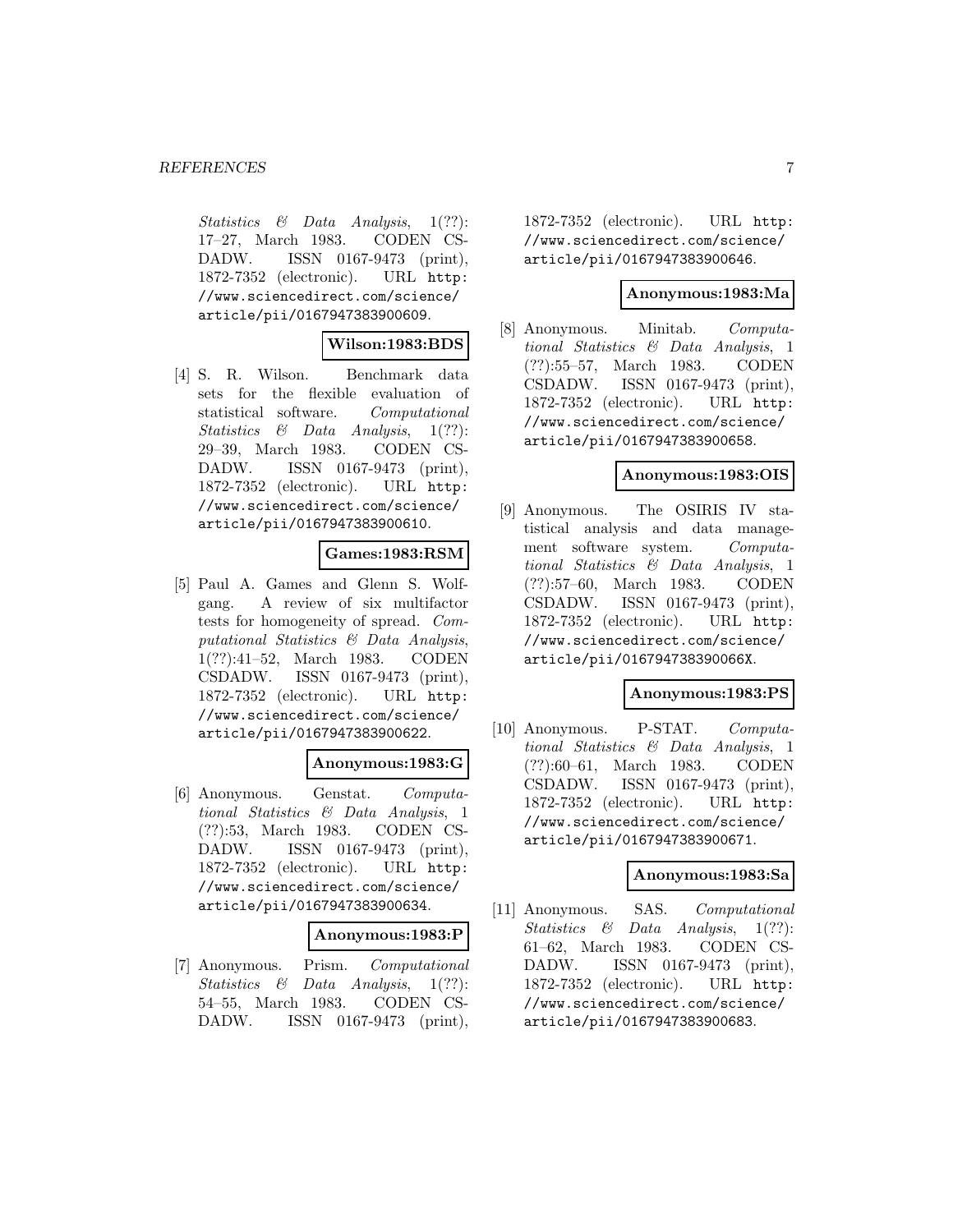Statistics & Data Analysis, 1(??): 17–27, March 1983. CODEN CS-DADW. ISSN 0167-9473 (print), 1872-7352 (electronic). URL http: //www.sciencedirect.com/science/ article/pii/0167947383900609.

# **Wilson:1983:BDS**

[4] S. R. Wilson. Benchmark data sets for the flexible evaluation of statistical software. Computational Statistics & Data Analysis, 1(??): 29–39, March 1983. CODEN CS-DADW. ISSN 0167-9473 (print), 1872-7352 (electronic). URL http: //www.sciencedirect.com/science/ article/pii/0167947383900610.

# **Games:1983:RSM**

[5] Paul A. Games and Glenn S. Wolfgang. A review of six multifactor tests for homogeneity of spread. Computational Statistics & Data Analysis, 1(??):41–52, March 1983. CODEN CSDADW. ISSN 0167-9473 (print), 1872-7352 (electronic). URL http: //www.sciencedirect.com/science/ article/pii/0167947383900622.

### **Anonymous:1983:G**

[6] Anonymous. Genstat. Computational Statistics & Data Analysis, 1 (??):53, March 1983. CODEN CS-DADW. ISSN 0167-9473 (print), 1872-7352 (electronic). URL http: //www.sciencedirect.com/science/ article/pii/0167947383900634.

#### **Anonymous:1983:P**

[7] Anonymous. Prism. Computational Statistics & Data Analysis, 1(??): 54–55, March 1983. CODEN CS-DADW. ISSN 0167-9473 (print),

1872-7352 (electronic). URL http: //www.sciencedirect.com/science/ article/pii/0167947383900646.

#### **Anonymous:1983:Ma**

[8] Anonymous. Minitab. Computational Statistics & Data Analysis, 1 (??):55–57, March 1983. CODEN CSDADW. ISSN 0167-9473 (print), 1872-7352 (electronic). URL http: //www.sciencedirect.com/science/ article/pii/0167947383900658.

### **Anonymous:1983:OIS**

[9] Anonymous. The OSIRIS IV statistical analysis and data management software system. Computational Statistics & Data Analysis, 1 (??):57–60, March 1983. CODEN CSDADW. ISSN 0167-9473 (print), 1872-7352 (electronic). URL http: //www.sciencedirect.com/science/ article/pii/016794738390066X.

# **Anonymous:1983:PS**

[10] Anonymous. P-STAT. Computational Statistics & Data Analysis, 1 (??):60–61, March 1983. CODEN CSDADW. ISSN 0167-9473 (print), 1872-7352 (electronic). URL http: //www.sciencedirect.com/science/ article/pii/0167947383900671.

## **Anonymous:1983:Sa**

[11] Anonymous. SAS. Computational Statistics & Data Analysis, 1(??): 61–62, March 1983. CODEN CS-DADW. ISSN 0167-9473 (print), 1872-7352 (electronic). URL http: //www.sciencedirect.com/science/ article/pii/0167947383900683.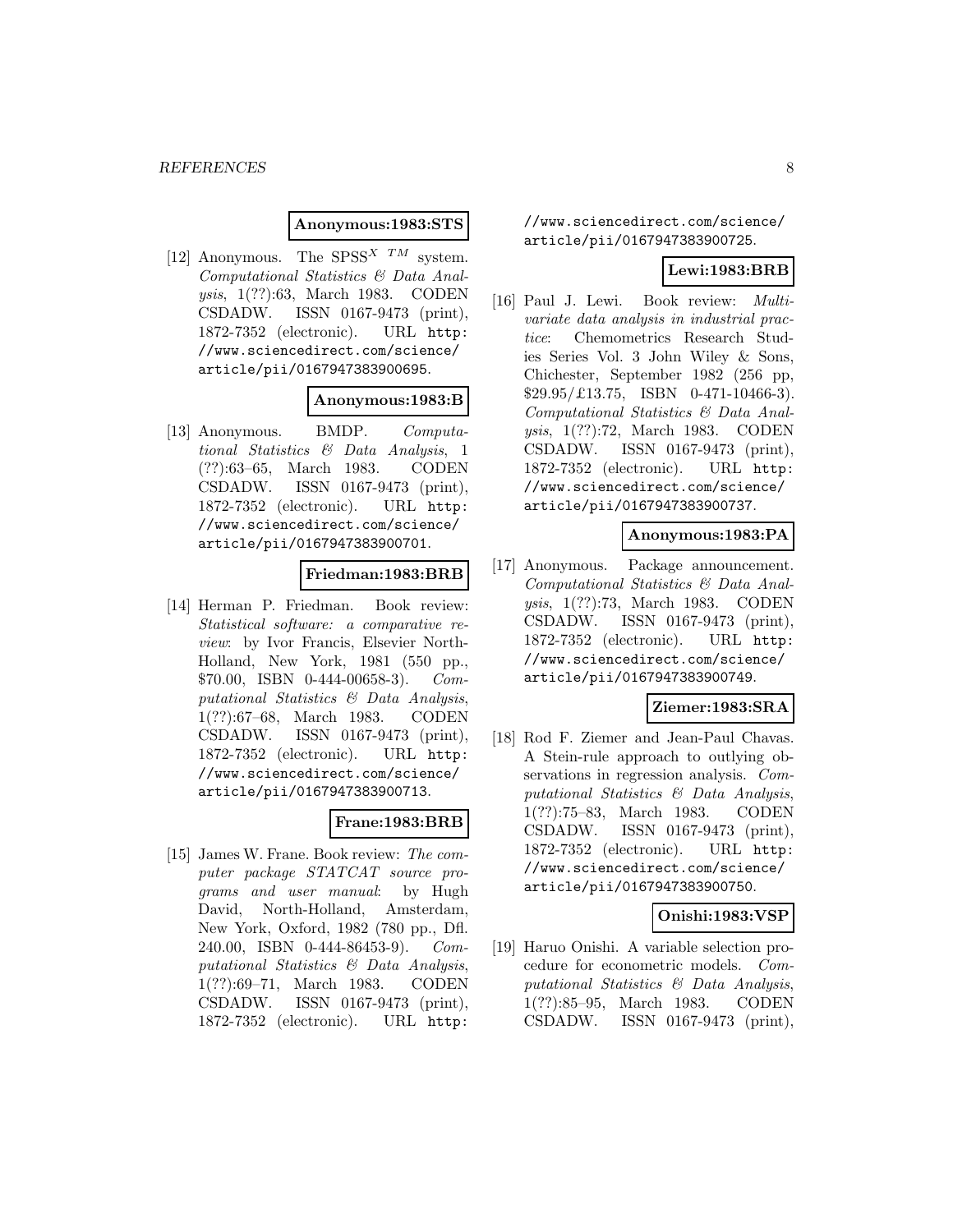# **Anonymous:1983:STS**

[12] Anonymous. The SPSS<sup>X TM</sup> system. Computational Statistics & Data Analysis, 1(??):63, March 1983. CODEN CSDADW. ISSN 0167-9473 (print), 1872-7352 (electronic). URL http: //www.sciencedirect.com/science/ article/pii/0167947383900695.

### **Anonymous:1983:B**

[13] Anonymous. BMDP. Computational Statistics & Data Analysis, 1 (??):63–65, March 1983. CODEN CSDADW. ISSN 0167-9473 (print), 1872-7352 (electronic). URL http: //www.sciencedirect.com/science/ article/pii/0167947383900701.

### **Friedman:1983:BRB**

[14] Herman P. Friedman. Book review: Statistical software: a comparative review: by Ivor Francis, Elsevier North-Holland, New York, 1981 (550 pp., \$70.00, ISBN 0-444-00658-3). Computational Statistics & Data Analysis, 1(??):67–68, March 1983. CODEN CSDADW. ISSN 0167-9473 (print), 1872-7352 (electronic). URL http: //www.sciencedirect.com/science/ article/pii/0167947383900713.

### **Frane:1983:BRB**

[15] James W. Frane. Book review: The computer package STATCAT source programs and user manual: by Hugh David, North-Holland, Amsterdam, New York, Oxford, 1982 (780 pp., Dfl. 240.00, ISBN 0-444-86453-9). Computational Statistics & Data Analysis, 1(??):69–71, March 1983. CODEN CSDADW. ISSN 0167-9473 (print), 1872-7352 (electronic). URL http:

//www.sciencedirect.com/science/ article/pii/0167947383900725.

### **Lewi:1983:BRB**

[16] Paul J. Lewi. Book review: Multivariate data analysis in industrial practice: Chemometrics Research Studies Series Vol. 3 John Wiley & Sons, Chichester, September 1982 (256 pp, \$29.95/£13.75, ISBN 0-471-10466-3). Computational Statistics & Data Analysis, 1(??):72, March 1983. CODEN CSDADW. ISSN 0167-9473 (print), 1872-7352 (electronic). URL http: //www.sciencedirect.com/science/ article/pii/0167947383900737.

### **Anonymous:1983:PA**

[17] Anonymous. Package announcement. Computational Statistics & Data Analysis, 1(??):73, March 1983. CODEN CSDADW. ISSN 0167-9473 (print), 1872-7352 (electronic). URL http: //www.sciencedirect.com/science/ article/pii/0167947383900749.

# **Ziemer:1983:SRA**

[18] Rod F. Ziemer and Jean-Paul Chavas. A Stein-rule approach to outlying observations in regression analysis. Computational Statistics & Data Analysis, 1(??):75–83, March 1983. CODEN CSDADW. ISSN 0167-9473 (print), 1872-7352 (electronic). URL http: //www.sciencedirect.com/science/ article/pii/0167947383900750.

### **Onishi:1983:VSP**

[19] Haruo Onishi. A variable selection procedure for econometric models. Computational Statistics & Data Analysis, 1(??):85–95, March 1983. CODEN CSDADW. ISSN 0167-9473 (print),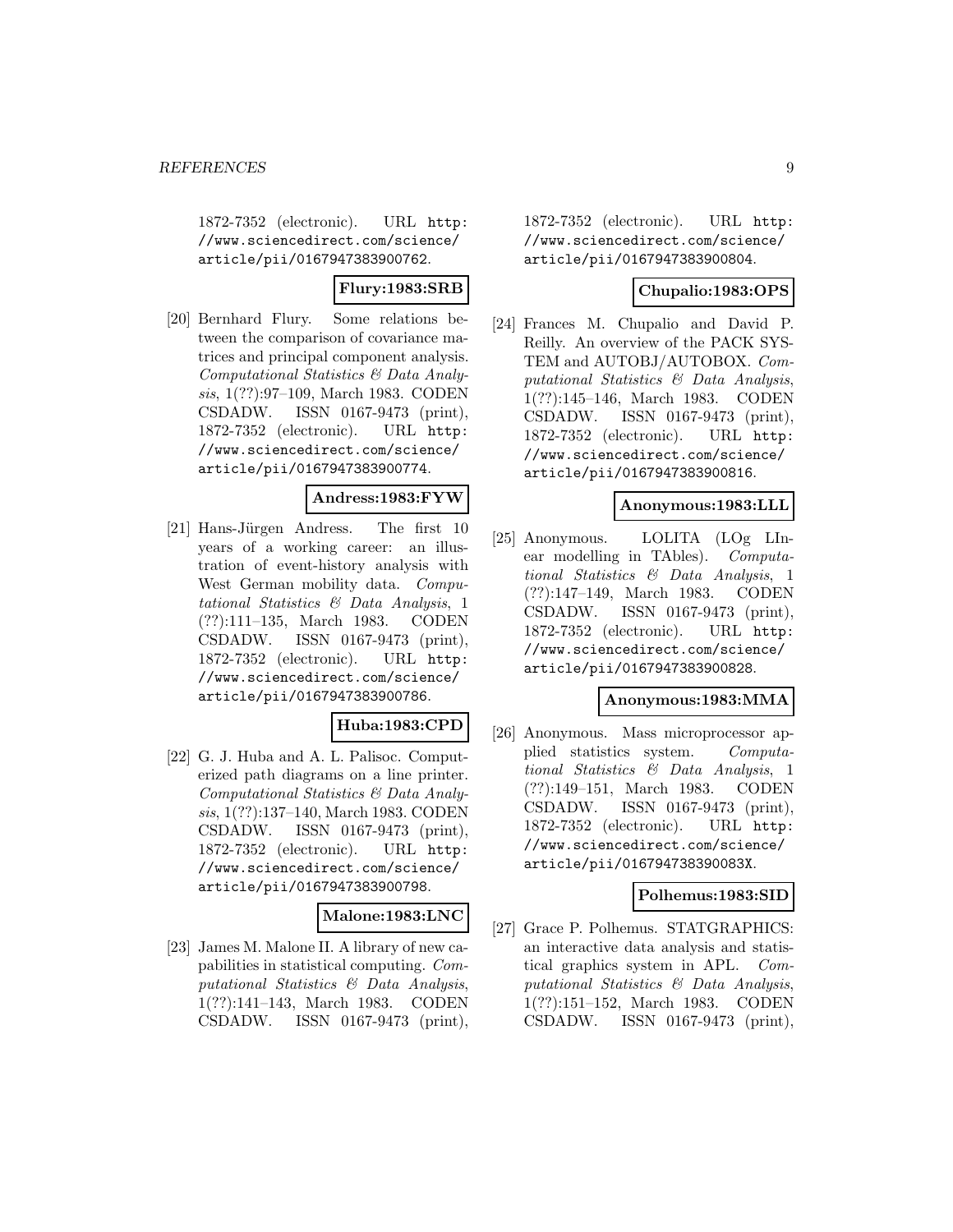1872-7352 (electronic). URL http: //www.sciencedirect.com/science/ article/pii/0167947383900762.

# **Flury:1983:SRB**

[20] Bernhard Flury. Some relations between the comparison of covariance matrices and principal component analysis. Computational Statistics & Data Analysis, 1(??):97–109, March 1983. CODEN CSDADW. ISSN 0167-9473 (print), 1872-7352 (electronic). URL http: //www.sciencedirect.com/science/ article/pii/0167947383900774.

### **Andress:1983:FYW**

[21] Hans-Jürgen Andress. The first 10 years of a working career: an illustration of event-history analysis with West German mobility data. Computational Statistics & Data Analysis, 1 (??):111–135, March 1983. CODEN CSDADW. ISSN 0167-9473 (print), 1872-7352 (electronic). URL http: //www.sciencedirect.com/science/ article/pii/0167947383900786.

# **Huba:1983:CPD**

[22] G. J. Huba and A. L. Palisoc. Computerized path diagrams on a line printer. Computational Statistics & Data Analysis, 1(??):137–140, March 1983. CODEN CSDADW. ISSN 0167-9473 (print), 1872-7352 (electronic). URL http: //www.sciencedirect.com/science/ article/pii/0167947383900798.

# **Malone:1983:LNC**

[23] James M. Malone II. A library of new capabilities in statistical computing. Computational Statistics & Data Analysis, 1(??):141–143, March 1983. CODEN CSDADW. ISSN 0167-9473 (print), 1872-7352 (electronic). URL http: //www.sciencedirect.com/science/ article/pii/0167947383900804.

### **Chupalio:1983:OPS**

[24] Frances M. Chupalio and David P. Reilly. An overview of the PACK SYS-TEM and AUTOBJ/AUTOBOX. Computational Statistics & Data Analysis, 1(??):145–146, March 1983. CODEN CSDADW. ISSN 0167-9473 (print), 1872-7352 (electronic). URL http: //www.sciencedirect.com/science/ article/pii/0167947383900816.

### **Anonymous:1983:LLL**

[25] Anonymous. LOLITA (LOg LInear modelling in TAbles). Computational Statistics & Data Analysis, 1 (??):147–149, March 1983. CODEN CSDADW. ISSN 0167-9473 (print), 1872-7352 (electronic). URL http: //www.sciencedirect.com/science/ article/pii/0167947383900828.

### **Anonymous:1983:MMA**

[26] Anonymous. Mass microprocessor applied statistics system. Computational Statistics & Data Analysis, 1 (??):149–151, March 1983. CODEN CSDADW. ISSN 0167-9473 (print), 1872-7352 (electronic). URL http: //www.sciencedirect.com/science/ article/pii/016794738390083X.

### **Polhemus:1983:SID**

[27] Grace P. Polhemus. STATGRAPHICS: an interactive data analysis and statistical graphics system in APL. Computational Statistics & Data Analysis, 1(??):151–152, March 1983. CODEN CSDADW. ISSN 0167-9473 (print),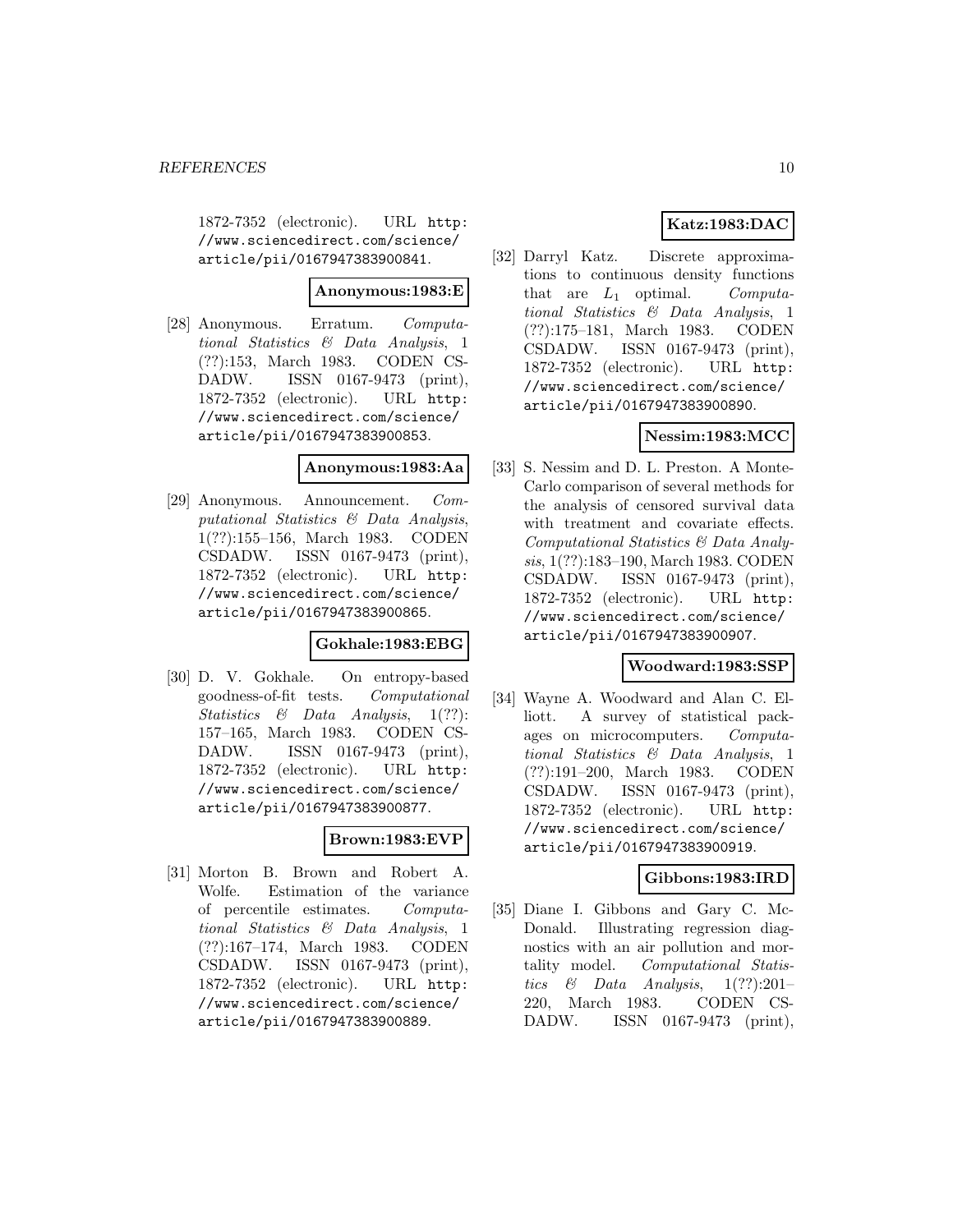1872-7352 (electronic). URL http: //www.sciencedirect.com/science/ article/pii/0167947383900841.

### **Anonymous:1983:E**

[28] Anonymous. Erratum. Computational Statistics & Data Analysis, 1 (??):153, March 1983. CODEN CS-DADW. ISSN 0167-9473 (print), 1872-7352 (electronic). URL http: //www.sciencedirect.com/science/ article/pii/0167947383900853.

#### **Anonymous:1983:Aa**

[29] Anonymous. Announcement. Computational Statistics & Data Analysis, 1(??):155–156, March 1983. CODEN CSDADW. ISSN 0167-9473 (print), 1872-7352 (electronic). URL http: //www.sciencedirect.com/science/ article/pii/0167947383900865.

### **Gokhale:1983:EBG**

[30] D. V. Gokhale. On entropy-based goodness-of-fit tests. Computational Statistics & Data Analysis, 1(??): 157–165, March 1983. CODEN CS-DADW. ISSN 0167-9473 (print), 1872-7352 (electronic). URL http: //www.sciencedirect.com/science/ article/pii/0167947383900877.

# **Brown:1983:EVP**

[31] Morton B. Brown and Robert A. Wolfe. Estimation of the variance of percentile estimates. Computational Statistics & Data Analysis, 1 (??):167–174, March 1983. CODEN CSDADW. ISSN 0167-9473 (print), 1872-7352 (electronic). URL http: //www.sciencedirect.com/science/ article/pii/0167947383900889.

# **Katz:1983:DAC**

[32] Darryl Katz. Discrete approximations to continuous density functions that are  $L_1$  optimal. Computational Statistics & Data Analysis, 1 (??):175–181, March 1983. CODEN CSDADW. ISSN 0167-9473 (print), 1872-7352 (electronic). URL http: //www.sciencedirect.com/science/ article/pii/0167947383900890.

# **Nessim:1983:MCC**

[33] S. Nessim and D. L. Preston. A Monte-Carlo comparison of several methods for the analysis of censored survival data with treatment and covariate effects. Computational Statistics & Data Analysis, 1(??):183–190, March 1983. CODEN CSDADW. ISSN 0167-9473 (print), 1872-7352 (electronic). URL http: //www.sciencedirect.com/science/ article/pii/0167947383900907.

# **Woodward:1983:SSP**

[34] Wayne A. Woodward and Alan C. Elliott. A survey of statistical packages on microcomputers. Computational Statistics & Data Analysis, 1 (??):191–200, March 1983. CODEN CSDADW. ISSN 0167-9473 (print), 1872-7352 (electronic). URL http: //www.sciencedirect.com/science/ article/pii/0167947383900919.

### **Gibbons:1983:IRD**

[35] Diane I. Gibbons and Gary C. Mc-Donald. Illustrating regression diagnostics with an air pollution and mortality model. Computational Statistics & Data Analysis,  $1(??):201-$ 220, March 1983. CODEN CS-DADW. ISSN 0167-9473 (print),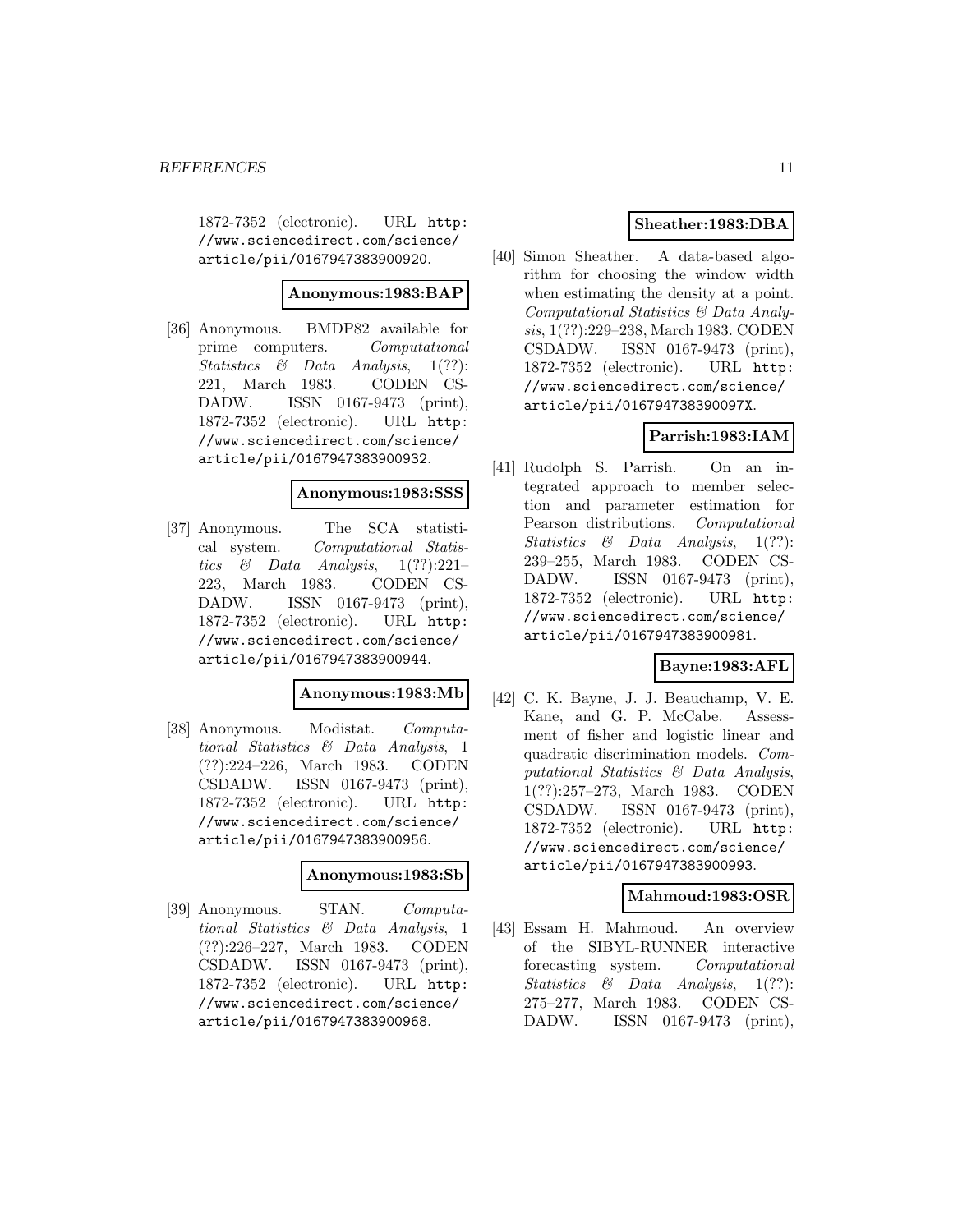1872-7352 (electronic). URL http: //www.sciencedirect.com/science/ article/pii/0167947383900920.

#### **Anonymous:1983:BAP**

[36] Anonymous. BMDP82 available for prime computers. Computational Statistics & Data Analysis, 1(??): 221, March 1983. CODEN CS-DADW. ISSN 0167-9473 (print), 1872-7352 (electronic). URL http: //www.sciencedirect.com/science/ article/pii/0167947383900932.

### **Anonymous:1983:SSS**

[37] Anonymous. The SCA statistical system. Computational Statistics & Data Analysis,  $1(??):221-$ 223, March 1983. CODEN CS-DADW. ISSN 0167-9473 (print), 1872-7352 (electronic). URL http: //www.sciencedirect.com/science/ article/pii/0167947383900944.

# **Anonymous:1983:Mb**

[38] Anonymous. Modistat. Computational Statistics & Data Analysis, 1 (??):224–226, March 1983. CODEN CSDADW. ISSN 0167-9473 (print), 1872-7352 (electronic). URL http: //www.sciencedirect.com/science/ article/pii/0167947383900956.

#### **Anonymous:1983:Sb**

[39] Anonymous. STAN. Computational Statistics & Data Analysis, 1 (??):226–227, March 1983. CODEN CSDADW. ISSN 0167-9473 (print), 1872-7352 (electronic). URL http: //www.sciencedirect.com/science/ article/pii/0167947383900968.

# **Sheather:1983:DBA**

[40] Simon Sheather. A data-based algorithm for choosing the window width when estimating the density at a point. Computational Statistics & Data Analysis, 1(??):229–238, March 1983. CODEN CSDADW. ISSN 0167-9473 (print), 1872-7352 (electronic). URL http: //www.sciencedirect.com/science/ article/pii/016794738390097X.

# **Parrish:1983:IAM**

[41] Rudolph S. Parrish. On an integrated approach to member selection and parameter estimation for Pearson distributions. Computational Statistics & Data Analysis, 1(??): 239–255, March 1983. CODEN CS-DADW. ISSN 0167-9473 (print), 1872-7352 (electronic). URL http: //www.sciencedirect.com/science/ article/pii/0167947383900981.

# **Bayne:1983:AFL**

[42] C. K. Bayne, J. J. Beauchamp, V. E. Kane, and G. P. McCabe. Assessment of fisher and logistic linear and quadratic discrimination models. Computational Statistics & Data Analysis, 1(??):257–273, March 1983. CODEN CSDADW. ISSN 0167-9473 (print), 1872-7352 (electronic). URL http: //www.sciencedirect.com/science/ article/pii/0167947383900993.

### **Mahmoud:1983:OSR**

[43] Essam H. Mahmoud. An overview of the SIBYL-RUNNER interactive forecasting system. Computational Statistics & Data Analysis, 1(??): 275–277, March 1983. CODEN CS-DADW. ISSN 0167-9473 (print),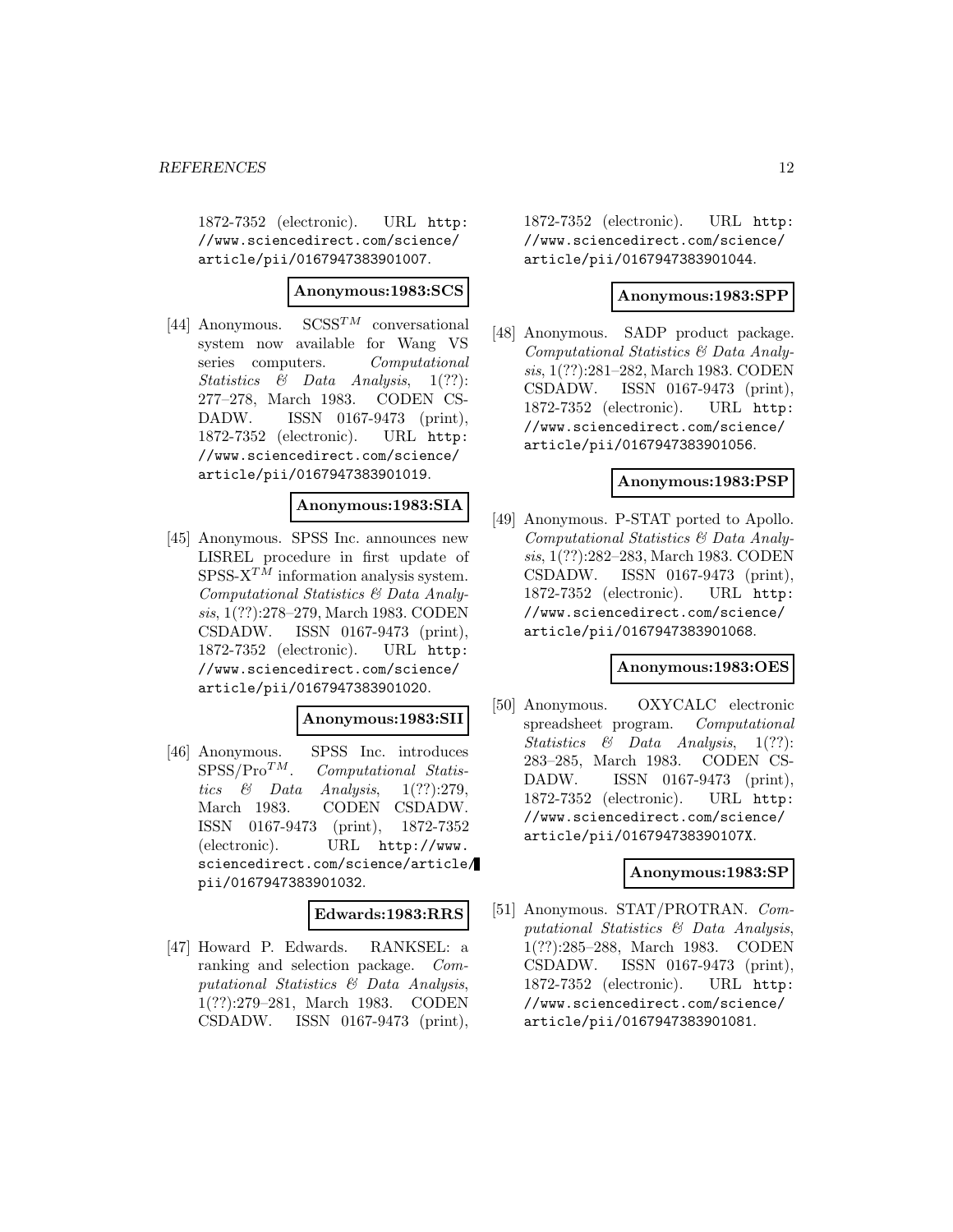1872-7352 (electronic). URL http: //www.sciencedirect.com/science/ article/pii/0167947383901007.

### **Anonymous:1983:SCS**

[44] Anonymous.  $SCSS^{TM}$  conversational system now available for Wang VS series computers. Computational Statistics  $\&$  Data Analysis, 1(??): 277–278, March 1983. CODEN CS-DADW. ISSN 0167-9473 (print), 1872-7352 (electronic). URL http: //www.sciencedirect.com/science/ article/pii/0167947383901019.

# **Anonymous:1983:SIA**

[45] Anonymous. SPSS Inc. announces new LISREL procedure in first update of  $SPSS-X^{TM}$  information analysis system. Computational Statistics & Data Analysis, 1(??):278–279, March 1983. CODEN CSDADW. ISSN 0167-9473 (print), 1872-7352 (electronic). URL http: //www.sciencedirect.com/science/ article/pii/0167947383901020.

### **Anonymous:1983:SII**

[46] Anonymous. SPSS Inc. introduces  $SPSS/Pro^{TM}$ . *Computational Statis-*Computational Statistics  $\&$  Data Analysis, 1(??):279, March 1983. CODEN CSDADW. ISSN 0167-9473 (print), 1872-7352 (electronic). URL http://www. sciencedirect.com/science/article/ pii/0167947383901032.

### **Edwards:1983:RRS**

[47] Howard P. Edwards. RANKSEL: a ranking and selection package. Computational Statistics & Data Analysis, 1(??):279–281, March 1983. CODEN CSDADW. ISSN 0167-9473 (print),

1872-7352 (electronic). URL http: //www.sciencedirect.com/science/ article/pii/0167947383901044.

### **Anonymous:1983:SPP**

[48] Anonymous. SADP product package. Computational Statistics & Data Analysis, 1(??):281–282, March 1983. CODEN CSDADW. ISSN 0167-9473 (print), 1872-7352 (electronic). URL http: //www.sciencedirect.com/science/ article/pii/0167947383901056.

### **Anonymous:1983:PSP**

[49] Anonymous. P-STAT ported to Apollo. Computational Statistics & Data Analysis, 1(??):282–283, March 1983. CODEN CSDADW. ISSN 0167-9473 (print), 1872-7352 (electronic). URL http: //www.sciencedirect.com/science/ article/pii/0167947383901068.

### **Anonymous:1983:OES**

[50] Anonymous. OXYCALC electronic spreadsheet program. Computational Statistics & Data Analysis, 1(??): 283–285, March 1983. CODEN CS-DADW. ISSN 0167-9473 (print), 1872-7352 (electronic). URL http: //www.sciencedirect.com/science/ article/pii/016794738390107X.

### **Anonymous:1983:SP**

[51] Anonymous. STAT/PROTRAN. Computational Statistics & Data Analysis, 1(??):285–288, March 1983. CODEN CSDADW. ISSN 0167-9473 (print), 1872-7352 (electronic). URL http: //www.sciencedirect.com/science/ article/pii/0167947383901081.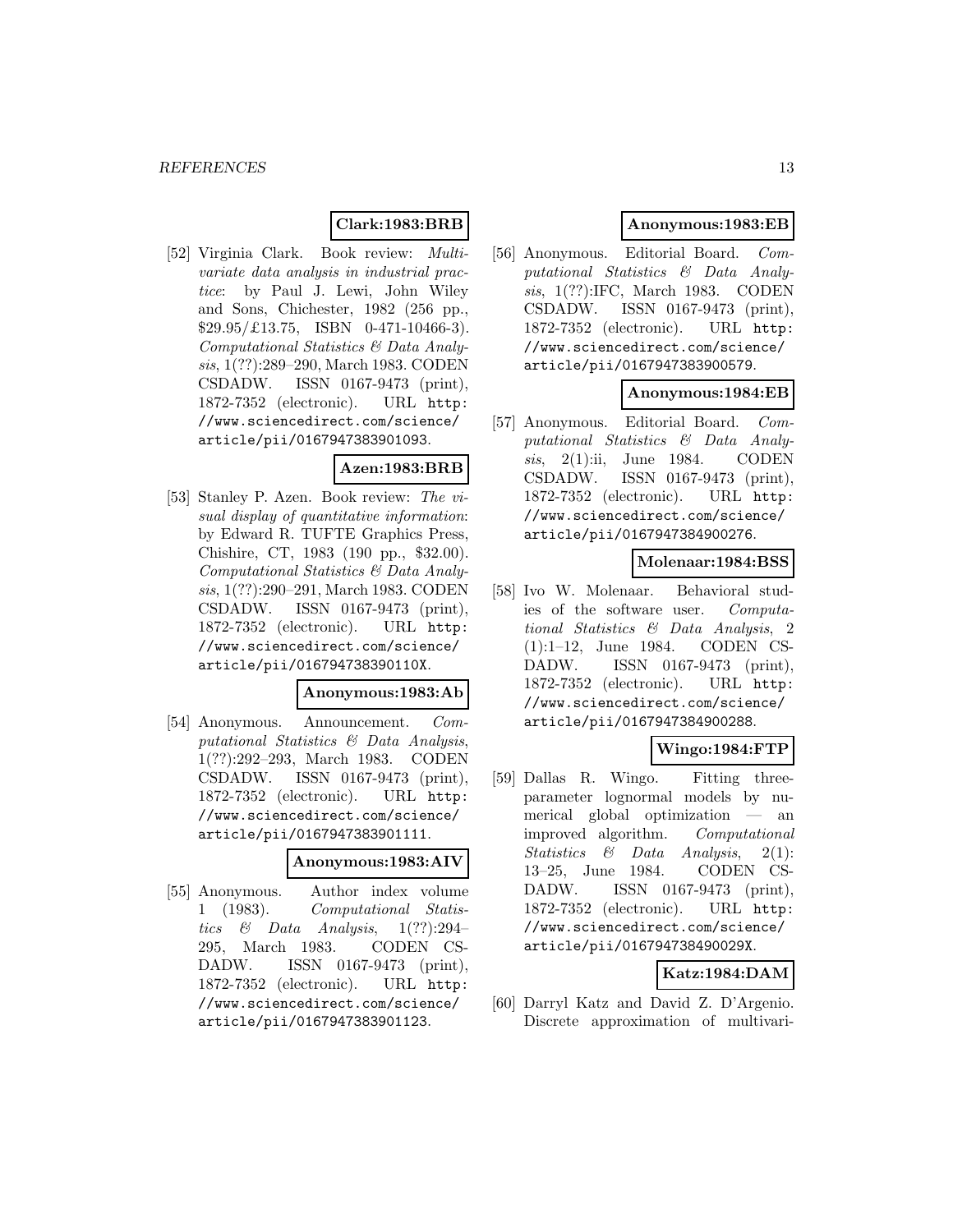# **Clark:1983:BRB**

[52] Virginia Clark. Book review: Multivariate data analysis in industrial practice: by Paul J. Lewi, John Wiley and Sons, Chichester, 1982 (256 pp.,  $$29.95/\text{\textsterling}13.75, ISBN 0-471-10466-3).$ Computational Statistics & Data Analysis, 1(??):289–290, March 1983. CODEN CSDADW. ISSN 0167-9473 (print), 1872-7352 (electronic). URL http: //www.sciencedirect.com/science/ article/pii/0167947383901093.

### **Azen:1983:BRB**

[53] Stanley P. Azen. Book review: The visual display of quantitative information: by Edward R. TUFTE Graphics Press, Chishire, CT, 1983 (190 pp., \$32.00). Computational Statistics & Data Analysis, 1(??):290–291, March 1983. CODEN CSDADW. ISSN 0167-9473 (print), 1872-7352 (electronic). URL http: //www.sciencedirect.com/science/ article/pii/016794738390110X.

# **Anonymous:1983:Ab**

[54] Anonymous. Announcement. Computational Statistics & Data Analysis, 1(??):292–293, March 1983. CODEN CSDADW. ISSN 0167-9473 (print), 1872-7352 (electronic). URL http: //www.sciencedirect.com/science/ article/pii/0167947383901111.

# **Anonymous:1983:AIV**

[55] Anonymous. Author index volume 1 (1983). Computational Statistics & Data Analysis,  $1(??):294-$ 295, March 1983. CODEN CS-DADW. ISSN 0167-9473 (print), 1872-7352 (electronic). URL http: //www.sciencedirect.com/science/ article/pii/0167947383901123.

# **Anonymous:1983:EB**

[56] Anonymous. Editorial Board. Computational Statistics & Data Analysis, 1(??):IFC, March 1983. CODEN CSDADW. ISSN 0167-9473 (print), 1872-7352 (electronic). URL http: //www.sciencedirect.com/science/ article/pii/0167947383900579.

### **Anonymous:1984:EB**

[57] Anonymous. Editorial Board. Computational Statistics & Data Analysis, 2(1):ii, June 1984. CODEN CSDADW. ISSN 0167-9473 (print), 1872-7352 (electronic). URL http: //www.sciencedirect.com/science/ article/pii/0167947384900276.

# **Molenaar:1984:BSS**

[58] Ivo W. Molenaar. Behavioral studies of the software user. Computational Statistics & Data Analysis, 2 (1):1–12, June 1984. CODEN CS-DADW. ISSN 0167-9473 (print), 1872-7352 (electronic). URL http: //www.sciencedirect.com/science/ article/pii/0167947384900288.

# **Wingo:1984:FTP**

[59] Dallas R. Wingo. Fitting threeparameter lognormal models by numerical global optimization — an improved algorithm. Computational Statistics & Data Analysis, 2(1): 13–25, June 1984. CODEN CS-DADW. ISSN 0167-9473 (print), 1872-7352 (electronic). URL http: //www.sciencedirect.com/science/ article/pii/016794738490029X.

# **Katz:1984:DAM**

[60] Darryl Katz and David Z. D'Argenio. Discrete approximation of multivari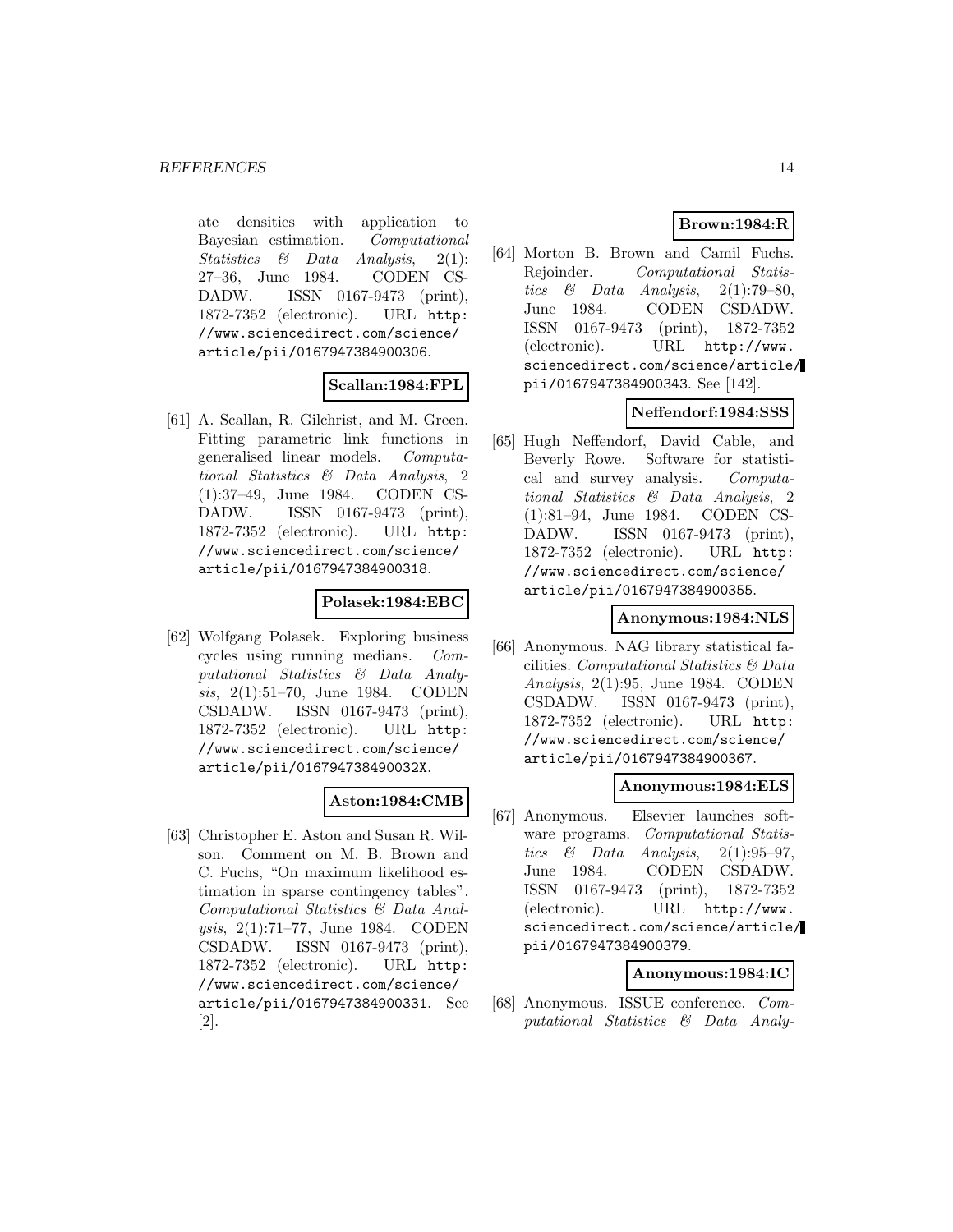ate densities with application to Bayesian estimation. Computational Statistics & Data Analysis, 2(1): 27–36, June 1984. CODEN CS-DADW. ISSN 0167-9473 (print), 1872-7352 (electronic). URL http: //www.sciencedirect.com/science/ article/pii/0167947384900306.

# **Scallan:1984:FPL**

[61] A. Scallan, R. Gilchrist, and M. Green. Fitting parametric link functions in generalised linear models. Computational Statistics & Data Analysis, 2 (1):37–49, June 1984. CODEN CS-DADW. ISSN 0167-9473 (print), 1872-7352 (electronic). URL http: //www.sciencedirect.com/science/ article/pii/0167947384900318.

### **Polasek:1984:EBC**

[62] Wolfgang Polasek. Exploring business cycles using running medians. Computational Statistics & Data Analysis, 2(1):51–70, June 1984. CODEN CSDADW. ISSN 0167-9473 (print), 1872-7352 (electronic). URL http: //www.sciencedirect.com/science/ article/pii/016794738490032X.

# **Aston:1984:CMB**

[63] Christopher E. Aston and Susan R. Wilson. Comment on M. B. Brown and C. Fuchs, "On maximum likelihood estimation in sparse contingency tables". Computational Statistics & Data Analysis, 2(1):71–77, June 1984. CODEN CSDADW. ISSN 0167-9473 (print), 1872-7352 (electronic). URL http: //www.sciencedirect.com/science/ article/pii/0167947384900331. See [2].

# **Brown:1984:R**

[64] Morton B. Brown and Camil Fuchs. Rejoinder. Computational Statistics & Data Analysis,  $2(1):79-80$ , June 1984. CODEN CSDADW. ISSN 0167-9473 (print), 1872-7352 (electronic). URL http://www. sciencedirect.com/science/article/ pii/0167947384900343. See [142].

# **Neffendorf:1984:SSS**

[65] Hugh Neffendorf, David Cable, and Beverly Rowe. Software for statistical and survey analysis. Computational Statistics & Data Analysis, 2 (1):81–94, June 1984. CODEN CS-DADW. ISSN 0167-9473 (print), 1872-7352 (electronic). URL http: //www.sciencedirect.com/science/ article/pii/0167947384900355.

# **Anonymous:1984:NLS**

[66] Anonymous. NAG library statistical facilities. Computational Statistics & Data Analysis, 2(1):95, June 1984. CODEN CSDADW. ISSN 0167-9473 (print), 1872-7352 (electronic). URL http: //www.sciencedirect.com/science/ article/pii/0167947384900367.

# **Anonymous:1984:ELS**

[67] Anonymous. Elsevier launches software programs. Computational Statistics  $\&$  Data Analysis, 2(1):95–97, June 1984. CODEN CSDADW. ISSN 0167-9473 (print), 1872-7352 (electronic). URL http://www. sciencedirect.com/science/article/ pii/0167947384900379.

# **Anonymous:1984:IC**

[68] Anonymous. ISSUE conference. Computational Statistics & Data Analy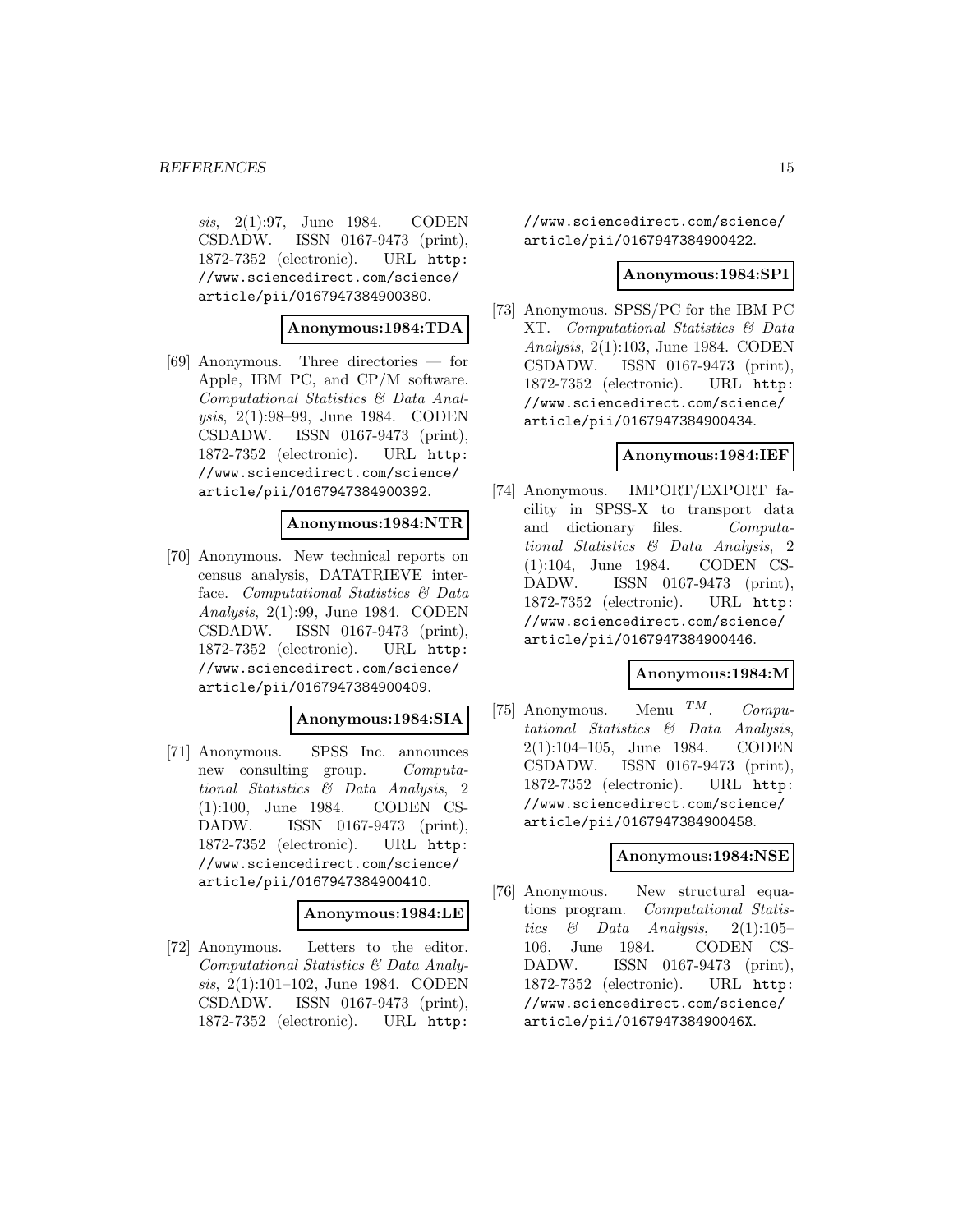sis, 2(1):97, June 1984. CODEN CSDADW. ISSN 0167-9473 (print), 1872-7352 (electronic). URL http: //www.sciencedirect.com/science/ article/pii/0167947384900380.

**Anonymous:1984:TDA**

[69] Anonymous. Three directories — for Apple, IBM PC, and CP/M software. Computational Statistics & Data Analysis, 2(1):98–99, June 1984. CODEN CSDADW. ISSN 0167-9473 (print), 1872-7352 (electronic). URL http: //www.sciencedirect.com/science/ article/pii/0167947384900392.

### **Anonymous:1984:NTR**

[70] Anonymous. New technical reports on census analysis, DATATRIEVE interface. Computational Statistics & Data Analysis, 2(1):99, June 1984. CODEN CSDADW. ISSN 0167-9473 (print), 1872-7352 (electronic). URL http: //www.sciencedirect.com/science/ article/pii/0167947384900409.

### **Anonymous:1984:SIA**

[71] Anonymous. SPSS Inc. announces new consulting group. Computational Statistics & Data Analysis, 2 (1):100, June 1984. CODEN CS-DADW. ISSN 0167-9473 (print), 1872-7352 (electronic). URL http: //www.sciencedirect.com/science/ article/pii/0167947384900410.

### **Anonymous:1984:LE**

[72] Anonymous. Letters to the editor. Computational Statistics & Data Analysis, 2(1):101–102, June 1984. CODEN CSDADW. ISSN 0167-9473 (print), 1872-7352 (electronic). URL http:

//www.sciencedirect.com/science/ article/pii/0167947384900422.

### **Anonymous:1984:SPI**

[73] Anonymous. SPSS/PC for the IBM PC XT. Computational Statistics & Data Analysis, 2(1):103, June 1984. CODEN CSDADW. ISSN 0167-9473 (print), 1872-7352 (electronic). URL http: //www.sciencedirect.com/science/ article/pii/0167947384900434.

### **Anonymous:1984:IEF**

[74] Anonymous. IMPORT/EXPORT facility in SPSS-X to transport data and dictionary files. Computational Statistics & Data Analysis, 2 (1):104, June 1984. CODEN CS-DADW. ISSN 0167-9473 (print), 1872-7352 (electronic). URL http: //www.sciencedirect.com/science/ article/pii/0167947384900446.

### **Anonymous:1984:M**

[75] Anonymous. Menu  $^{TM}$ . Computational Statistics & Data Analysis, 2(1):104–105, June 1984. CODEN CSDADW. ISSN 0167-9473 (print), 1872-7352 (electronic). URL http: //www.sciencedirect.com/science/ article/pii/0167947384900458.

### **Anonymous:1984:NSE**

[76] Anonymous. New structural equations program. Computational Statistics & Data Analysis,  $2(1):105-$ 106, June 1984. CODEN CS-DADW. ISSN 0167-9473 (print), 1872-7352 (electronic). URL http: //www.sciencedirect.com/science/ article/pii/016794738490046X.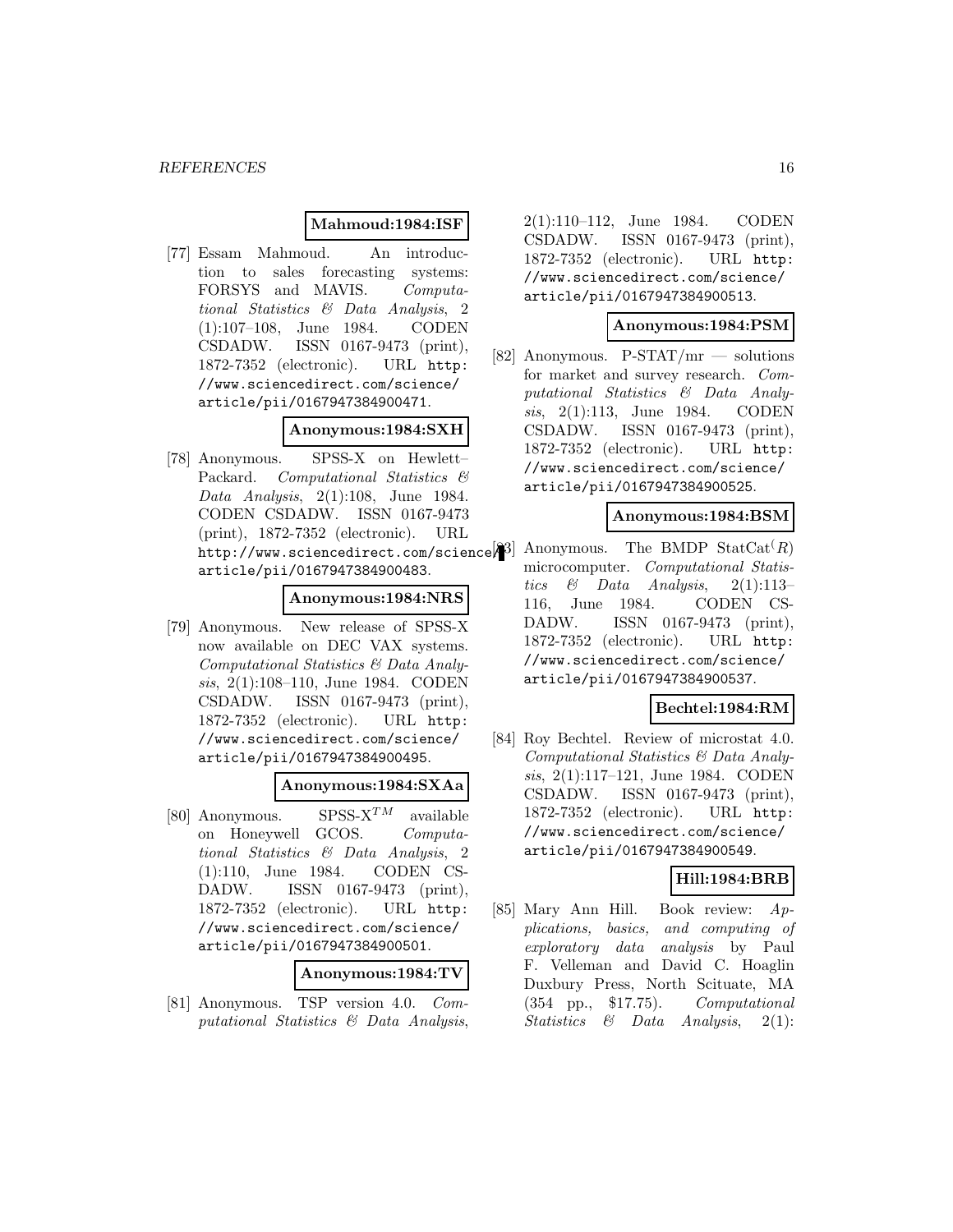### **Mahmoud:1984:ISF**

[77] Essam Mahmoud. An introduction to sales forecasting systems: FORSYS and MAVIS. Computational Statistics & Data Analysis, 2 (1):107–108, June 1984. CODEN CSDADW. ISSN 0167-9473 (print), 1872-7352 (electronic). URL http: //www.sciencedirect.com/science/ article/pii/0167947384900471.

### **Anonymous:1984:SXH**

[78] Anonymous. SPSS-X on Hewlett– Packard. Computational Statistics & Data Analysis, 2(1):108, June 1984. CODEN CSDADW. ISSN 0167-9473 (print), 1872-7352 (electronic). URL  $\text{http://www.sciencedirect.com/science}$  Anonymous. The BMDP StatCat<sup>(</sup>R) article/pii/0167947384900483.

### **Anonymous:1984:NRS**

[79] Anonymous. New release of SPSS-X now available on DEC VAX systems. Computational Statistics & Data Analysis, 2(1):108–110, June 1984. CODEN CSDADW. ISSN 0167-9473 (print), 1872-7352 (electronic). URL http: //www.sciencedirect.com/science/ article/pii/0167947384900495.

### **Anonymous:1984:SXAa**

[80] Anonymous. SPSS- $X^{TM}$  available on Honeywell GCOS. Computational Statistics & Data Analysis, 2 (1):110, June 1984. CODEN CS-DADW. ISSN 0167-9473 (print), 1872-7352 (electronic). URL http: //www.sciencedirect.com/science/ article/pii/0167947384900501.

# **Anonymous:1984:TV**

[81] Anonymous. TSP version 4.0. Computational Statistics & Data Analysis,

2(1):110–112, June 1984. CODEN CSDADW. ISSN 0167-9473 (print), 1872-7352 (electronic). URL http: //www.sciencedirect.com/science/ article/pii/0167947384900513.

### **Anonymous:1984:PSM**

[82] Anonymous. P-STAT/mr — solutions for market and survey research. Computational Statistics & Data Analysis, 2(1):113, June 1984. CODEN CSDADW. ISSN 0167-9473 (print), 1872-7352 (electronic). URL http: //www.sciencedirect.com/science/ article/pii/0167947384900525.

### **Anonymous:1984:BSM**

microcomputer. Computational Statistics & Data Analysis,  $2(1):113-$ 116, June 1984. CODEN CS-DADW. ISSN 0167-9473 (print), 1872-7352 (electronic). URL http: //www.sciencedirect.com/science/ article/pii/0167947384900537.

### **Bechtel:1984:RM**

[84] Roy Bechtel. Review of microstat 4.0. Computational Statistics & Data Analysis, 2(1):117–121, June 1984. CODEN CSDADW. ISSN 0167-9473 (print), 1872-7352 (electronic). URL http: //www.sciencedirect.com/science/ article/pii/0167947384900549.

# **Hill:1984:BRB**

[85] Mary Ann Hill. Book review: Applications, basics, and computing of exploratory data analysis by Paul F. Velleman and David C. Hoaglin Duxbury Press, North Scituate, MA (354 pp., \$17.75). Computational Statistics & Data Analysis, 2(1):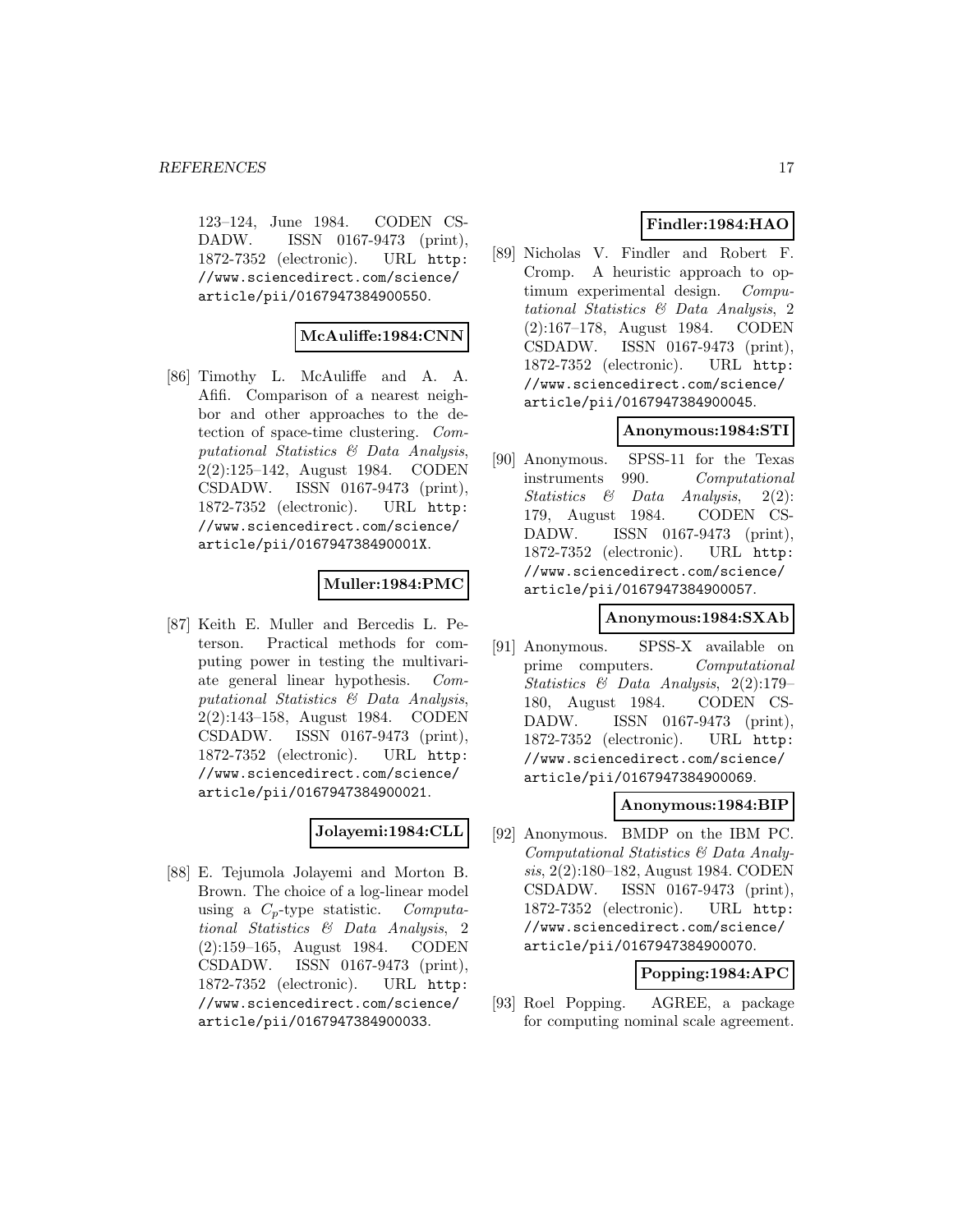123–124, June 1984. CODEN CS-DADW. ISSN 0167-9473 (print), 1872-7352 (electronic). URL http: //www.sciencedirect.com/science/ article/pii/0167947384900550.

# **McAuliffe:1984:CNN**

[86] Timothy L. McAuliffe and A. A. Afifi. Comparison of a nearest neighbor and other approaches to the detection of space-time clustering. Computational Statistics & Data Analysis, 2(2):125–142, August 1984. CODEN CSDADW. ISSN 0167-9473 (print), 1872-7352 (electronic). URL http: //www.sciencedirect.com/science/ article/pii/016794738490001X.

# **Muller:1984:PMC**

[87] Keith E. Muller and Bercedis L. Peterson. Practical methods for computing power in testing the multivariate general linear hypothesis. Computational Statistics & Data Analysis, 2(2):143–158, August 1984. CODEN CSDADW. ISSN 0167-9473 (print), 1872-7352 (electronic). URL http: //www.sciencedirect.com/science/ article/pii/0167947384900021.

### **Jolayemi:1984:CLL**

[88] E. Tejumola Jolayemi and Morton B. Brown. The choice of a log-linear model using a  $C_p$ -type statistic. Computational Statistics & Data Analysis, 2 (2):159–165, August 1984. CODEN CSDADW. ISSN 0167-9473 (print), 1872-7352 (electronic). URL http: //www.sciencedirect.com/science/ article/pii/0167947384900033.

# **Findler:1984:HAO**

[89] Nicholas V. Findler and Robert F. Cromp. A heuristic approach to optimum experimental design. Computational Statistics & Data Analysis, 2 (2):167–178, August 1984. CODEN CSDADW. ISSN 0167-9473 (print), 1872-7352 (electronic). URL http: //www.sciencedirect.com/science/ article/pii/0167947384900045.

# **Anonymous:1984:STI**

[90] Anonymous. SPSS-11 for the Texas instruments 990. Computational Statistics & Data Analysis, 2(2): 179, August 1984. CODEN CS-DADW. ISSN 0167-9473 (print), 1872-7352 (electronic). URL http: //www.sciencedirect.com/science/ article/pii/0167947384900057.

# **Anonymous:1984:SXAb**

[91] Anonymous. SPSS-X available on prime computers. Computational Statistics & Data Analysis, 2(2):179– 180, August 1984. CODEN CS-DADW. ISSN 0167-9473 (print), 1872-7352 (electronic). URL http: //www.sciencedirect.com/science/ article/pii/0167947384900069.

# **Anonymous:1984:BIP**

[92] Anonymous. BMDP on the IBM PC. Computational Statistics & Data Analysis, 2(2):180–182, August 1984. CODEN CSDADW. ISSN 0167-9473 (print), 1872-7352 (electronic). URL http: //www.sciencedirect.com/science/ article/pii/0167947384900070.

# **Popping:1984:APC**

[93] Roel Popping. AGREE, a package for computing nominal scale agreement.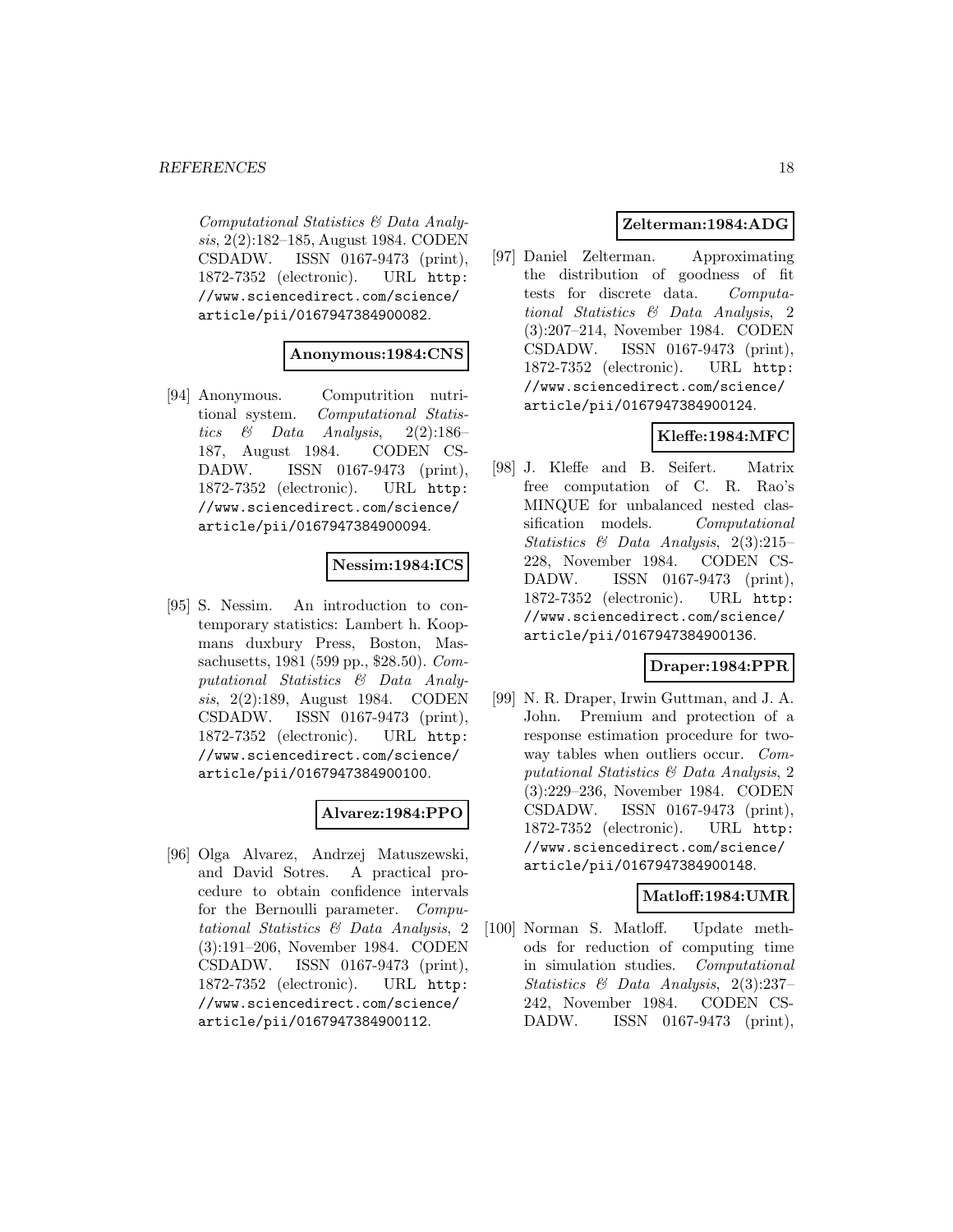Computational Statistics & Data Analysis, 2(2):182–185, August 1984. CODEN CSDADW. ISSN 0167-9473 (print), 1872-7352 (electronic). URL http: //www.sciencedirect.com/science/ article/pii/0167947384900082.

### **Anonymous:1984:CNS**

[94] Anonymous. Computrition nutritional system. Computational Statistics & Data Analysis, 2(2):186– 187, August 1984. CODEN CS-DADW. ISSN 0167-9473 (print), 1872-7352 (electronic). URL http: //www.sciencedirect.com/science/ article/pii/0167947384900094.

# **Nessim:1984:ICS**

[95] S. Nessim. An introduction to contemporary statistics: Lambert h. Koopmans duxbury Press, Boston, Massachusetts, 1981 (599 pp., \$28.50). Computational Statistics & Data Analysis, 2(2):189, August 1984. CODEN CSDADW. ISSN 0167-9473 (print), 1872-7352 (electronic). URL http: //www.sciencedirect.com/science/ article/pii/0167947384900100.

# **Alvarez:1984:PPO**

[96] Olga Alvarez, Andrzej Matuszewski, and David Sotres. A practical procedure to obtain confidence intervals for the Bernoulli parameter. Computational Statistics & Data Analysis, 2 (3):191–206, November 1984. CODEN CSDADW. ISSN 0167-9473 (print), 1872-7352 (electronic). URL http: //www.sciencedirect.com/science/ article/pii/0167947384900112.

# **Zelterman:1984:ADG**

[97] Daniel Zelterman. Approximating the distribution of goodness of fit tests for discrete data. Computational Statistics & Data Analysis, 2 (3):207–214, November 1984. CODEN CSDADW. ISSN 0167-9473 (print), 1872-7352 (electronic). URL http: //www.sciencedirect.com/science/ article/pii/0167947384900124.

# **Kleffe:1984:MFC**

[98] J. Kleffe and B. Seifert. Matrix free computation of C. R. Rao's MINQUE for unbalanced nested classification models. Computational Statistics & Data Analysis, 2(3):215– 228, November 1984. CODEN CS-DADW. ISSN 0167-9473 (print), 1872-7352 (electronic). URL http: //www.sciencedirect.com/science/ article/pii/0167947384900136.

# **Draper:1984:PPR**

[99] N. R. Draper, Irwin Guttman, and J. A. John. Premium and protection of a response estimation procedure for twoway tables when outliers occur. Computational Statistics & Data Analysis, 2 (3):229–236, November 1984. CODEN CSDADW. ISSN 0167-9473 (print), 1872-7352 (electronic). URL http: //www.sciencedirect.com/science/ article/pii/0167947384900148.

# **Matloff:1984:UMR**

[100] Norman S. Matloff. Update methods for reduction of computing time in simulation studies. Computational Statistics & Data Analysis, 2(3):237– 242, November 1984. CODEN CS-DADW. ISSN 0167-9473 (print),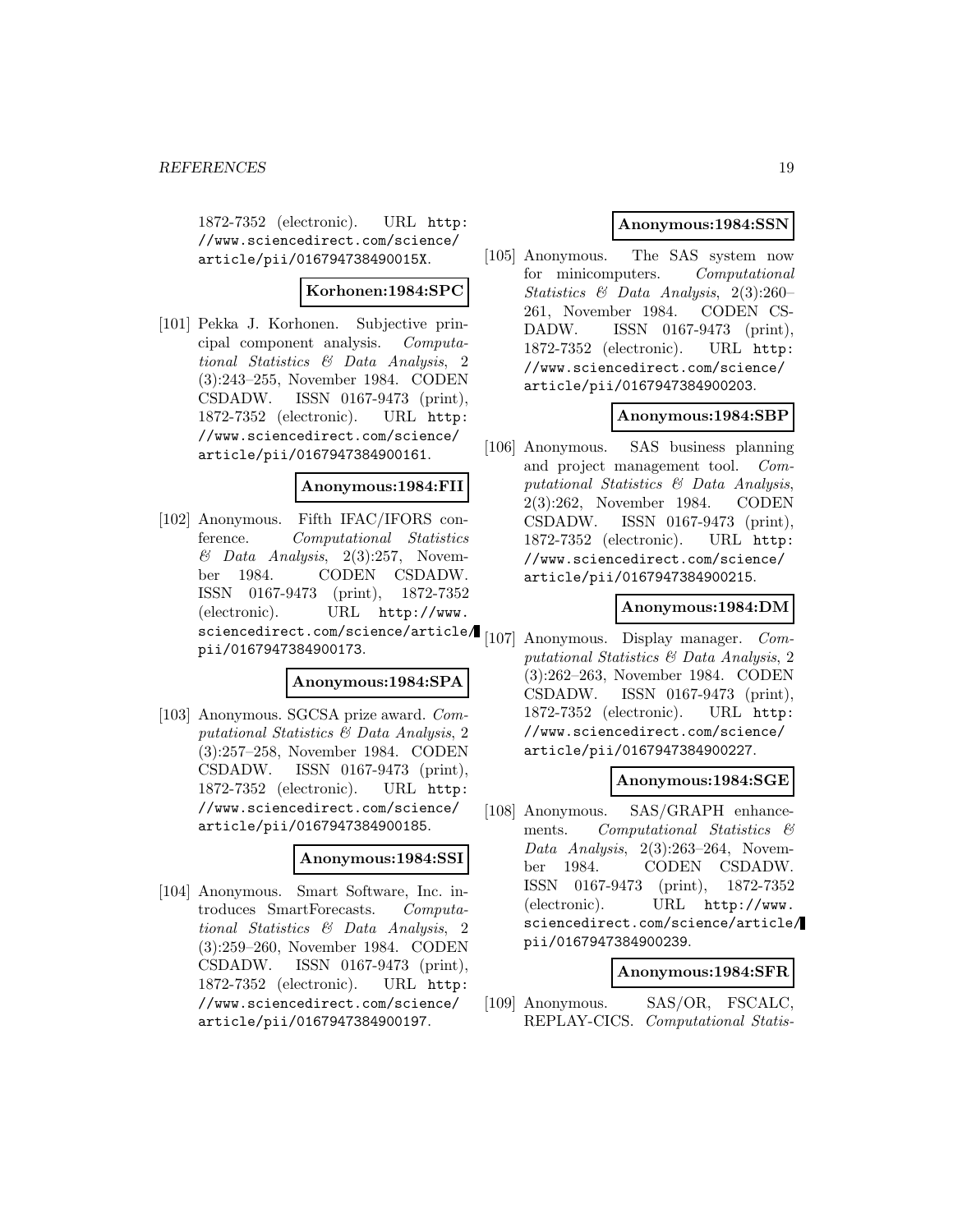1872-7352 (electronic). URL http: //www.sciencedirect.com/science/ article/pii/016794738490015X.

# **Korhonen:1984:SPC**

[101] Pekka J. Korhonen. Subjective principal component analysis. Computational Statistics & Data Analysis, 2 (3):243–255, November 1984. CODEN CSDADW. ISSN 0167-9473 (print), 1872-7352 (electronic). URL http: //www.sciencedirect.com/science/ article/pii/0167947384900161.

### **Anonymous:1984:FII**

[102] Anonymous. Fifth IFAC/IFORS conference. Computational Statistics  $& Data Analysis, 2(3):257, November$ ber 1984. CODEN CSDADW. ISSN 0167-9473 (print), 1872-7352 (electronic). URL http://www. sciencedirect.com/science/article/ pii/0167947384900173.

### **Anonymous:1984:SPA**

[103] Anonymous. SGCSA prize award. Computational Statistics & Data Analysis, 2 (3):257–258, November 1984. CODEN CSDADW. ISSN 0167-9473 (print), 1872-7352 (electronic). URL http: //www.sciencedirect.com/science/ article/pii/0167947384900185.

#### **Anonymous:1984:SSI**

[104] Anonymous. Smart Software, Inc. introduces SmartForecasts. Computational Statistics & Data Analysis, 2 (3):259–260, November 1984. CODEN CSDADW. ISSN 0167-9473 (print), 1872-7352 (electronic). URL http: //www.sciencedirect.com/science/ article/pii/0167947384900197.

### **Anonymous:1984:SSN**

[105] Anonymous. The SAS system now for minicomputers. Computational Statistics & Data Analysis, 2(3):260– 261, November 1984. CODEN CS-DADW. ISSN 0167-9473 (print), 1872-7352 (electronic). URL http: //www.sciencedirect.com/science/ article/pii/0167947384900203.

### **Anonymous:1984:SBP**

[106] Anonymous. SAS business planning and project management tool. Computational Statistics & Data Analysis, 2(3):262, November 1984. CODEN CSDADW. ISSN 0167-9473 (print), 1872-7352 (electronic). URL http: //www.sciencedirect.com/science/ article/pii/0167947384900215.

### **Anonymous:1984:DM**

[107] Anonymous. Display manager. Computational Statistics & Data Analysis, 2 (3):262–263, November 1984. CODEN CSDADW. ISSN 0167-9473 (print), 1872-7352 (electronic). URL http: //www.sciencedirect.com/science/ article/pii/0167947384900227.

### **Anonymous:1984:SGE**

[108] Anonymous. SAS/GRAPH enhancements. Computational Statistics & Data Analysis, 2(3):263–264, November 1984. CODEN CSDADW. ISSN 0167-9473 (print), 1872-7352 (electronic). URL http://www. sciencedirect.com/science/article/ pii/0167947384900239.

# **Anonymous:1984:SFR**

[109] Anonymous. SAS/OR, FSCALC, REPLAY-CICS. Computational Statis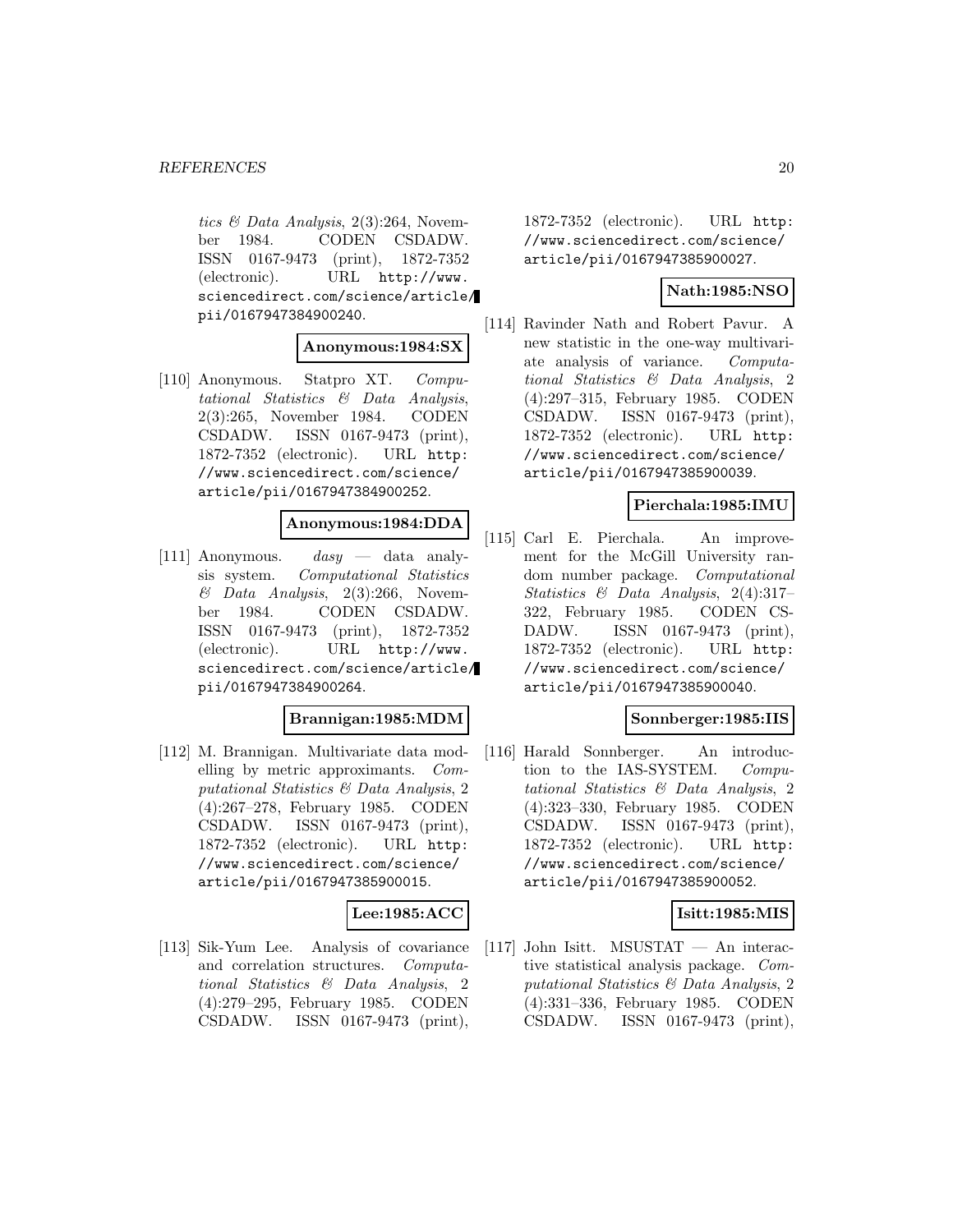tics & Data Analysis, 2(3):264, November 1984. CODEN CSDADW. ISSN 0167-9473 (print), 1872-7352 (electronic). URL http://www. sciencedirect.com/science/article/ pii/0167947384900240.

### **Anonymous:1984:SX**

[110] Anonymous. Statpro XT. Computational Statistics & Data Analysis, 2(3):265, November 1984. CODEN CSDADW. ISSN 0167-9473 (print), 1872-7352 (electronic). URL http: //www.sciencedirect.com/science/ article/pii/0167947384900252.

### **Anonymous:1984:DDA**

[111] Anonymous. dasy — data analysis system. Computational Statistics  $& Data Analysis, 2(3):266, November$ ber 1984. CODEN CSDADW. ISSN 0167-9473 (print), 1872-7352 (electronic). URL http://www. sciencedirect.com/science/article/ pii/0167947384900264.

# **Brannigan:1985:MDM**

[112] M. Brannigan. Multivariate data modelling by metric approximants. Computational Statistics & Data Analysis, 2 (4):267–278, February 1985. CODEN CSDADW. ISSN 0167-9473 (print), 1872-7352 (electronic). URL http: //www.sciencedirect.com/science/ article/pii/0167947385900015.

# **Lee:1985:ACC**

[113] Sik-Yum Lee. Analysis of covariance and correlation structures. Computational Statistics & Data Analysis, 2 (4):279–295, February 1985. CODEN CSDADW. ISSN 0167-9473 (print),

1872-7352 (electronic). URL http: //www.sciencedirect.com/science/ article/pii/0167947385900027.

# **Nath:1985:NSO**

[114] Ravinder Nath and Robert Pavur. A new statistic in the one-way multivariate analysis of variance. Computational Statistics & Data Analysis, 2 (4):297–315, February 1985. CODEN CSDADW. ISSN 0167-9473 (print), 1872-7352 (electronic). URL http: //www.sciencedirect.com/science/ article/pii/0167947385900039.

# **Pierchala:1985:IMU**

[115] Carl E. Pierchala. An improvement for the McGill University random number package. Computational Statistics & Data Analysis, 2(4):317– 322, February 1985. CODEN CS-DADW. ISSN 0167-9473 (print), 1872-7352 (electronic). URL http: //www.sciencedirect.com/science/ article/pii/0167947385900040.

### **Sonnberger:1985:IIS**

[116] Harald Sonnberger. An introduction to the IAS-SYSTEM. Computational Statistics & Data Analysis, 2 (4):323–330, February 1985. CODEN CSDADW. ISSN 0167-9473 (print), 1872-7352 (electronic). URL http: //www.sciencedirect.com/science/ article/pii/0167947385900052.

# **Isitt:1985:MIS**

[117] John Isitt. MSUSTAT — An interactive statistical analysis package. Computational Statistics & Data Analysis, 2 (4):331–336, February 1985. CODEN CSDADW. ISSN 0167-9473 (print),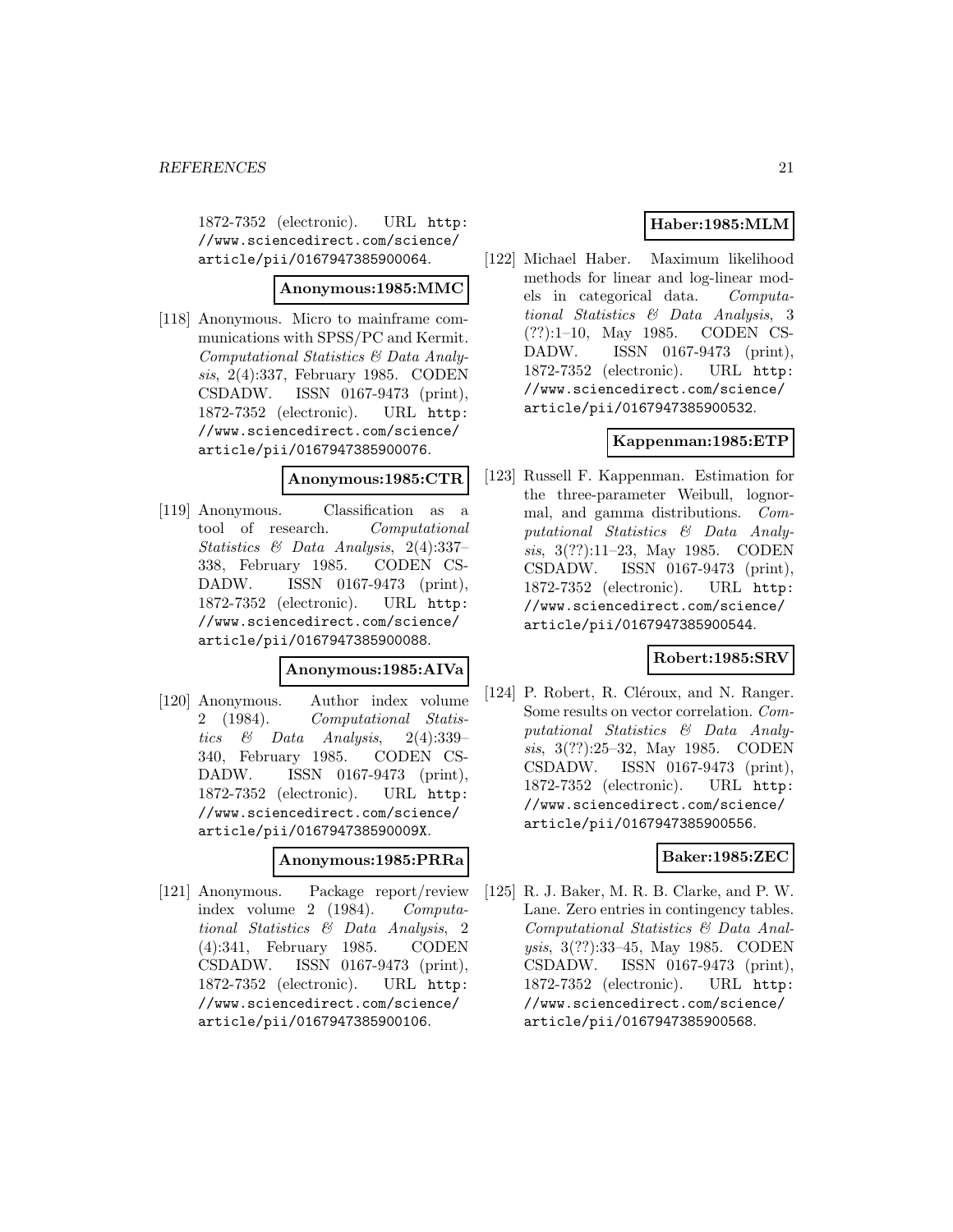1872-7352 (electronic). URL http: //www.sciencedirect.com/science/ article/pii/0167947385900064.

# **Anonymous:1985:MMC**

[118] Anonymous. Micro to mainframe communications with SPSS/PC and Kermit. Computational Statistics & Data Analysis, 2(4):337, February 1985. CODEN CSDADW. ISSN 0167-9473 (print), 1872-7352 (electronic). URL http: //www.sciencedirect.com/science/ article/pii/0167947385900076.

### **Anonymous:1985:CTR**

[119] Anonymous. Classification as a tool of research. Computational Statistics & Data Analysis, 2(4):337– 338, February 1985. CODEN CS-DADW. ISSN 0167-9473 (print), 1872-7352 (electronic). URL http: //www.sciencedirect.com/science/ article/pii/0167947385900088.

### **Anonymous:1985:AIVa**

[120] Anonymous. Author index volume 2 (1984). Computational Statistics & Data Analysis, 2(4):339– 340, February 1985. CODEN CS-DADW. ISSN 0167-9473 (print), 1872-7352 (electronic). URL http: //www.sciencedirect.com/science/ article/pii/016794738590009X.

### **Anonymous:1985:PRRa**

[121] Anonymous. Package report/review index volume 2 (1984). Computational Statistics & Data Analysis, 2 (4):341, February 1985. CODEN CSDADW. ISSN 0167-9473 (print), 1872-7352 (electronic). URL http: //www.sciencedirect.com/science/ article/pii/0167947385900106.

# **Haber:1985:MLM**

[122] Michael Haber. Maximum likelihood methods for linear and log-linear models in categorical data. Computational Statistics & Data Analysis, 3 (??):1–10, May 1985. CODEN CS-DADW. ISSN 0167-9473 (print), 1872-7352 (electronic). URL http: //www.sciencedirect.com/science/ article/pii/0167947385900532.

# **Kappenman:1985:ETP**

[123] Russell F. Kappenman. Estimation for the three-parameter Weibull, lognormal, and gamma distributions. Computational Statistics & Data Analysis, 3(??):11–23, May 1985. CODEN CSDADW. ISSN 0167-9473 (print), 1872-7352 (electronic). URL http: //www.sciencedirect.com/science/ article/pii/0167947385900544.

# **Robert:1985:SRV**

[124] P. Robert, R. Cléroux, and N. Ranger. Some results on vector correlation. Computational Statistics & Data Analysis, 3(??):25–32, May 1985. CODEN CSDADW. ISSN 0167-9473 (print), 1872-7352 (electronic). URL http: //www.sciencedirect.com/science/ article/pii/0167947385900556.

### **Baker:1985:ZEC**

[125] R. J. Baker, M. R. B. Clarke, and P. W. Lane. Zero entries in contingency tables. Computational Statistics & Data Analysis, 3(??):33–45, May 1985. CODEN CSDADW. ISSN 0167-9473 (print), 1872-7352 (electronic). URL http: //www.sciencedirect.com/science/ article/pii/0167947385900568.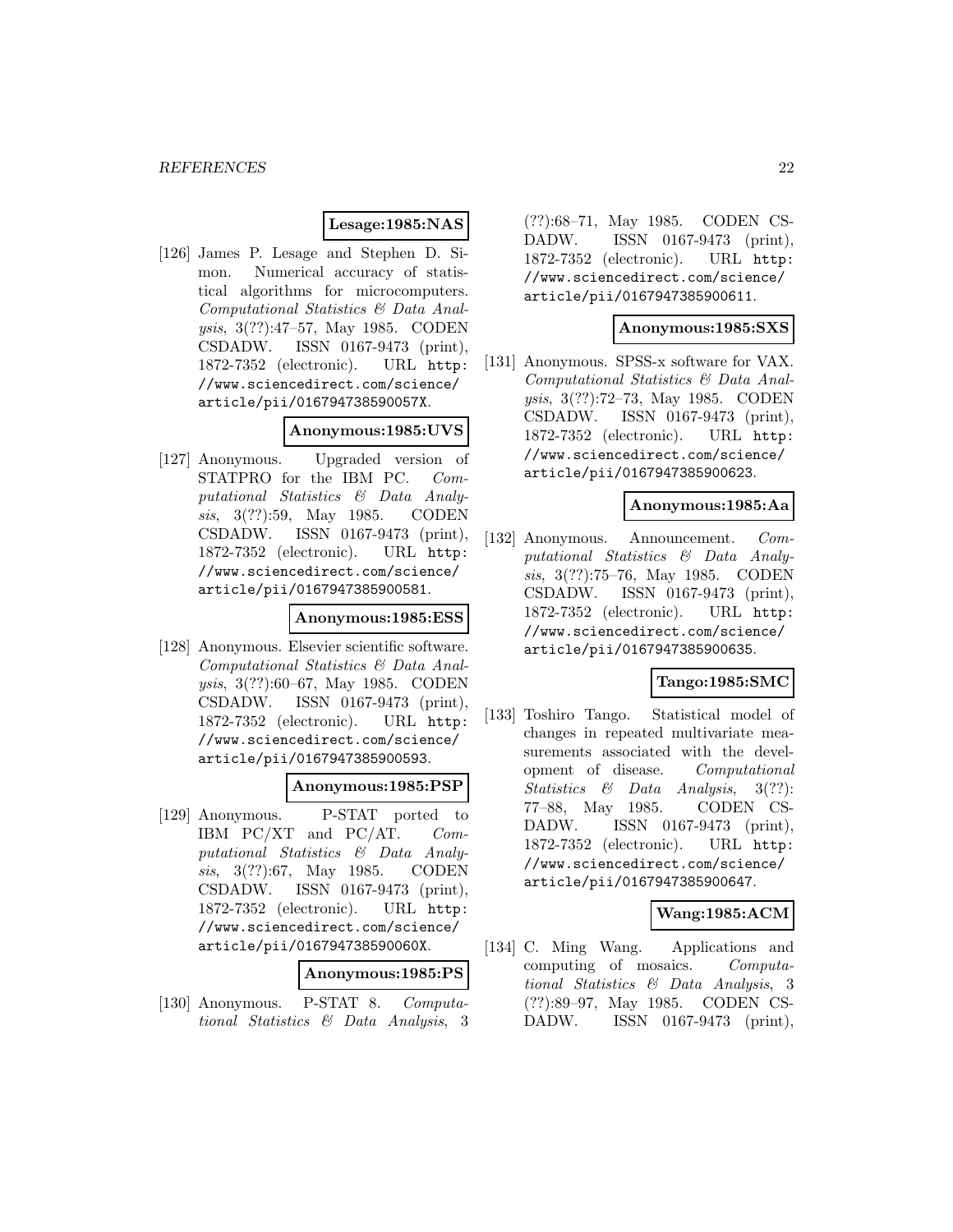# **Lesage:1985:NAS**

[126] James P. Lesage and Stephen D. Simon. Numerical accuracy of statistical algorithms for microcomputers. Computational Statistics & Data Analysis, 3(??):47–57, May 1985. CODEN CSDADW. ISSN 0167-9473 (print), 1872-7352 (electronic). URL http: //www.sciencedirect.com/science/ article/pii/016794738590057X.

### **Anonymous:1985:UVS**

[127] Anonymous. Upgraded version of STATPRO for the IBM PC. Computational Statistics & Data Analysis, 3(??):59, May 1985. CODEN CSDADW. ISSN 0167-9473 (print), 1872-7352 (electronic). URL http: //www.sciencedirect.com/science/ article/pii/0167947385900581.

# **Anonymous:1985:ESS**

[128] Anonymous. Elsevier scientific software. Computational Statistics & Data Analysis, 3(??):60–67, May 1985. CODEN CSDADW. ISSN 0167-9473 (print), 1872-7352 (electronic). URL http: //www.sciencedirect.com/science/ article/pii/0167947385900593.

# **Anonymous:1985:PSP**

[129] Anonymous. P-STAT ported to IBM PC/XT and PC/AT. Computational Statistics & Data Analysis, 3(??):67, May 1985. CODEN CSDADW. ISSN 0167-9473 (print), 1872-7352 (electronic). URL http: //www.sciencedirect.com/science/ article/pii/016794738590060X.

### **Anonymous:1985:PS**

[130] Anonymous. P-STAT 8. Computational Statistics & Data Analysis, 3

(??):68–71, May 1985. CODEN CS-DADW. ISSN 0167-9473 (print), 1872-7352 (electronic). URL http: //www.sciencedirect.com/science/ article/pii/0167947385900611.

### **Anonymous:1985:SXS**

[131] Anonymous. SPSS-x software for VAX. Computational Statistics & Data Analysis, 3(??):72–73, May 1985. CODEN CSDADW. ISSN 0167-9473 (print), 1872-7352 (electronic). URL http: //www.sciencedirect.com/science/ article/pii/0167947385900623.

### **Anonymous:1985:Aa**

[132] Anonymous. Announcement. Computational Statistics & Data Analysis, 3(??):75–76, May 1985. CODEN CSDADW. ISSN 0167-9473 (print), 1872-7352 (electronic). URL http: //www.sciencedirect.com/science/ article/pii/0167947385900635.

### **Tango:1985:SMC**

[133] Toshiro Tango. Statistical model of changes in repeated multivariate measurements associated with the development of disease. Computational Statistics & Data Analysis, 3(??): 77–88, May 1985. CODEN CS-DADW. ISSN 0167-9473 (print), 1872-7352 (electronic). URL http: //www.sciencedirect.com/science/ article/pii/0167947385900647.

# **Wang:1985:ACM**

[134] C. Ming Wang. Applications and computing of mosaics. Computational Statistics & Data Analysis, 3 (??):89–97, May 1985. CODEN CS-DADW. ISSN 0167-9473 (print),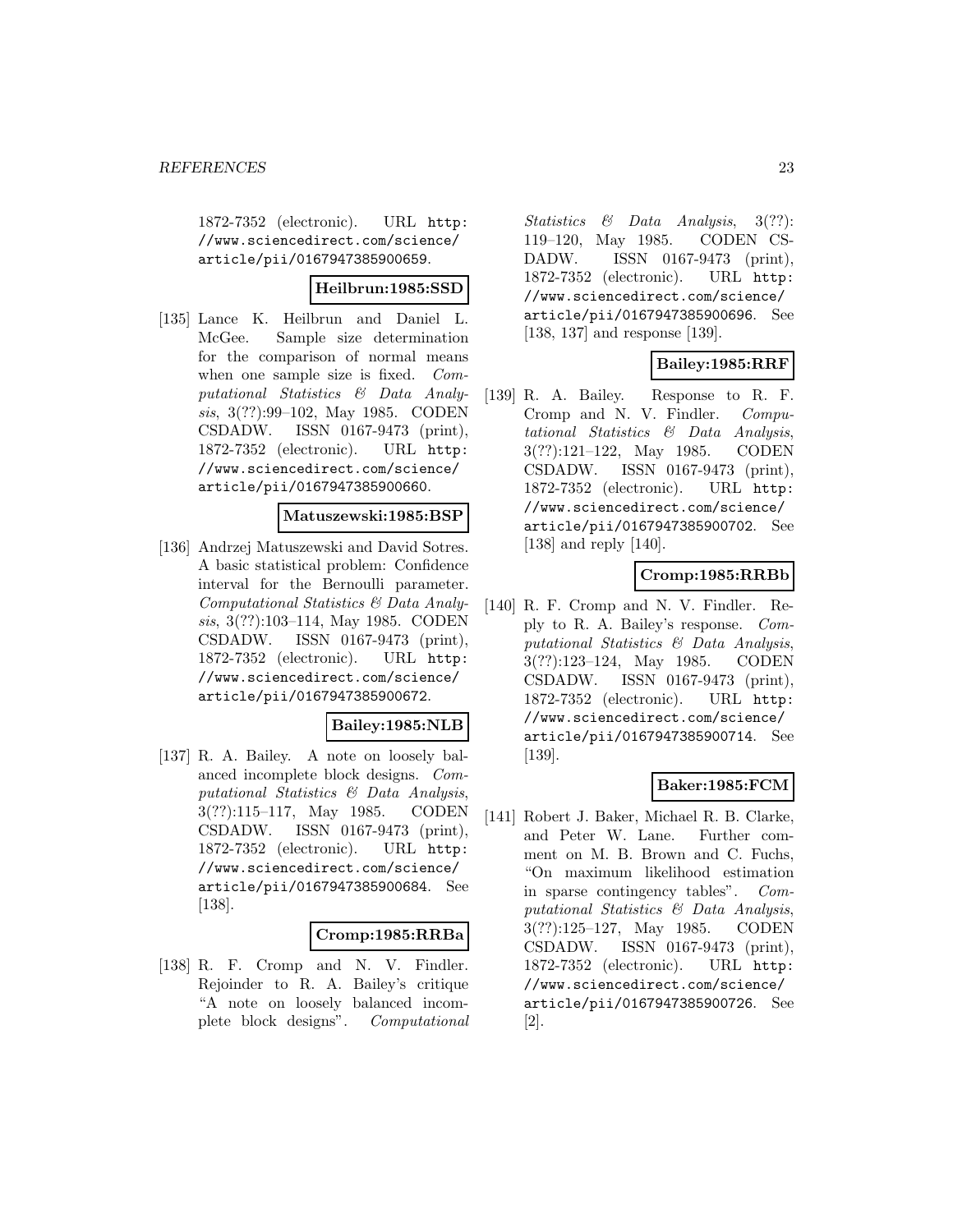1872-7352 (electronic). URL http: //www.sciencedirect.com/science/ article/pii/0167947385900659.

# **Heilbrun:1985:SSD**

[135] Lance K. Heilbrun and Daniel L. McGee. Sample size determination for the comparison of normal means when one sample size is fixed. Computational Statistics & Data Analysis, 3(??):99–102, May 1985. CODEN CSDADW. ISSN 0167-9473 (print), 1872-7352 (electronic). URL http: //www.sciencedirect.com/science/ article/pii/0167947385900660.

### **Matuszewski:1985:BSP**

[136] Andrzej Matuszewski and David Sotres. A basic statistical problem: Confidence interval for the Bernoulli parameter. Computational Statistics & Data Analysis, 3(??):103–114, May 1985. CODEN CSDADW. ISSN 0167-9473 (print), 1872-7352 (electronic). URL http: //www.sciencedirect.com/science/ article/pii/0167947385900672.

### **Bailey:1985:NLB**

[137] R. A. Bailey. A note on loosely balanced incomplete block designs. Computational Statistics & Data Analysis, 3(??):115–117, May 1985. CODEN CSDADW. ISSN 0167-9473 (print), 1872-7352 (electronic). URL http: //www.sciencedirect.com/science/ article/pii/0167947385900684. See [138].

#### **Cromp:1985:RRBa**

[138] R. F. Cromp and N. V. Findler. Rejoinder to R. A. Bailey's critique "A note on loosely balanced incomplete block designs". Computational Statistics & Data Analysis, 3(??): 119–120, May 1985. CODEN CS-DADW. ISSN 0167-9473 (print), 1872-7352 (electronic). URL http: //www.sciencedirect.com/science/ article/pii/0167947385900696. See [138, 137] and response [139].

# **Bailey:1985:RRF**

[139] R. A. Bailey. Response to R. F. Cromp and N. V. Findler. Computational Statistics & Data Analysis, 3(??):121–122, May 1985. CODEN CSDADW. ISSN 0167-9473 (print), 1872-7352 (electronic). URL http: //www.sciencedirect.com/science/ article/pii/0167947385900702. See [138] and reply [140].

# **Cromp:1985:RRBb**

[140] R. F. Cromp and N. V. Findler. Reply to R. A. Bailey's response. Computational Statistics & Data Analysis, 3(??):123–124, May 1985. CODEN CSDADW. ISSN 0167-9473 (print), 1872-7352 (electronic). URL http: //www.sciencedirect.com/science/ article/pii/0167947385900714. See [139].

# **Baker:1985:FCM**

[141] Robert J. Baker, Michael R. B. Clarke, and Peter W. Lane. Further comment on M. B. Brown and C. Fuchs, "On maximum likelihood estimation in sparse contingency tables". Computational Statistics & Data Analysis, 3(??):125–127, May 1985. CODEN CSDADW. ISSN 0167-9473 (print), 1872-7352 (electronic). URL http: //www.sciencedirect.com/science/ article/pii/0167947385900726. See [2].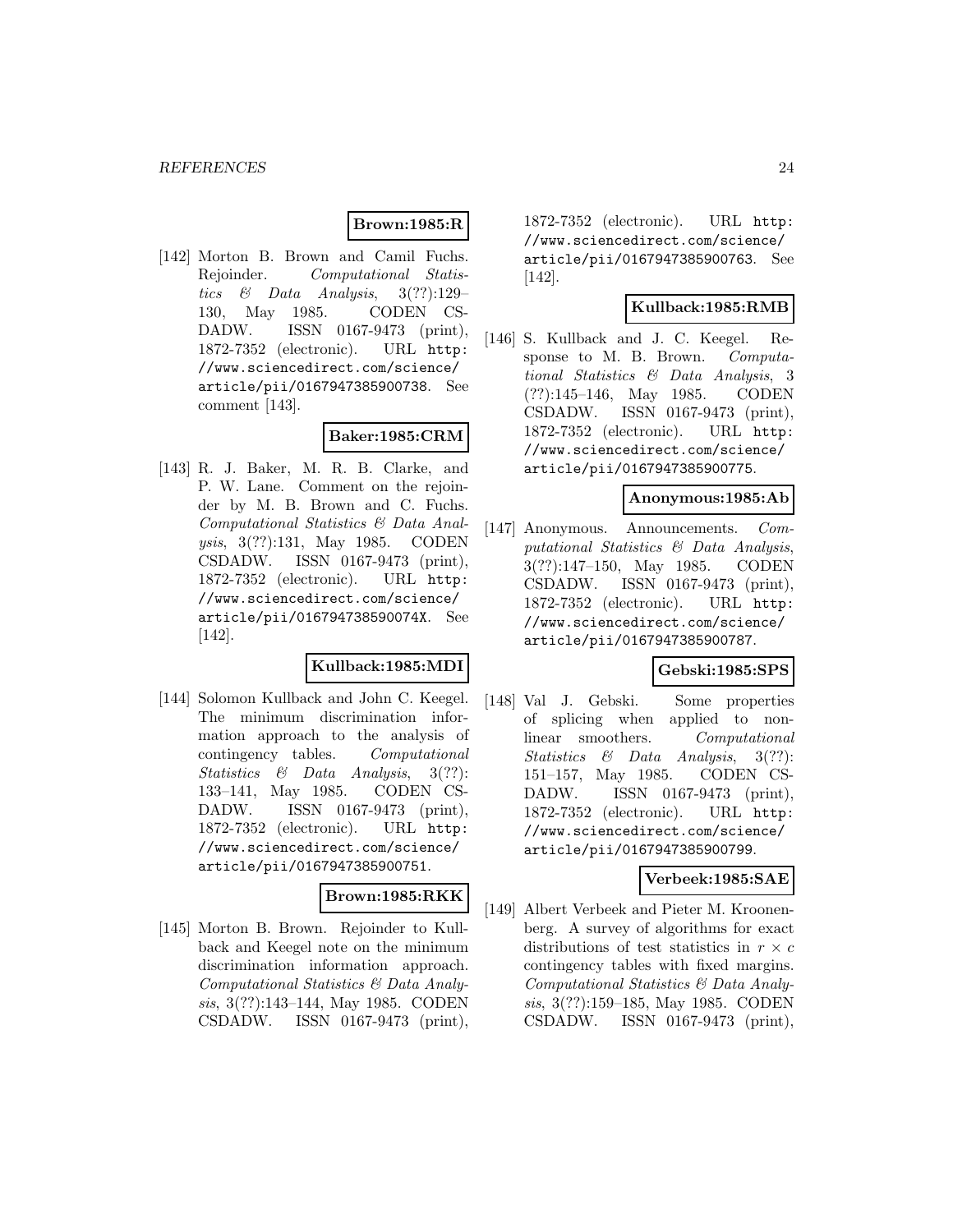# **Brown:1985:R**

[142] Morton B. Brown and Camil Fuchs. Rejoinder. Computational Statistics & Data Analysis,  $3(??):129-$ 130, May 1985. CODEN CS-DADW. ISSN 0167-9473 (print), 1872-7352 (electronic). URL http: //www.sciencedirect.com/science/ article/pii/0167947385900738. See comment [143].

# **Baker:1985:CRM**

[143] R. J. Baker, M. R. B. Clarke, and P. W. Lane. Comment on the rejoinder by M. B. Brown and C. Fuchs. Computational Statistics & Data Analysis, 3(??):131, May 1985. CODEN CSDADW. ISSN 0167-9473 (print), 1872-7352 (electronic). URL http: //www.sciencedirect.com/science/ article/pii/016794738590074X. See [142].

# **Kullback:1985:MDI**

[144] Solomon Kullback and John C. Keegel. The minimum discrimination information approach to the analysis of contingency tables. Computational Statistics & Data Analysis, 3(??): 133–141, May 1985. CODEN CS-DADW. ISSN 0167-9473 (print), 1872-7352 (electronic). URL http: //www.sciencedirect.com/science/ article/pii/0167947385900751.

# **Brown:1985:RKK**

[145] Morton B. Brown. Rejoinder to Kullback and Keegel note on the minimum discrimination information approach. Computational Statistics & Data Analysis, 3(??):143–144, May 1985. CODEN CSDADW. ISSN 0167-9473 (print),

1872-7352 (electronic). URL http: //www.sciencedirect.com/science/ article/pii/0167947385900763. See [142].

# **Kullback:1985:RMB**

[146] S. Kullback and J. C. Keegel. Response to M. B. Brown. Computational Statistics & Data Analysis, 3 (??):145–146, May 1985. CODEN CSDADW. ISSN 0167-9473 (print), 1872-7352 (electronic). URL http: //www.sciencedirect.com/science/ article/pii/0167947385900775.

#### **Anonymous:1985:Ab**

[147] Anonymous. Announcements. Computational Statistics & Data Analysis, 3(??):147–150, May 1985. CODEN CSDADW. ISSN 0167-9473 (print), 1872-7352 (electronic). URL http: //www.sciencedirect.com/science/ article/pii/0167947385900787.

### **Gebski:1985:SPS**

[148] Val J. Gebski. Some properties of splicing when applied to nonlinear smoothers. Computational Statistics & Data Analysis, 3(??): 151–157, May 1985. CODEN CS-DADW. ISSN 0167-9473 (print), 1872-7352 (electronic). URL http: //www.sciencedirect.com/science/ article/pii/0167947385900799.

### **Verbeek:1985:SAE**

[149] Albert Verbeek and Pieter M. Kroonenberg. A survey of algorithms for exact distributions of test statistics in  $r \times c$ contingency tables with fixed margins. Computational Statistics & Data Analysis, 3(??):159–185, May 1985. CODEN CSDADW. ISSN 0167-9473 (print),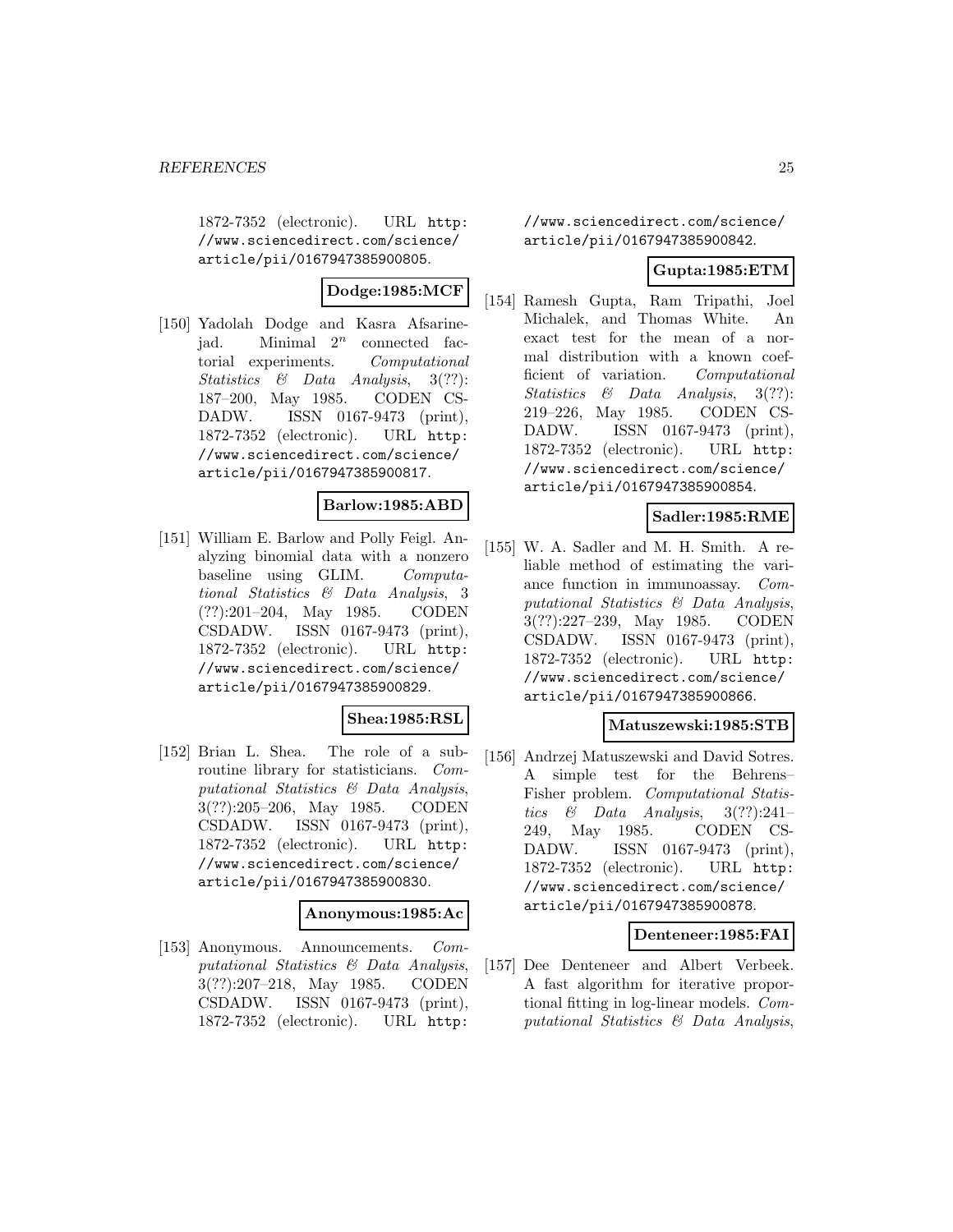1872-7352 (electronic). URL http: //www.sciencedirect.com/science/ article/pii/0167947385900805.

# **Dodge:1985:MCF**

[150] Yadolah Dodge and Kasra Afsarinejad. Minimal  $2^n$  connected factorial experiments. Computational Statistics & Data Analysis, 3(??): 187–200, May 1985. CODEN CS-DADW. ISSN 0167-9473 (print), 1872-7352 (electronic). URL http: //www.sciencedirect.com/science/ article/pii/0167947385900817.

### **Barlow:1985:ABD**

[151] William E. Barlow and Polly Feigl. Analyzing binomial data with a nonzero baseline using GLIM. Computational Statistics & Data Analysis, 3 (??):201–204, May 1985. CODEN CSDADW. ISSN 0167-9473 (print), 1872-7352 (electronic). URL http: //www.sciencedirect.com/science/ article/pii/0167947385900829.

### **Shea:1985:RSL**

[152] Brian L. Shea. The role of a subroutine library for statisticians. Computational Statistics & Data Analysis, 3(??):205–206, May 1985. CODEN CSDADW. ISSN 0167-9473 (print), 1872-7352 (electronic). URL http: //www.sciencedirect.com/science/ article/pii/0167947385900830.

### **Anonymous:1985:Ac**

[153] Anonymous. Announcements. Computational Statistics & Data Analysis, 3(??):207–218, May 1985. CODEN CSDADW. ISSN 0167-9473 (print), 1872-7352 (electronic). URL http:

//www.sciencedirect.com/science/ article/pii/0167947385900842.

### **Gupta:1985:ETM**

[154] Ramesh Gupta, Ram Tripathi, Joel Michalek, and Thomas White. An exact test for the mean of a normal distribution with a known coefficient of variation. Computational Statistics & Data Analysis, 3(??): 219–226, May 1985. CODEN CS-DADW. ISSN 0167-9473 (print), 1872-7352 (electronic). URL http: //www.sciencedirect.com/science/ article/pii/0167947385900854.

### **Sadler:1985:RME**

[155] W. A. Sadler and M. H. Smith. A reliable method of estimating the variance function in immunoassay. Computational Statistics & Data Analysis, 3(??):227–239, May 1985. CODEN CSDADW. ISSN 0167-9473 (print), 1872-7352 (electronic). URL http: //www.sciencedirect.com/science/ article/pii/0167947385900866.

### **Matuszewski:1985:STB**

[156] Andrzej Matuszewski and David Sotres. A simple test for the Behrens– Fisher problem. Computational Statistics & Data Analysis,  $3(??):241-$ 249, May 1985. CODEN CS-DADW. ISSN 0167-9473 (print), 1872-7352 (electronic). URL http: //www.sciencedirect.com/science/ article/pii/0167947385900878.

### **Denteneer:1985:FAI**

[157] Dee Denteneer and Albert Verbeek. A fast algorithm for iterative proportional fitting in log-linear models. Computational Statistics & Data Analysis,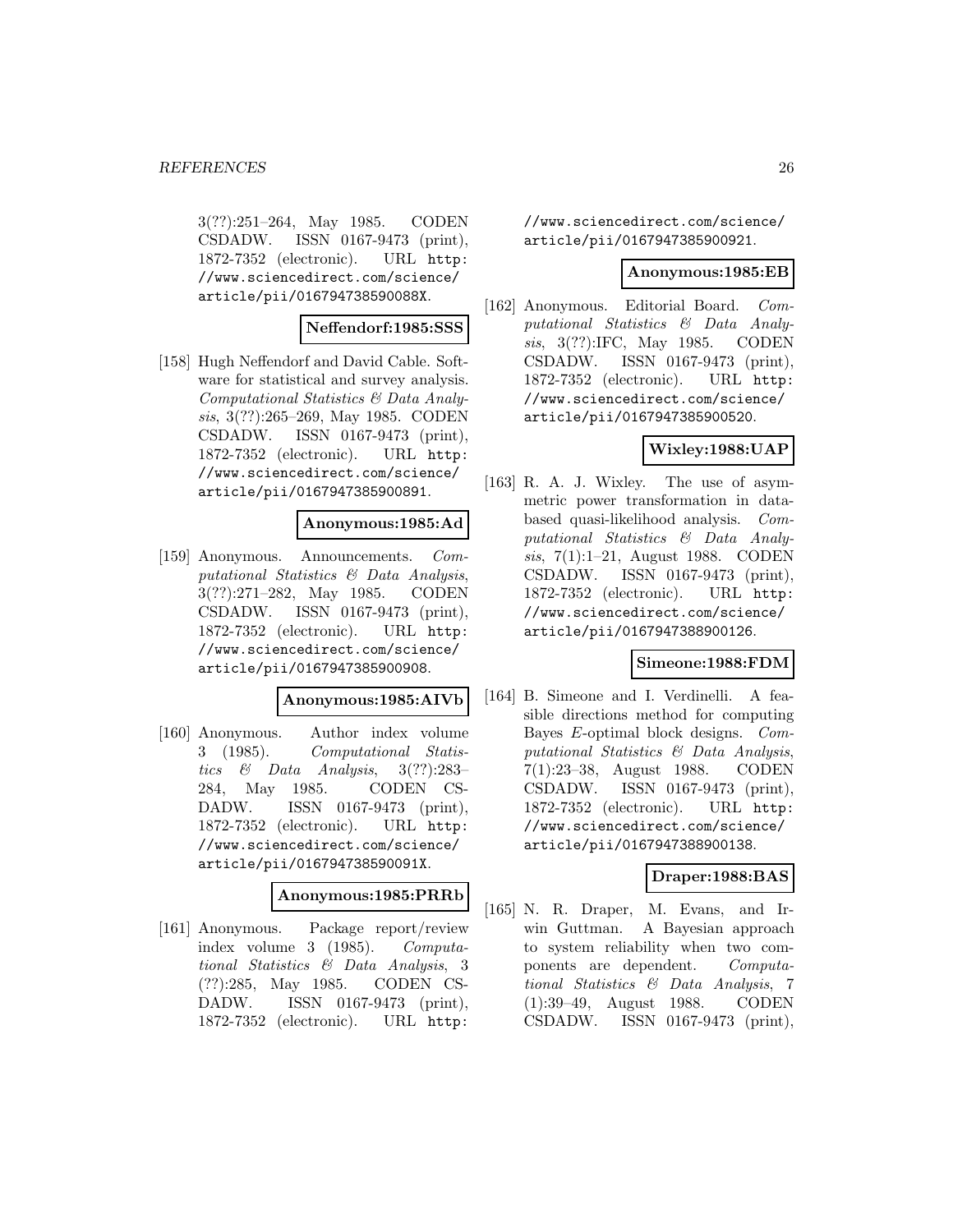3(??):251–264, May 1985. CODEN CSDADW. ISSN 0167-9473 (print), 1872-7352 (electronic). URL http: //www.sciencedirect.com/science/ article/pii/016794738590088X.

#### **Neffendorf:1985:SSS**

[158] Hugh Neffendorf and David Cable. Software for statistical and survey analysis. Computational Statistics & Data Analysis, 3(??):265–269, May 1985. CODEN CSDADW. ISSN 0167-9473 (print), 1872-7352 (electronic). URL http: //www.sciencedirect.com/science/ article/pii/0167947385900891.

#### **Anonymous:1985:Ad**

[159] Anonymous. Announcements. Computational Statistics & Data Analysis, 3(??):271–282, May 1985. CODEN CSDADW. ISSN 0167-9473 (print), 1872-7352 (electronic). URL http: //www.sciencedirect.com/science/ article/pii/0167947385900908.

### **Anonymous:1985:AIVb**

[160] Anonymous. Author index volume 3 (1985). Computational Statistics & Data Analysis,  $3(??):283-$ 284, May 1985. CODEN CS-DADW. ISSN 0167-9473 (print), 1872-7352 (electronic). URL http: //www.sciencedirect.com/science/ article/pii/016794738590091X.

#### **Anonymous:1985:PRRb**

[161] Anonymous. Package report/review index volume 3 (1985). Computational Statistics & Data Analysis, 3 (??):285, May 1985. CODEN CS-DADW. ISSN 0167-9473 (print), 1872-7352 (electronic). URL http:

//www.sciencedirect.com/science/ article/pii/0167947385900921.

#### **Anonymous:1985:EB**

[162] Anonymous. Editorial Board. Computational Statistics & Data Analysis, 3(??):IFC, May 1985. CODEN CSDADW. ISSN 0167-9473 (print), 1872-7352 (electronic). URL http: //www.sciencedirect.com/science/ article/pii/0167947385900520.

### **Wixley:1988:UAP**

[163] R. A. J. Wixley. The use of asymmetric power transformation in databased quasi-likelihood analysis. Computational Statistics & Data Analysis, 7(1):1–21, August 1988. CODEN CSDADW. ISSN 0167-9473 (print), 1872-7352 (electronic). URL http: //www.sciencedirect.com/science/ article/pii/0167947388900126.

### **Simeone:1988:FDM**

[164] B. Simeone and I. Verdinelli. A feasible directions method for computing Bayes E-optimal block designs. Computational Statistics & Data Analysis, 7(1):23–38, August 1988. CODEN CSDADW. ISSN 0167-9473 (print), 1872-7352 (electronic). URL http: //www.sciencedirect.com/science/ article/pii/0167947388900138.

### **Draper:1988:BAS**

[165] N. R. Draper, M. Evans, and Irwin Guttman. A Bayesian approach to system reliability when two components are dependent. Computational Statistics & Data Analysis, 7 (1):39–49, August 1988. CODEN CSDADW. ISSN 0167-9473 (print),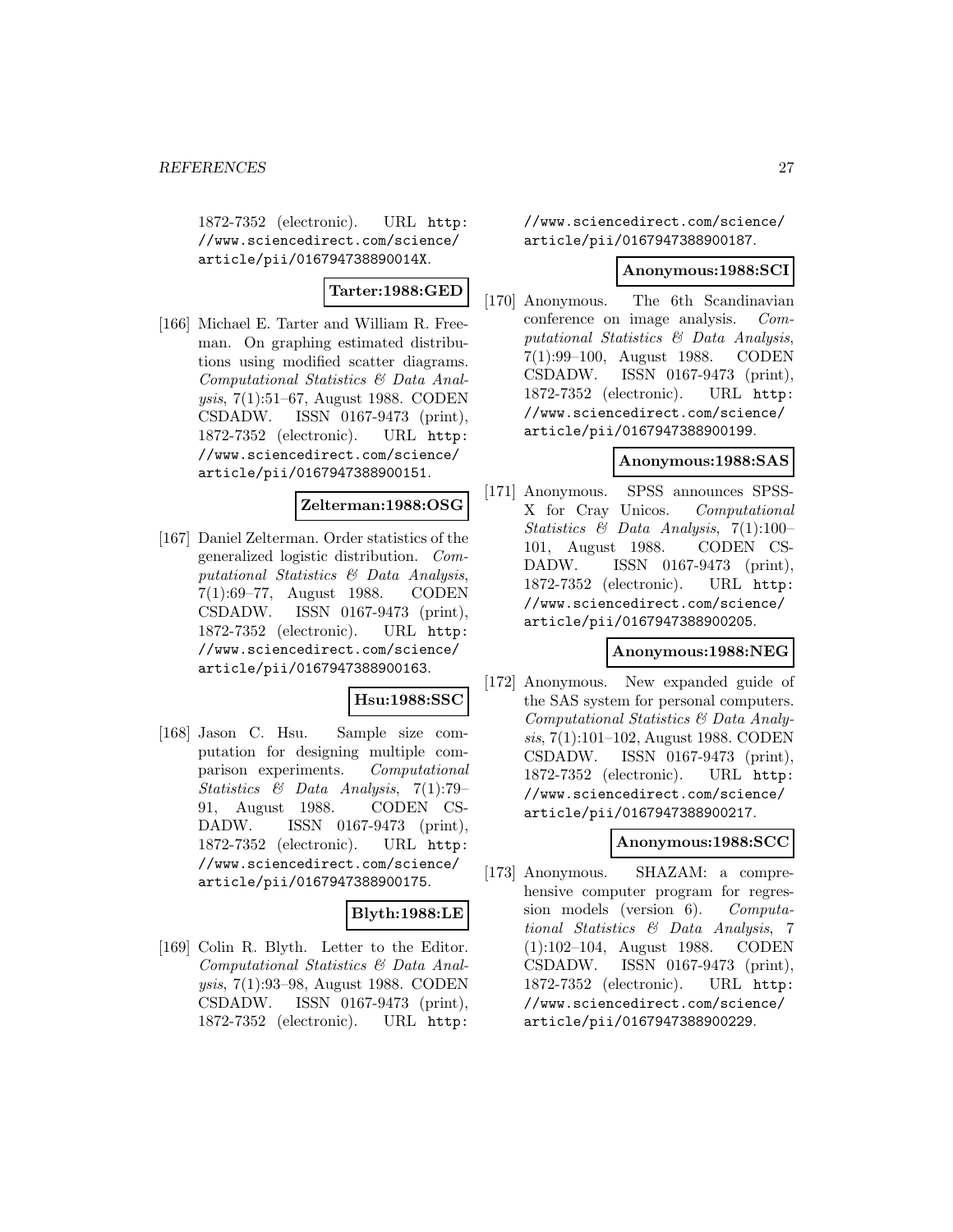1872-7352 (electronic). URL http: //www.sciencedirect.com/science/ article/pii/016794738890014X.

# **Tarter:1988:GED**

[166] Michael E. Tarter and William R. Freeman. On graphing estimated distributions using modified scatter diagrams. Computational Statistics & Data Analysis, 7(1):51–67, August 1988. CODEN CSDADW. ISSN 0167-9473 (print), 1872-7352 (electronic). URL http: //www.sciencedirect.com/science/ article/pii/0167947388900151.

# **Zelterman:1988:OSG**

[167] Daniel Zelterman. Order statistics of the generalized logistic distribution. Computational Statistics & Data Analysis, 7(1):69–77, August 1988. CODEN CSDADW. ISSN 0167-9473 (print), 1872-7352 (electronic). URL http: //www.sciencedirect.com/science/ article/pii/0167947388900163.

# **Hsu:1988:SSC**

[168] Jason C. Hsu. Sample size computation for designing multiple comparison experiments. Computational Statistics & Data Analysis, 7(1):79– 91, August 1988. CODEN CS-DADW. ISSN 0167-9473 (print), 1872-7352 (electronic). URL http: //www.sciencedirect.com/science/ article/pii/0167947388900175.

# **Blyth:1988:LE**

[169] Colin R. Blyth. Letter to the Editor. Computational Statistics & Data Analysis, 7(1):93–98, August 1988. CODEN CSDADW. ISSN 0167-9473 (print), 1872-7352 (electronic). URL http:

//www.sciencedirect.com/science/ article/pii/0167947388900187.

### **Anonymous:1988:SCI**

[170] Anonymous. The 6th Scandinavian conference on image analysis. Computational Statistics & Data Analysis, 7(1):99–100, August 1988. CODEN CSDADW. ISSN 0167-9473 (print), 1872-7352 (electronic). URL http: //www.sciencedirect.com/science/ article/pii/0167947388900199.

### **Anonymous:1988:SAS**

[171] Anonymous. SPSS announces SPSS-X for Cray Unicos. Computational Statistics & Data Analysis, 7(1):100– 101, August 1988. CODEN CS-DADW. ISSN 0167-9473 (print), 1872-7352 (electronic). URL http: //www.sciencedirect.com/science/ article/pii/0167947388900205.

### **Anonymous:1988:NEG**

[172] Anonymous. New expanded guide of the SAS system for personal computers. Computational Statistics & Data Analysis, 7(1):101–102, August 1988. CODEN CSDADW. ISSN 0167-9473 (print), 1872-7352 (electronic). URL http: //www.sciencedirect.com/science/ article/pii/0167947388900217.

### **Anonymous:1988:SCC**

[173] Anonymous. SHAZAM: a comprehensive computer program for regression models (version 6). Computational Statistics & Data Analysis, 7 (1):102–104, August 1988. CODEN CSDADW. ISSN 0167-9473 (print), 1872-7352 (electronic). URL http: //www.sciencedirect.com/science/ article/pii/0167947388900229.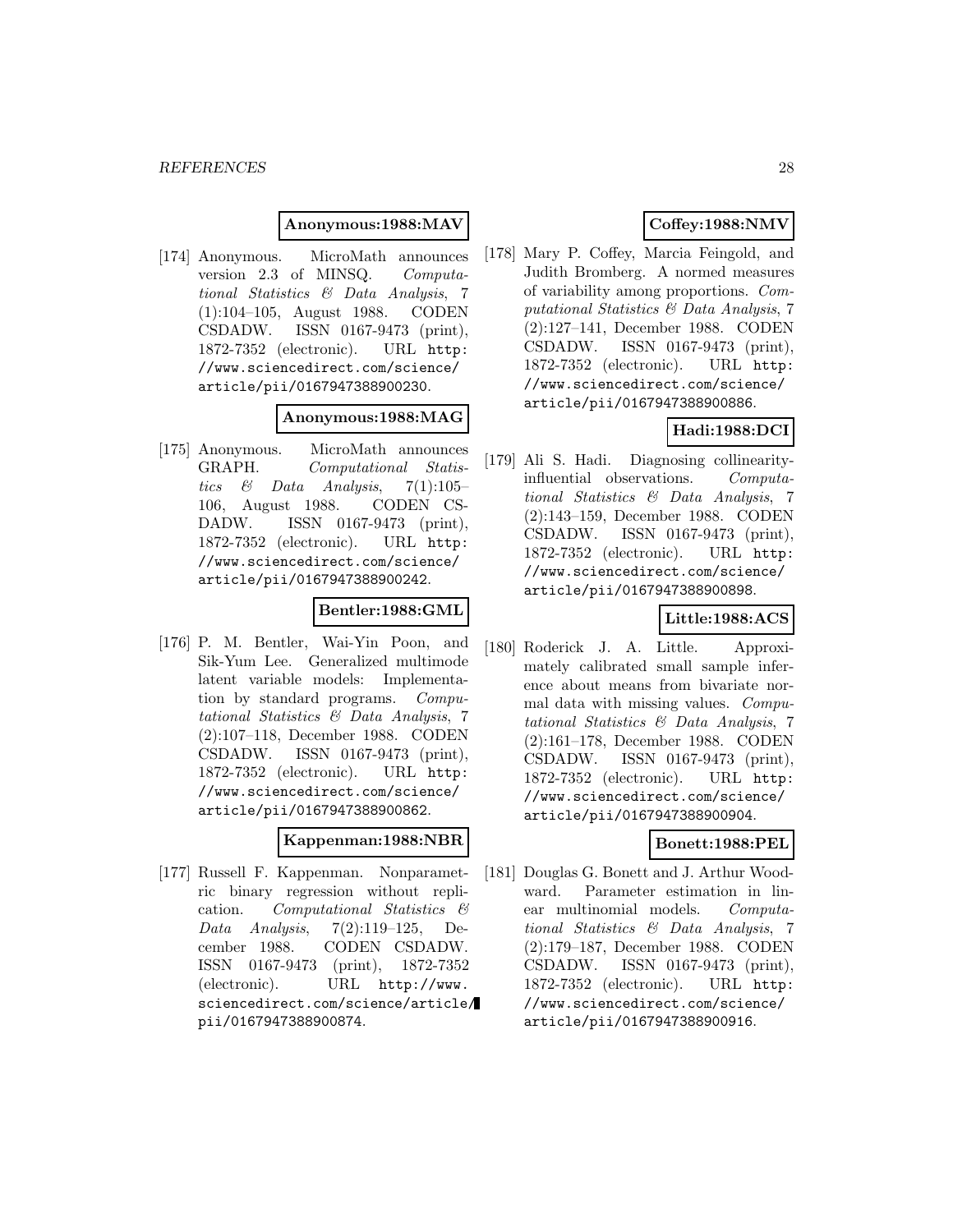### **Anonymous:1988:MAV**

[174] Anonymous. MicroMath announces version 2.3 of MINSQ. Computational Statistics & Data Analysis, 7 (1):104–105, August 1988. CODEN CSDADW. ISSN 0167-9473 (print), 1872-7352 (electronic). URL http: //www.sciencedirect.com/science/ article/pii/0167947388900230.

### **Anonymous:1988:MAG**

[175] Anonymous. MicroMath announces GRAPH. Computational Statistics & Data Analysis,  $7(1):105-$ 106, August 1988. CODEN CS-DADW. ISSN 0167-9473 (print), 1872-7352 (electronic). URL http: //www.sciencedirect.com/science/ article/pii/0167947388900242.

### **Bentler:1988:GML**

[176] P. M. Bentler, Wai-Yin Poon, and Sik-Yum Lee. Generalized multimode latent variable models: Implementation by standard programs. Computational Statistics & Data Analysis, 7 (2):107–118, December 1988. CODEN CSDADW. ISSN 0167-9473 (print), 1872-7352 (electronic). URL http: //www.sciencedirect.com/science/ article/pii/0167947388900862.

### **Kappenman:1988:NBR**

[177] Russell F. Kappenman. Nonparametric binary regression without replication. Computational Statistics & Data Analysis,  $7(2):119-125$ , December 1988. CODEN CSDADW. ISSN 0167-9473 (print), 1872-7352 (electronic). URL http://www. sciencedirect.com/science/article/ pii/0167947388900874.

# **Coffey:1988:NMV**

[178] Mary P. Coffey, Marcia Feingold, and Judith Bromberg. A normed measures of variability among proportions. Computational Statistics & Data Analysis, 7 (2):127–141, December 1988. CODEN CSDADW. ISSN 0167-9473 (print), 1872-7352 (electronic). URL http: //www.sciencedirect.com/science/ article/pii/0167947388900886.

# **Hadi:1988:DCI**

[179] Ali S. Hadi. Diagnosing collinearityinfluential observations. Computational Statistics & Data Analysis, 7 (2):143–159, December 1988. CODEN CSDADW. ISSN 0167-9473 (print), 1872-7352 (electronic). URL http: //www.sciencedirect.com/science/ article/pii/0167947388900898.

# **Little:1988:ACS**

[180] Roderick J. A. Little. Approximately calibrated small sample inference about means from bivariate normal data with missing values. Computational Statistics & Data Analysis, 7 (2):161–178, December 1988. CODEN CSDADW. ISSN 0167-9473 (print), 1872-7352 (electronic). URL http: //www.sciencedirect.com/science/ article/pii/0167947388900904.

# **Bonett:1988:PEL**

[181] Douglas G. Bonett and J. Arthur Woodward. Parameter estimation in linear multinomial models. Computational Statistics & Data Analysis, 7 (2):179–187, December 1988. CODEN CSDADW. ISSN 0167-9473 (print), 1872-7352 (electronic). URL http: //www.sciencedirect.com/science/ article/pii/0167947388900916.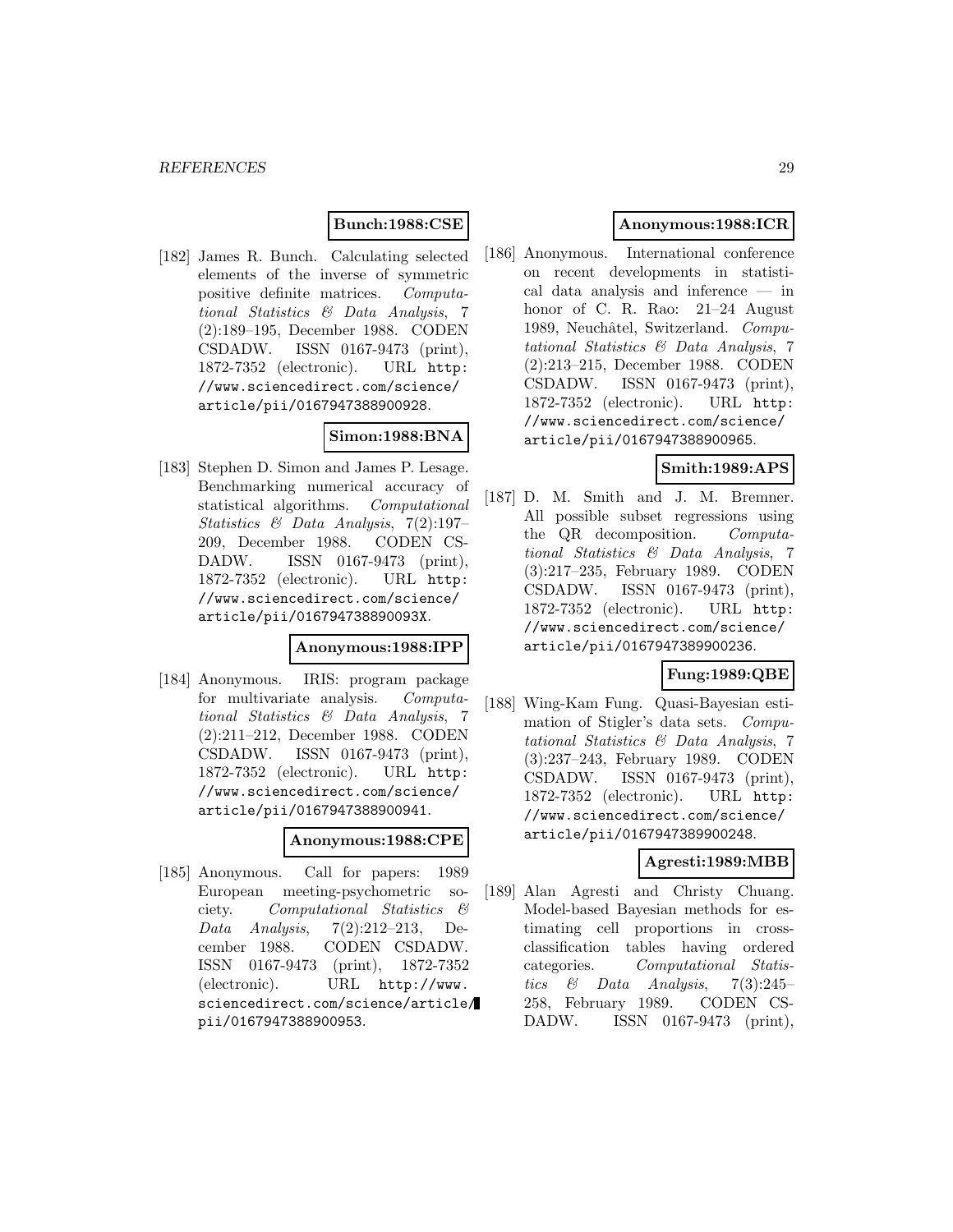# **Bunch:1988:CSE**

[182] James R. Bunch. Calculating selected elements of the inverse of symmetric positive definite matrices. Computational Statistics & Data Analysis, 7 (2):189–195, December 1988. CODEN CSDADW. ISSN 0167-9473 (print), 1872-7352 (electronic). URL http: //www.sciencedirect.com/science/ article/pii/0167947388900928.

# **Simon:1988:BNA**

[183] Stephen D. Simon and James P. Lesage. Benchmarking numerical accuracy of statistical algorithms. Computational Statistics & Data Analysis, 7(2):197– 209, December 1988. CODEN CS-DADW. ISSN 0167-9473 (print), 1872-7352 (electronic). URL http: //www.sciencedirect.com/science/ article/pii/016794738890093X.

#### **Anonymous:1988:IPP**

[184] Anonymous. IRIS: program package for multivariate analysis. Computational Statistics & Data Analysis, 7 (2):211–212, December 1988. CODEN CSDADW. ISSN 0167-9473 (print), 1872-7352 (electronic). URL http: //www.sciencedirect.com/science/ article/pii/0167947388900941.

### **Anonymous:1988:CPE**

[185] Anonymous. Call for papers: 1989 European meeting-psychometric society. Computational Statistics & Data Analysis, 7(2):212–213, December 1988. CODEN CSDADW. ISSN 0167-9473 (print), 1872-7352 (electronic). URL http://www. sciencedirect.com/science/article/ pii/0167947388900953.

# **Anonymous:1988:ICR**

[186] Anonymous. International conference on recent developments in statistical data analysis and inference — in honor of C. R. Rao: 21–24 August 1989, Neuchâtel, Switzerland. Computational Statistics & Data Analysis, 7 (2):213–215, December 1988. CODEN CSDADW. ISSN 0167-9473 (print), 1872-7352 (electronic). URL http: //www.sciencedirect.com/science/ article/pii/0167947388900965.

### **Smith:1989:APS**

[187] D. M. Smith and J. M. Bremner. All possible subset regressions using the QR decomposition. Computational Statistics & Data Analysis, 7 (3):217–235, February 1989. CODEN CSDADW. ISSN 0167-9473 (print), 1872-7352 (electronic). URL http: //www.sciencedirect.com/science/ article/pii/0167947389900236.

### **Fung:1989:QBE**

[188] Wing-Kam Fung. Quasi-Bayesian estimation of Stigler's data sets. Computational Statistics & Data Analysis, 7 (3):237–243, February 1989. CODEN CSDADW. ISSN 0167-9473 (print), 1872-7352 (electronic). URL http: //www.sciencedirect.com/science/ article/pii/0167947389900248.

# **Agresti:1989:MBB**

[189] Alan Agresti and Christy Chuang. Model-based Bayesian methods for estimating cell proportions in crossclassification tables having ordered categories. Computational Statistics & Data Analysis,  $7(3):245-$ 258, February 1989. CODEN CS-DADW. ISSN 0167-9473 (print),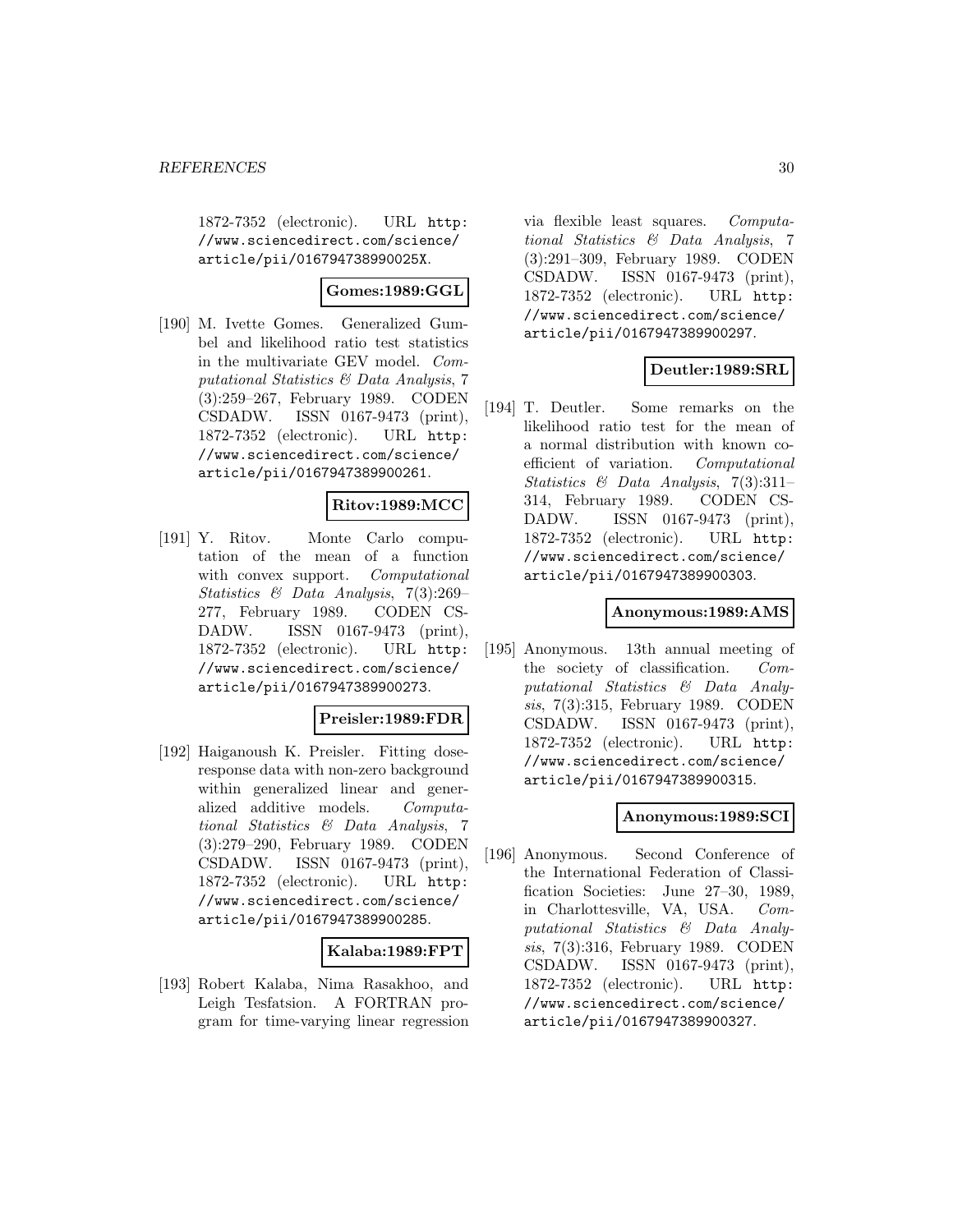1872-7352 (electronic). URL http: //www.sciencedirect.com/science/ article/pii/016794738990025X.

# **Gomes:1989:GGL**

[190] M. Ivette Gomes. Generalized Gumbel and likelihood ratio test statistics in the multivariate GEV model. Computational Statistics & Data Analysis, 7 (3):259–267, February 1989. CODEN CSDADW. ISSN 0167-9473 (print), 1872-7352 (electronic). URL http: //www.sciencedirect.com/science/ article/pii/0167947389900261.

# **Ritov:1989:MCC**

[191] Y. Ritov. Monte Carlo computation of the mean of a function with convex support. Computational Statistics & Data Analysis, 7(3):269– 277, February 1989. CODEN CS-DADW. ISSN 0167-9473 (print), 1872-7352 (electronic). URL http: //www.sciencedirect.com/science/ article/pii/0167947389900273.

### **Preisler:1989:FDR**

[192] Haiganoush K. Preisler. Fitting doseresponse data with non-zero background within generalized linear and generalized additive models. Computational Statistics & Data Analysis, 7 (3):279–290, February 1989. CODEN CSDADW. ISSN 0167-9473 (print), 1872-7352 (electronic). URL http: //www.sciencedirect.com/science/ article/pii/0167947389900285.

### **Kalaba:1989:FPT**

[193] Robert Kalaba, Nima Rasakhoo, and Leigh Tesfatsion. A FORTRAN program for time-varying linear regression via flexible least squares. Computational Statistics & Data Analysis, 7 (3):291–309, February 1989. CODEN CSDADW. ISSN 0167-9473 (print), 1872-7352 (electronic). URL http: //www.sciencedirect.com/science/ article/pii/0167947389900297.

# **Deutler:1989:SRL**

[194] T. Deutler. Some remarks on the likelihood ratio test for the mean of a normal distribution with known coefficient of variation. Computational Statistics & Data Analysis, 7(3):311– 314, February 1989. CODEN CS-DADW. ISSN 0167-9473 (print), 1872-7352 (electronic). URL http: //www.sciencedirect.com/science/ article/pii/0167947389900303.

#### **Anonymous:1989:AMS**

[195] Anonymous. 13th annual meeting of the society of classification. Computational Statistics & Data Analysis, 7(3):315, February 1989. CODEN CSDADW. ISSN 0167-9473 (print), 1872-7352 (electronic). URL http: //www.sciencedirect.com/science/ article/pii/0167947389900315.

### **Anonymous:1989:SCI**

[196] Anonymous. Second Conference of the International Federation of Classification Societies: June 27–30, 1989, in Charlottesville, VA, USA. Computational Statistics & Data Analysis, 7(3):316, February 1989. CODEN CSDADW. ISSN 0167-9473 (print), 1872-7352 (electronic). URL http: //www.sciencedirect.com/science/ article/pii/0167947389900327.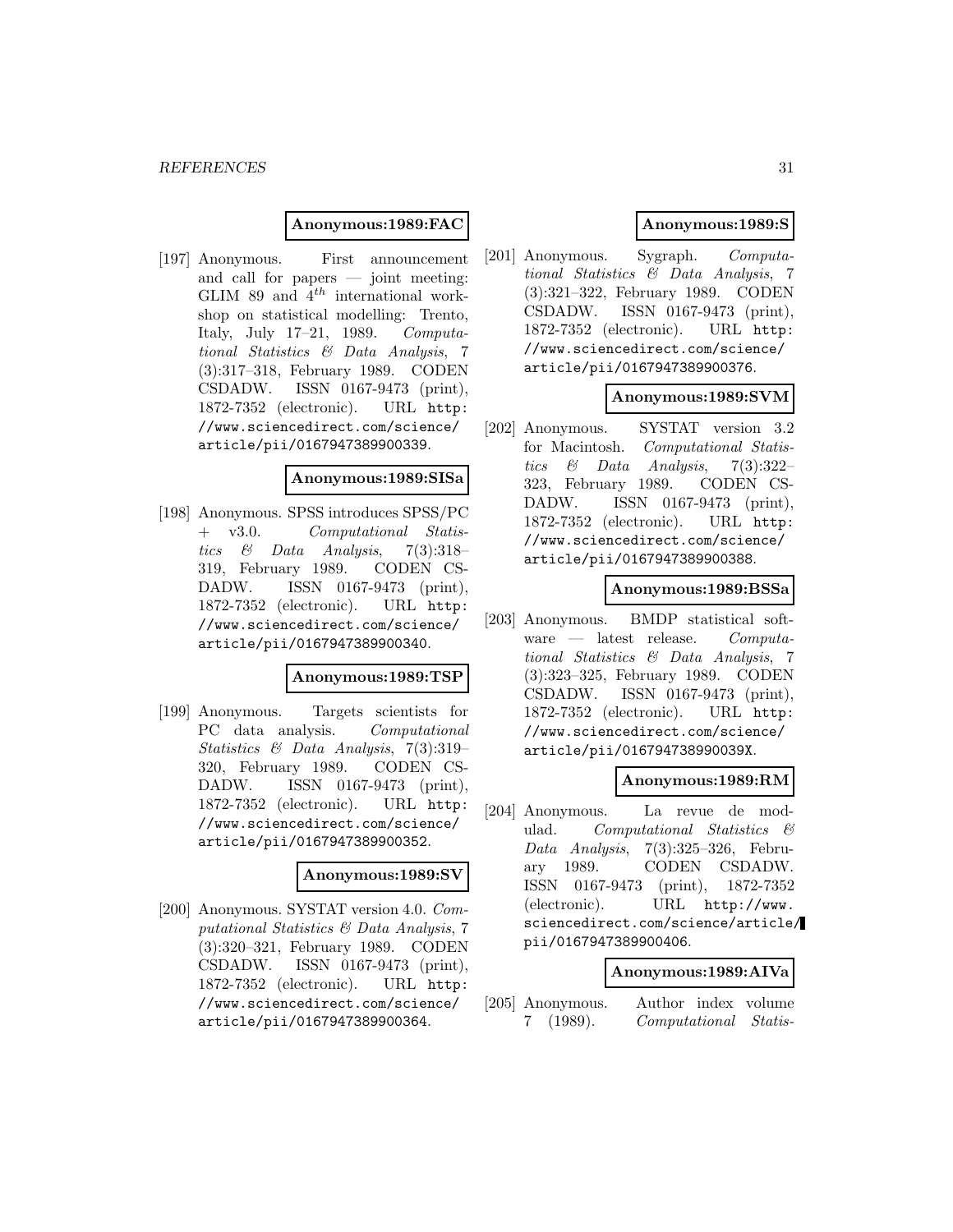### **Anonymous:1989:FAC**

[197] Anonymous. First announcement and call for papers — joint meeting: GLIM 89 and  $4^{th}$  international workshop on statistical modelling: Trento, Italy, July 17–21, 1989. Computational Statistics & Data Analysis, 7 (3):317–318, February 1989. CODEN CSDADW. ISSN 0167-9473 (print), 1872-7352 (electronic). URL http: //www.sciencedirect.com/science/ article/pii/0167947389900339.

### **Anonymous:1989:SISa**

[198] Anonymous. SPSS introduces SPSS/PC + v3.0. Computational Statistics & Data Analysis, 7(3):318– 319, February 1989. CODEN CS-DADW. ISSN 0167-9473 (print), 1872-7352 (electronic). URL http: //www.sciencedirect.com/science/ article/pii/0167947389900340.

#### **Anonymous:1989:TSP**

[199] Anonymous. Targets scientists for PC data analysis. Computational Statistics & Data Analysis, 7(3):319– 320, February 1989. CODEN CS-DADW. ISSN 0167-9473 (print), 1872-7352 (electronic). URL http: //www.sciencedirect.com/science/ article/pii/0167947389900352.

#### **Anonymous:1989:SV**

[200] Anonymous. SYSTAT version 4.0. Computational Statistics & Data Analysis, 7 (3):320–321, February 1989. CODEN CSDADW. ISSN 0167-9473 (print), 1872-7352 (electronic). URL http: //www.sciencedirect.com/science/ article/pii/0167947389900364.

# **Anonymous:1989:S**

[201] Anonymous. Sygraph. Computational Statistics & Data Analysis, 7 (3):321–322, February 1989. CODEN CSDADW. ISSN 0167-9473 (print), 1872-7352 (electronic). URL http: //www.sciencedirect.com/science/ article/pii/0167947389900376.

### **Anonymous:1989:SVM**

[202] Anonymous. SYSTAT version 3.2 for Macintosh. Computational Statistics & Data Analysis, 7(3):322– 323, February 1989. CODEN CS-DADW. ISSN 0167-9473 (print), 1872-7352 (electronic). URL http: //www.sciencedirect.com/science/ article/pii/0167947389900388.

### **Anonymous:1989:BSSa**

[203] Anonymous. BMDP statistical software — latest release. Computational Statistics & Data Analysis, 7 (3):323–325, February 1989. CODEN CSDADW. ISSN 0167-9473 (print), 1872-7352 (electronic). URL http: //www.sciencedirect.com/science/ article/pii/016794738990039X.

### **Anonymous:1989:RM**

[204] Anonymous. La revue de modulad. Computational Statistics & Data Analysis, 7(3):325–326, February 1989. CODEN CSDADW. ISSN 0167-9473 (print), 1872-7352 (electronic). URL http://www. sciencedirect.com/science/article/ pii/0167947389900406.

### **Anonymous:1989:AIVa**

[205] Anonymous. Author index volume 7 (1989). Computational Statis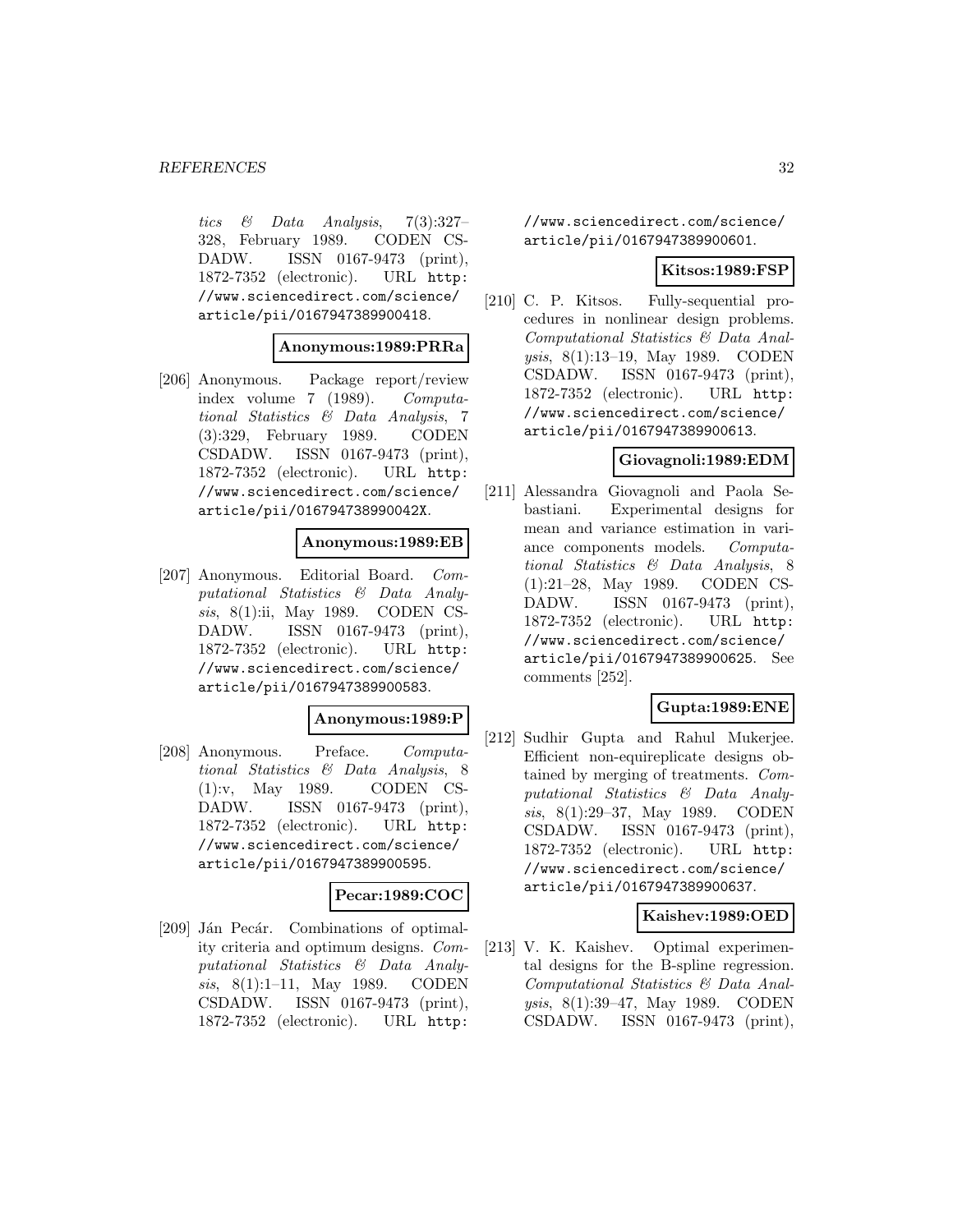tics & Data Analysis, 7(3):327– 328, February 1989. CODEN CS-DADW. ISSN 0167-9473 (print), 1872-7352 (electronic). URL http: //www.sciencedirect.com/science/ article/pii/0167947389900418.

### **Anonymous:1989:PRRa**

[206] Anonymous. Package report/review index volume 7 (1989). Computational Statistics & Data Analysis, 7 (3):329, February 1989. CODEN CSDADW. ISSN 0167-9473 (print), 1872-7352 (electronic). URL http: //www.sciencedirect.com/science/ article/pii/016794738990042X.

# **Anonymous:1989:EB**

[207] Anonymous. Editorial Board. Computational Statistics & Data Analysis, 8(1):ii, May 1989. CODEN CS-DADW. ISSN 0167-9473 (print), 1872-7352 (electronic). URL http: //www.sciencedirect.com/science/ article/pii/0167947389900583.

### **Anonymous:1989:P**

[208] Anonymous. Preface. Computational Statistics & Data Analysis, 8 (1):v, May 1989. CODEN CS-DADW. ISSN 0167-9473 (print), 1872-7352 (electronic). URL http: //www.sciencedirect.com/science/ article/pii/0167947389900595.

### **Pecar:1989:COC**

[209] Ján Pecár. Combinations of optimality criteria and optimum designs. Computational Statistics & Data Analysis, 8(1):1–11, May 1989. CODEN CSDADW. ISSN 0167-9473 (print), 1872-7352 (electronic). URL http:

//www.sciencedirect.com/science/ article/pii/0167947389900601.

### **Kitsos:1989:FSP**

[210] C. P. Kitsos. Fully-sequential procedures in nonlinear design problems. Computational Statistics & Data Analysis, 8(1):13–19, May 1989. CODEN CSDADW. ISSN 0167-9473 (print), 1872-7352 (electronic). URL http: //www.sciencedirect.com/science/ article/pii/0167947389900613.

### **Giovagnoli:1989:EDM**

[211] Alessandra Giovagnoli and Paola Sebastiani. Experimental designs for mean and variance estimation in variance components models. Computational Statistics & Data Analysis, 8 (1):21–28, May 1989. CODEN CS-DADW. ISSN 0167-9473 (print), 1872-7352 (electronic). URL http: //www.sciencedirect.com/science/ article/pii/0167947389900625. See comments [252].

# **Gupta:1989:ENE**

[212] Sudhir Gupta and Rahul Mukerjee. Efficient non-equireplicate designs obtained by merging of treatments. Computational Statistics & Data Analysis, 8(1):29–37, May 1989. CODEN CSDADW. ISSN 0167-9473 (print), 1872-7352 (electronic). URL http: //www.sciencedirect.com/science/ article/pii/0167947389900637.

# **Kaishev:1989:OED**

[213] V. K. Kaishev. Optimal experimental designs for the B-spline regression. Computational Statistics & Data Analysis, 8(1):39–47, May 1989. CODEN CSDADW. ISSN 0167-9473 (print),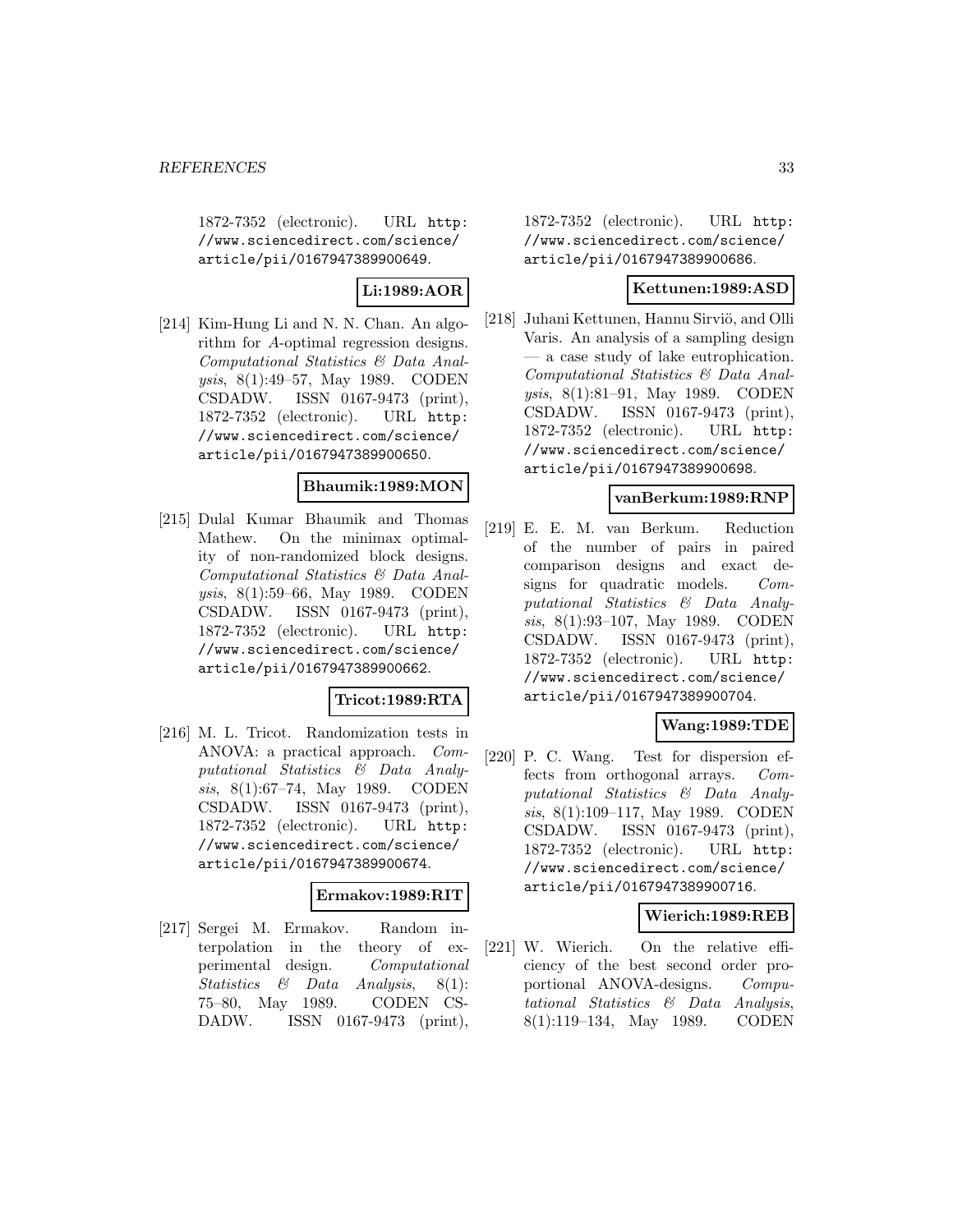1872-7352 (electronic). URL http: //www.sciencedirect.com/science/ article/pii/0167947389900649.

# **Li:1989:AOR**

[214] Kim-Hung Li and N. N. Chan. An algorithm for A-optimal regression designs. Computational Statistics & Data Analysis, 8(1):49–57, May 1989. CODEN CSDADW. ISSN 0167-9473 (print), 1872-7352 (electronic). URL http: //www.sciencedirect.com/science/ article/pii/0167947389900650.

# **Bhaumik:1989:MON**

[215] Dulal Kumar Bhaumik and Thomas Mathew. On the minimax optimality of non-randomized block designs. Computational Statistics & Data Analysis, 8(1):59–66, May 1989. CODEN CSDADW. ISSN 0167-9473 (print), 1872-7352 (electronic). URL http: //www.sciencedirect.com/science/ article/pii/0167947389900662.

### **Tricot:1989:RTA**

[216] M. L. Tricot. Randomization tests in ANOVA: a practical approach. Computational Statistics & Data Analysis, 8(1):67–74, May 1989. CODEN CSDADW. ISSN 0167-9473 (print), 1872-7352 (electronic). URL http: //www.sciencedirect.com/science/ article/pii/0167947389900674.

#### **Ermakov:1989:RIT**

[217] Sergei M. Ermakov. Random interpolation in the theory of experimental design. Computational Statistics & Data Analysis, 8(1): 75–80, May 1989. CODEN CS-DADW. ISSN 0167-9473 (print),

1872-7352 (electronic). URL http: //www.sciencedirect.com/science/ article/pii/0167947389900686.

# **Kettunen:1989:ASD**

[218] Juhani Kettunen, Hannu Sirviö, and Olli Varis. An analysis of a sampling design — a case study of lake eutrophication. Computational Statistics & Data Analysis, 8(1):81–91, May 1989. CODEN CSDADW. ISSN 0167-9473 (print), 1872-7352 (electronic). URL http: //www.sciencedirect.com/science/ article/pii/0167947389900698.

### **vanBerkum:1989:RNP**

[219] E. E. M. van Berkum. Reduction of the number of pairs in paired comparison designs and exact designs for quadratic models. Computational Statistics & Data Analysis, 8(1):93–107, May 1989. CODEN CSDADW. ISSN 0167-9473 (print), 1872-7352 (electronic). URL http: //www.sciencedirect.com/science/ article/pii/0167947389900704.

# **Wang:1989:TDE**

[220] P. C. Wang. Test for dispersion effects from orthogonal arrays. Computational Statistics & Data Analysis, 8(1):109–117, May 1989. CODEN CSDADW. ISSN 0167-9473 (print), 1872-7352 (electronic). URL http: //www.sciencedirect.com/science/ article/pii/0167947389900716.

# **Wierich:1989:REB**

[221] W. Wierich. On the relative efficiency of the best second order proportional ANOVA-designs. Computational Statistics & Data Analysis, 8(1):119–134, May 1989. CODEN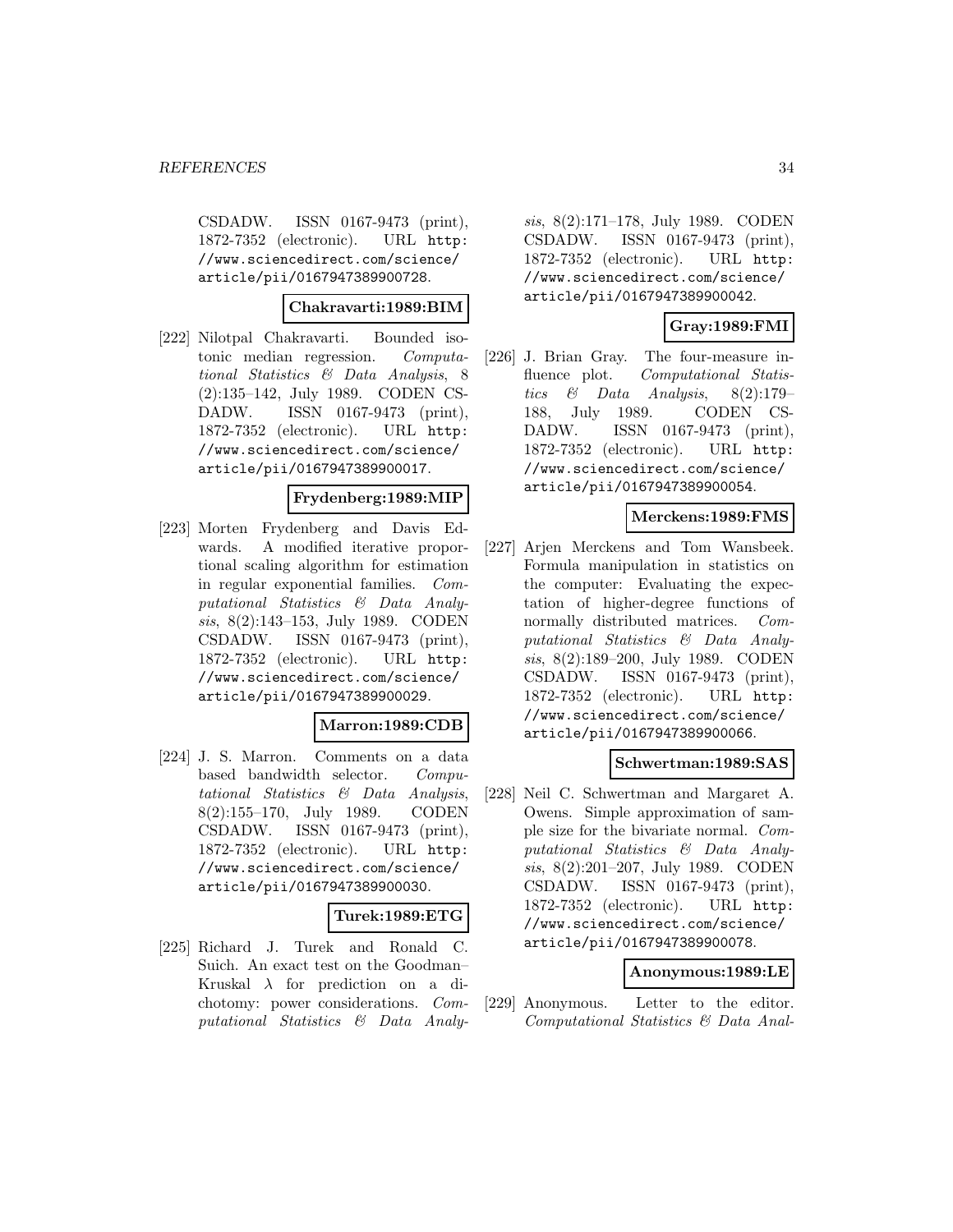CSDADW. ISSN 0167-9473 (print), 1872-7352 (electronic). URL http: //www.sciencedirect.com/science/ article/pii/0167947389900728.

**Chakravarti:1989:BIM**

[222] Nilotpal Chakravarti. Bounded isotonic median regression. Computational Statistics & Data Analysis, 8 (2):135–142, July 1989. CODEN CS-DADW. ISSN 0167-9473 (print), 1872-7352 (electronic). URL http: //www.sciencedirect.com/science/ article/pii/0167947389900017.

### **Frydenberg:1989:MIP**

[223] Morten Frydenberg and Davis Edwards. A modified iterative proportional scaling algorithm for estimation in regular exponential families. Computational Statistics & Data Analysis, 8(2):143–153, July 1989. CODEN CSDADW. ISSN 0167-9473 (print), 1872-7352 (electronic). URL http: //www.sciencedirect.com/science/ article/pii/0167947389900029.

### **Marron:1989:CDB**

[224] J. S. Marron. Comments on a data based bandwidth selector. Computational Statistics & Data Analysis, 8(2):155–170, July 1989. CODEN CSDADW. ISSN 0167-9473 (print), 1872-7352 (electronic). URL http: //www.sciencedirect.com/science/ article/pii/0167947389900030.

# **Turek:1989:ETG**

[225] Richard J. Turek and Ronald C. Suich. An exact test on the Goodman– Kruskal  $\lambda$  for prediction on a dichotomy: power considerations. Computational Statistics & Data Analysis, 8(2):171–178, July 1989. CODEN CSDADW. ISSN 0167-9473 (print), 1872-7352 (electronic). URL http: //www.sciencedirect.com/science/ article/pii/0167947389900042.

# **Gray:1989:FMI**

[226] J. Brian Gray. The four-measure influence plot. Computational Statistics & Data Analysis, 8(2):179– 188, July 1989. CODEN CS-DADW. ISSN 0167-9473 (print), 1872-7352 (electronic). URL http: //www.sciencedirect.com/science/ article/pii/0167947389900054.

### **Merckens:1989:FMS**

[227] Arjen Merckens and Tom Wansbeek. Formula manipulation in statistics on the computer: Evaluating the expectation of higher-degree functions of normally distributed matrices. Computational Statistics & Data Analysis, 8(2):189–200, July 1989. CODEN CSDADW. ISSN 0167-9473 (print), 1872-7352 (electronic). URL http: //www.sciencedirect.com/science/ article/pii/0167947389900066.

### **Schwertman:1989:SAS**

[228] Neil C. Schwertman and Margaret A. Owens. Simple approximation of sample size for the bivariate normal. Computational Statistics & Data Analysis, 8(2):201–207, July 1989. CODEN CSDADW. ISSN 0167-9473 (print), 1872-7352 (electronic). URL http: //www.sciencedirect.com/science/ article/pii/0167947389900078.

### **Anonymous:1989:LE**

[229] Anonymous. Letter to the editor. Computational Statistics & Data Anal-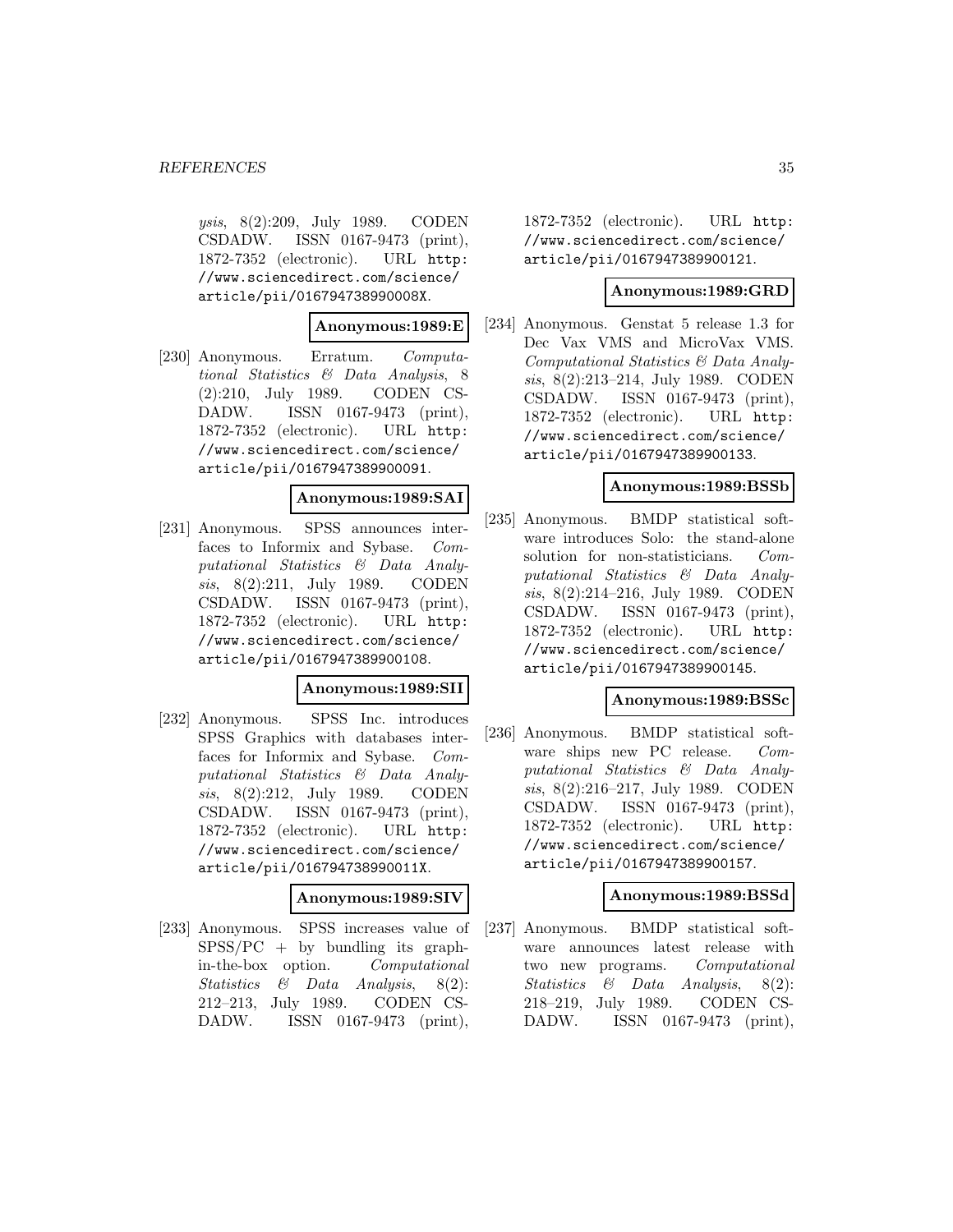ysis, 8(2):209, July 1989. CODEN CSDADW. ISSN 0167-9473 (print), 1872-7352 (electronic). URL http: //www.sciencedirect.com/science/ article/pii/016794738990008X.

### **Anonymous:1989:E**

[230] Anonymous. Erratum. Computational Statistics & Data Analysis, 8 (2):210, July 1989. CODEN CS-DADW. ISSN 0167-9473 (print), 1872-7352 (electronic). URL http: //www.sciencedirect.com/science/ article/pii/0167947389900091.

### **Anonymous:1989:SAI**

[231] Anonymous. SPSS announces interfaces to Informix and Sybase. Computational Statistics & Data Analysis, 8(2):211, July 1989. CODEN CSDADW. ISSN 0167-9473 (print), 1872-7352 (electronic). URL http: //www.sciencedirect.com/science/ article/pii/0167947389900108.

#### **Anonymous:1989:SII**

[232] Anonymous. SPSS Inc. introduces SPSS Graphics with databases interfaces for Informix and Sybase. Computational Statistics & Data Analysis, 8(2):212, July 1989. CODEN CSDADW. ISSN 0167-9473 (print), 1872-7352 (electronic). URL http: //www.sciencedirect.com/science/ article/pii/016794738990011X.

### **Anonymous:1989:SIV**

[233] Anonymous. SPSS increases value of  $SPSS/PC$  + by bundling its graphin-the-box option. Computational Statistics & Data Analysis, 8(2): 212–213, July 1989. CODEN CS-DADW. ISSN 0167-9473 (print),

1872-7352 (electronic). URL http: //www.sciencedirect.com/science/ article/pii/0167947389900121.

### **Anonymous:1989:GRD**

[234] Anonymous. Genstat 5 release 1.3 for Dec Vax VMS and MicroVax VMS. Computational Statistics & Data Analysis, 8(2):213–214, July 1989. CODEN CSDADW. ISSN 0167-9473 (print), 1872-7352 (electronic). URL http: //www.sciencedirect.com/science/ article/pii/0167947389900133.

### **Anonymous:1989:BSSb**

[235] Anonymous. BMDP statistical software introduces Solo: the stand-alone solution for non-statisticians. Computational Statistics & Data Analysis, 8(2):214–216, July 1989. CODEN CSDADW. ISSN 0167-9473 (print), 1872-7352 (electronic). URL http: //www.sciencedirect.com/science/ article/pii/0167947389900145.

#### **Anonymous:1989:BSSc**

[236] Anonymous. BMDP statistical software ships new PC release. Computational Statistics & Data Analysis, 8(2):216–217, July 1989. CODEN CSDADW. ISSN 0167-9473 (print), 1872-7352 (electronic). URL http: //www.sciencedirect.com/science/ article/pii/0167947389900157.

#### **Anonymous:1989:BSSd**

[237] Anonymous. BMDP statistical software announces latest release with two new programs. Computational Statistics & Data Analysis, 8(2): 218–219, July 1989. CODEN CS-DADW. ISSN 0167-9473 (print),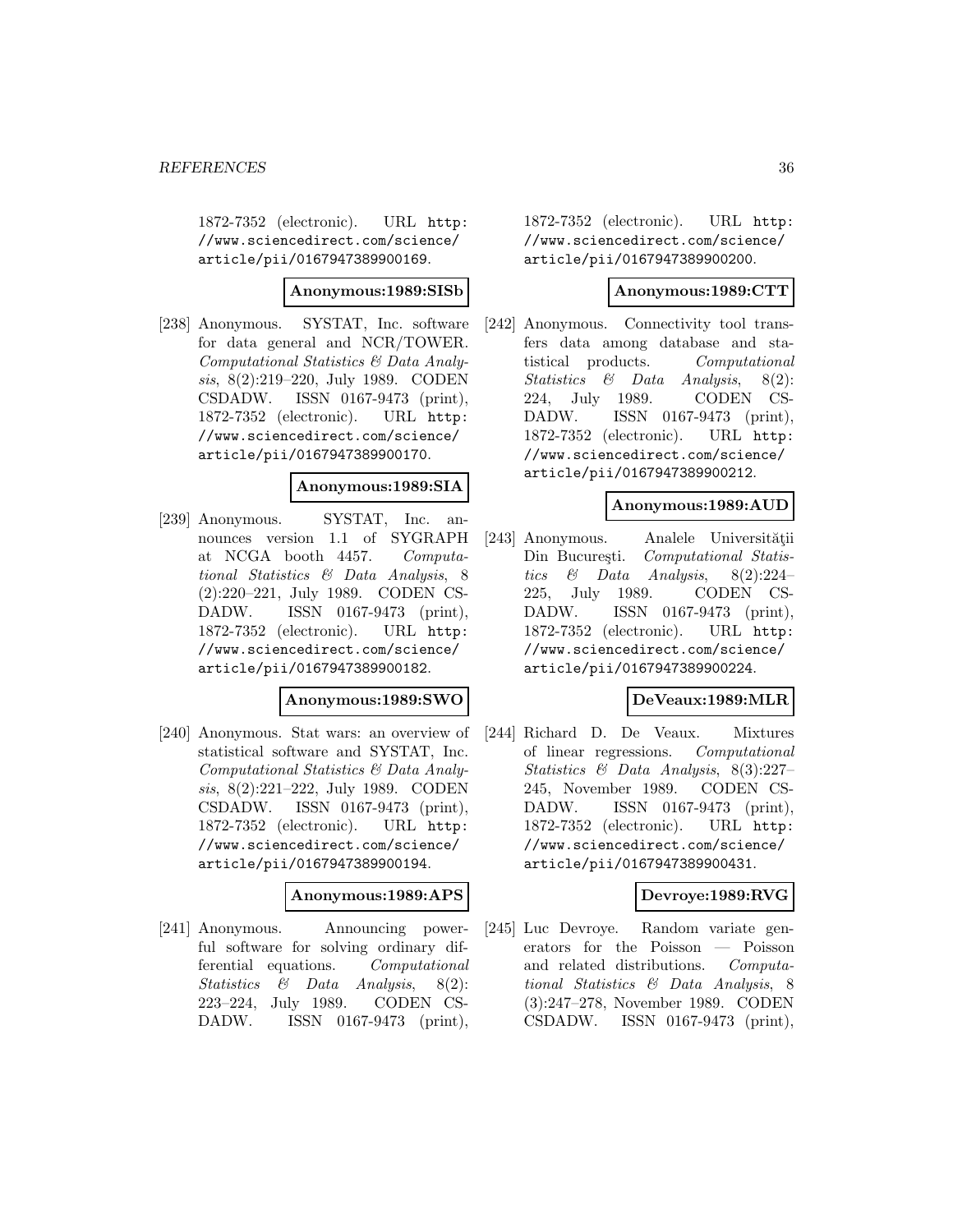1872-7352 (electronic). URL http: //www.sciencedirect.com/science/ article/pii/0167947389900169.

### **Anonymous:1989:SISb**

[238] Anonymous. SYSTAT, Inc. software for data general and NCR/TOWER. Computational Statistics & Data Analysis, 8(2):219–220, July 1989. CODEN CSDADW. ISSN 0167-9473 (print), 1872-7352 (electronic). URL http: //www.sciencedirect.com/science/ article/pii/0167947389900170.

# **Anonymous:1989:SIA**

[239] Anonymous. SYSTAT, Inc. announces version 1.1 of SYGRAPH at NCGA booth 4457. Computational Statistics & Data Analysis, 8 (2):220–221, July 1989. CODEN CS-DADW. ISSN 0167-9473 (print), 1872-7352 (electronic). URL http: //www.sciencedirect.com/science/ article/pii/0167947389900182.

### **Anonymous:1989:SWO**

[240] Anonymous. Stat wars: an overview of statistical software and SYSTAT, Inc. Computational Statistics & Data Analysis, 8(2):221–222, July 1989. CODEN CSDADW. ISSN 0167-9473 (print), 1872-7352 (electronic). URL http: //www.sciencedirect.com/science/ article/pii/0167947389900194.

#### **Anonymous:1989:APS**

[241] Anonymous. Announcing powerful software for solving ordinary differential equations. Computational Statistics & Data Analysis, 8(2): 223–224, July 1989. CODEN CS-DADW. ISSN 0167-9473 (print),

1872-7352 (electronic). URL http: //www.sciencedirect.com/science/ article/pii/0167947389900200.

### **Anonymous:1989:CTT**

[242] Anonymous. Connectivity tool transfers data among database and statistical products. Computational Statistics & Data Analysis, 8(2): 224, July 1989. CODEN CS-DADW. ISSN 0167-9473 (print), 1872-7352 (electronic). URL http: //www.sciencedirect.com/science/ article/pii/0167947389900212.

### **Anonymous:1989:AUD**

[243] Anonymous. Analele Universității Din București. Computational Statistics  $\&$  Data Analysis, 8(2):224– 225, July 1989. CODEN CS-DADW. ISSN 0167-9473 (print), 1872-7352 (electronic). URL http: //www.sciencedirect.com/science/ article/pii/0167947389900224.

### **DeVeaux:1989:MLR**

[244] Richard D. De Veaux. Mixtures of linear regressions. Computational Statistics & Data Analysis, 8(3):227– 245, November 1989. CODEN CS-DADW. ISSN 0167-9473 (print), 1872-7352 (electronic). URL http: //www.sciencedirect.com/science/ article/pii/0167947389900431.

### **Devroye:1989:RVG**

[245] Luc Devroye. Random variate generators for the Poisson — Poisson and related distributions. Computational Statistics & Data Analysis, 8 (3):247–278, November 1989. CODEN CSDADW. ISSN 0167-9473 (print),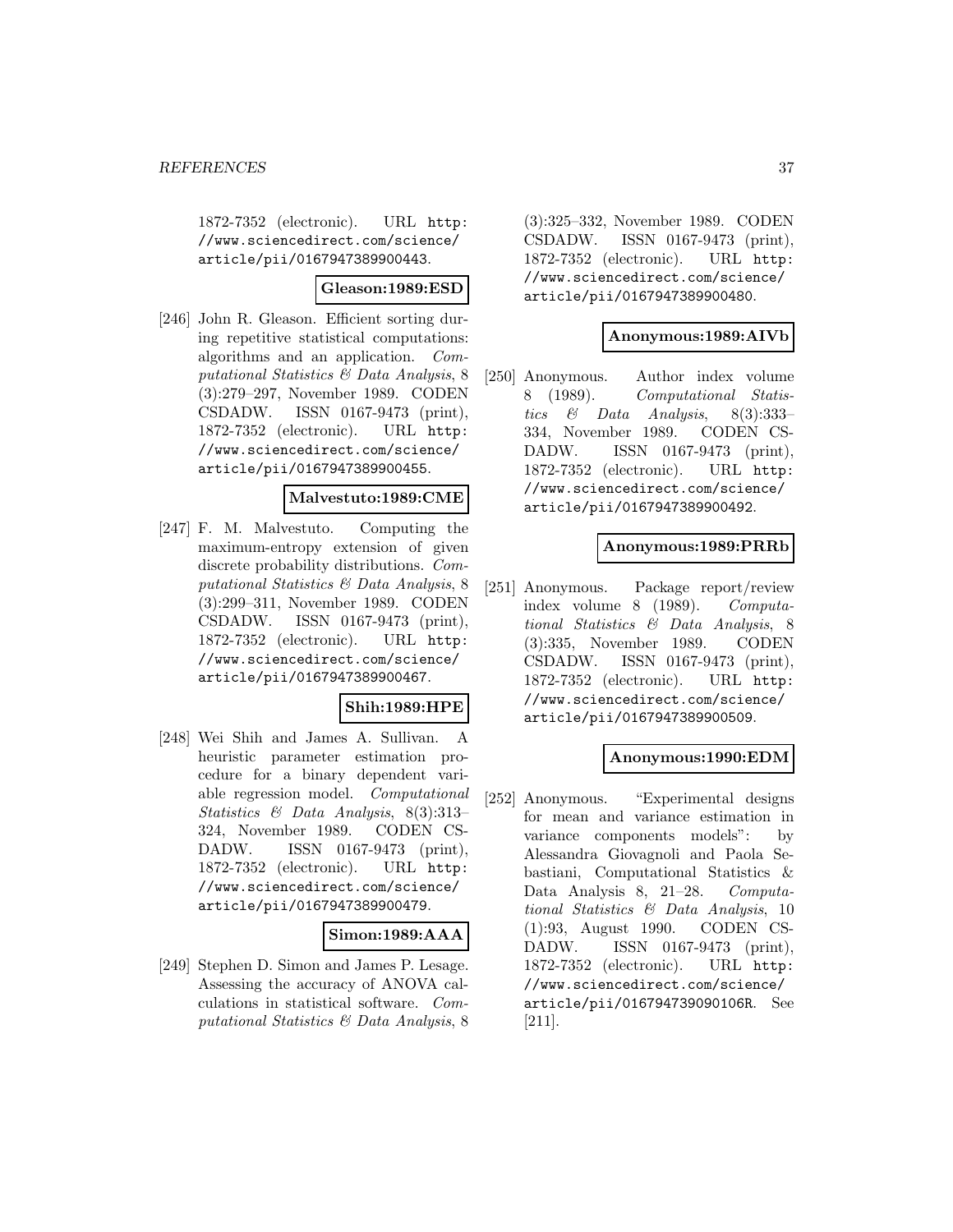1872-7352 (electronic). URL http: //www.sciencedirect.com/science/ article/pii/0167947389900443.

### **Gleason:1989:ESD**

[246] John R. Gleason. Efficient sorting during repetitive statistical computations: algorithms and an application. Computational Statistics & Data Analysis, 8 (3):279–297, November 1989. CODEN CSDADW. ISSN 0167-9473 (print), 1872-7352 (electronic). URL http: //www.sciencedirect.com/science/ article/pii/0167947389900455.

### **Malvestuto:1989:CME**

[247] F. M. Malvestuto. Computing the maximum-entropy extension of given discrete probability distributions. Computational Statistics & Data Analysis, 8 (3):299–311, November 1989. CODEN CSDADW. ISSN 0167-9473 (print), 1872-7352 (electronic). URL http: //www.sciencedirect.com/science/ article/pii/0167947389900467.

### **Shih:1989:HPE**

[248] Wei Shih and James A. Sullivan. A heuristic parameter estimation procedure for a binary dependent variable regression model. Computational Statistics & Data Analysis, 8(3):313– 324, November 1989. CODEN CS-DADW. ISSN 0167-9473 (print), 1872-7352 (electronic). URL http: //www.sciencedirect.com/science/ article/pii/0167947389900479.

### **Simon:1989:AAA**

[249] Stephen D. Simon and James P. Lesage. Assessing the accuracy of ANOVA calculations in statistical software. Computational Statistics & Data Analysis, 8

(3):325–332, November 1989. CODEN CSDADW. ISSN 0167-9473 (print), 1872-7352 (electronic). URL http: //www.sciencedirect.com/science/ article/pii/0167947389900480.

### **Anonymous:1989:AIVb**

[250] Anonymous. Author index volume 8 (1989). Computational Statistics & Data Analysis, 8(3):333– 334, November 1989. CODEN CS-DADW. ISSN 0167-9473 (print), 1872-7352 (electronic). URL http: //www.sciencedirect.com/science/ article/pii/0167947389900492.

### **Anonymous:1989:PRRb**

[251] Anonymous. Package report/review index volume 8 (1989). Computational Statistics & Data Analysis, 8 (3):335, November 1989. CODEN CSDADW. ISSN 0167-9473 (print), 1872-7352 (electronic). URL http: //www.sciencedirect.com/science/ article/pii/0167947389900509.

# **Anonymous:1990:EDM**

[252] Anonymous. "Experimental designs for mean and variance estimation in variance components models": by Alessandra Giovagnoli and Paola Sebastiani, Computational Statistics & Data Analysis 8, 21–28. Computational Statistics & Data Analysis, 10 (1):93, August 1990. CODEN CS-DADW. ISSN 0167-9473 (print), 1872-7352 (electronic). URL http: //www.sciencedirect.com/science/ article/pii/016794739090106R. See [211].